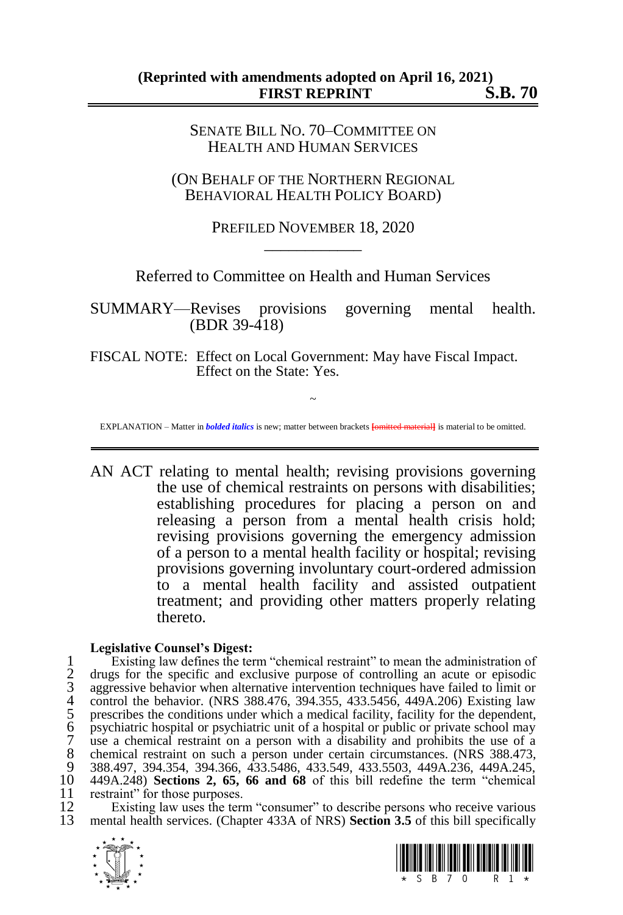SENATE BILL NO. 70–COMMITTEE ON HEALTH AND HUMAN SERVICES

(ON BEHALF OF THE NORTHERN REGIONAL BEHAVIORAL HEALTH POLICY BOARD)

> PREFILED NOVEMBER 18, 2020 \_\_\_\_\_\_\_\_\_\_\_\_

Referred to Committee on Health and Human Services

SUMMARY—Revises provisions governing mental health. (BDR 39-418)

FISCAL NOTE: Effect on Local Government: May have Fiscal Impact. Effect on the State: Yes.

~ EXPLANATION – Matter in *bolded italics* is new; matter between brackets **[**omitted material**]** is material to be omitted.

AN ACT relating to mental health; revising provisions governing the use of chemical restraints on persons with disabilities; establishing procedures for placing a person on and releasing a person from a mental health crisis hold; revising provisions governing the emergency admission of a person to a mental health facility or hospital; revising provisions governing involuntary court-ordered admission to a mental health facility and assisted outpatient treatment; and providing other matters properly relating thereto.

## **Legislative Counsel's Digest:**

1 Existing law defines the term "chemical restraint" to mean the administration of<br>2 drugs for the specific and exclusive purpose of controlling an acute or episodic<br>3 aggressive behavior when alternative intervention tech 2 drugs for the specific and exclusive purpose of controlling an acute or episodic aggressive behavior when alternative intervention techniques have failed to limit or control the behavior. (NRS 388.476, 394.355, 433.5456, 449A.206) Existing law prescribes the conditions under which a medical facility, facility for the dependent, 6 psychiatric hospital or psychiatric unit of a hospital or public or private school may 7 use a chemical restraint on a person with a disability and prohibits the use of a 8 chemical restraint on such a person under certain circumstances. (NRS 388.473, 9 388.473, 9 388.497 394 354 394 366 433 5486 433 549 433 5503 449 423 449 424 245 9 388.497, 394.354, 394.366, 433.5486, 433.549, 433.5503, 449A.236, 449A.245, 10 449A.248) **Sections 2, 65, 66 and 68** of this bill redefine the term "chemical 11 restraint" for those purposes.<br>12 Existing law uses the term

12 Existing law uses the term "consumer" to describe persons who receive various<br>13 mental health services (Chapter 433A of NRS) **Section 3.5** of this bill specifically 13 mental health services. (Chapter 433A of NRS) **Section 3.5** of this bill specifically



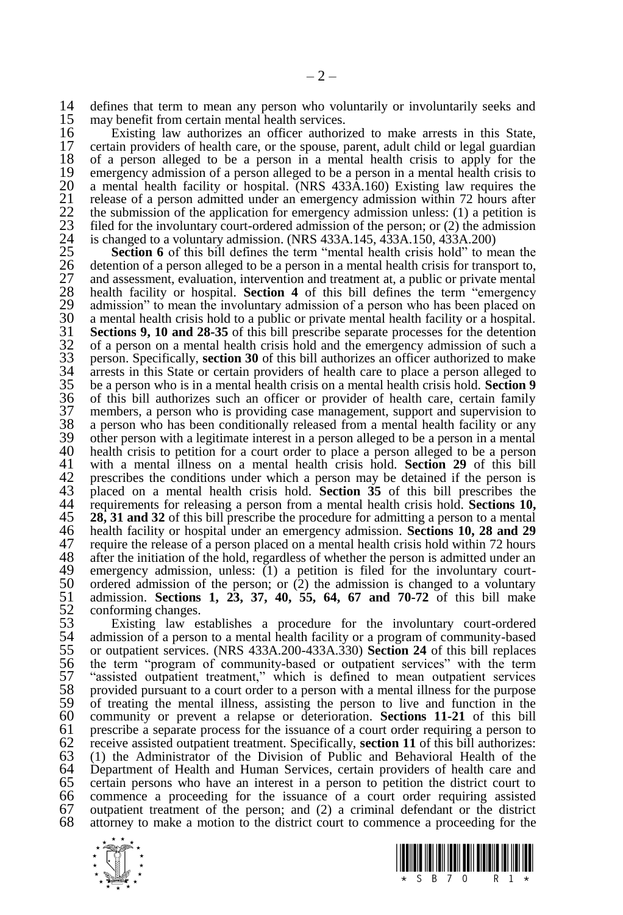14 defines that term to mean any person who voluntarily or involuntarily seeks and 15 may benefit from certain mental health services. 15 may benefit from certain mental health services.<br>16 Existing law authorizes an officer authori

16 Existing law authorizes an officer authorized to make arrests in this State, 17 certain providers of health care, or the spouse, parent, adult child or legal guardian 18 of a person alleged to be a person in a mental health crisis to apply for the 18 of a person alleged to be a person in a mental health crisis to apply for the 19 emergency admission of a person alleged to be a person in a mental health crisis to 20 a mental health facility or hospital. (NRS 433A.160) Existing law requires the 20 a mental health facility or hospital. (NRS 433A.160) Existing law requires the release of a person admitted under an emergency admission within 72 hours after 21 release of a person admitted under an emergency admission within 72 hours after<br>22 the submission of the application for emergency admission unless: (1) a petition is<br>23 filed for the involuntary court-ordered admission the submission of the application for emergency admission unless:  $(1)$  a petition is filed for the involuntary court-ordered admission of the person; or  $(2)$  the admission 24 is changed to a voluntary admission. (NRS 433A.145, 433A.150, 433A.200)<br>25 **Section 6** of this bill defines the term "mental health crisis hold" to m

**Section 6** of this bill defines the term "mental health crisis hold" to mean the detention of a person alleged to be a person in a mental health crisis for transport to, and assessment, evaluation, intervention and treatm 26 detention of a person alleged to be a person in a mental health crisis for transport to, and assessment, evaluation, intervention and treatment at, a public or private mental health facility or hospital. **Section 4** of this bill defines the term "emergency" 29 admission" to mean the involuntary admission of a person who has been placed on a mental health crisis hold to a public or private mental health facility or a hospital. 30 a mental health crisis hold to a public or private mental health facility or a hospital.<br>31 **Sections 9. 10 and 28-35** of this bill prescribe separate processes for the detention 31 **Sections 9, 10 and 28-35** of this bill prescribe separate processes for the detention of a person on a mental health crisis hold and the emergency admission of such a person. Specifically, **section 30** of this bill aut 32 of a person on a mental health crisis hold and the emergency admission of such a 33 person. Specifically, **section 30** of this bill authorizes an officer authorized to make  $34$  arrests in this State or certain providers of health care to place a person alleged to  $35$  be a person who is in a mental health crisis on a mental health crisis hold. Section 9 35 be a person who is in a mental health crisis on a mental health crisis hold. **Section 9** 36 of this bill authorizes such an officer or provider of health care, certain family 37 members, a person who is providing case management, support and supervision to 38 a person who has been conditionally released from a mental health facility or any 39 other person with a legitimate interest in a person alleged to be a person in a mental 39 other person with a legitimate interest in a person alleged to be a person in a mental 40 health crisis to petition for a court order to place a person alleged to be a person 40 health crisis to petition for a court order to place a person alleged to be a person 41 with a mental illness on a mental health crisis hold. **Section 29** of this bill 41 with a mental illness on a mental health crisis hold. **Section 29** of this bill 42 prescribes the conditions under which a person may be detained if the person is<br>43 placed on a mental health crisis hold. **Section 35** of this bill prescribes the 43 placed on a mental health crisis hold. **Section 35** of this bill prescribes the 44 requirements for releasing a person from a mental health crisis hold. **Sections 10,**  $\overline{45}$  **28. 31 and 32** of this bill prescribe the procedure for admitting a person to a mental 45 **28, 31 and 32** of this bill prescribe the procedure for admitting a person to a mental 46 health facility or hospital under an emergency admission. **Sections 10, 28 and 29** 47 require the release of a person placed on a mental health crisis hold within 72 hours  $48$  after the initiation of the hold, regardless of whether the person is admitted under an 48 after the initiation of the hold, regardless of whether the person is admitted under an 49 emergency admission, unless: (1) a petition is filed for the involuntary court-49 emergency admission, unless:  $(1)$  a petition is filed for the involuntary court-<br>50 ordered admission of the person; or  $(2)$  the admission is changed to a voluntary 50 ordered admission of the person; or  $(2)$  the admission is changed to a voluntary  $51$  admission. **Sections 1, 23, 37, 40, 55, 64, 67 and 70-72** of this bill make 51 admission. **Sections 1, 23, 37, 40, 55, 64, 67 and 70-72** of this bill make 52 conforming changes.<br>53 Existing law es

53 Existing law establishes a procedure for the involuntary court-ordered 54 admission of a person to a mental health facility or a program of community-based 54 admission of a person to a mental health facility or a program of community-based<br>55 or outpatient services. (NRS 433A.200-433A.330) Section 24 of this bill replaces 55 or outpatient services. (NRS 433A.200-433A.330) **Section 24** of this bill replaces 56 the term "program of community-based or outpatient services" with the term 57 "assisted outpatient treatment," which is defined to mean outpatient services provided pursuant to a court order to a person with a mental illness for the purpose 58 provided pursuant to a court order to a person with a mental illness for the purpose 59 of treating the mental illness, assisting the person to live and function in the 59 of treating the mental illness, assisting the person to live and function in the 60 community or prevent a relapse or deterioration. Sections 11-21 of this bill 60 community or prevent a relapse or deterioration. **Sections 11-21** of this bill 61 prescribe a separate process for the issuance of a court order requiring a person to  $62$  receive assisted outpatient treatment. Specifically, **section 11** of this bill authorizes: 62 receive assisted outpatient treatment. Specifically, **section 11** of this bill authorizes: 63 (1) the Administrator of the Division of Public and Behavioral Health of the 64 Department of Health and Human Services, certain providers of health care and 65 certain persons who have an interest in a person to petition the district court to 65 certain persons who have an interest in a person to petition the district court to  $66$  commence a proceeding for the issuance of a court order requiring assisted 66 commence a proceeding for the issuance of a court order requiring assisted 67 outpatient treatment of the person; and  $(2)$  a criminal defendant or the district 68 attorney to make a motion to the district court to commence a proceeding for the attorney to make a motion to the district court to commence a proceeding for the



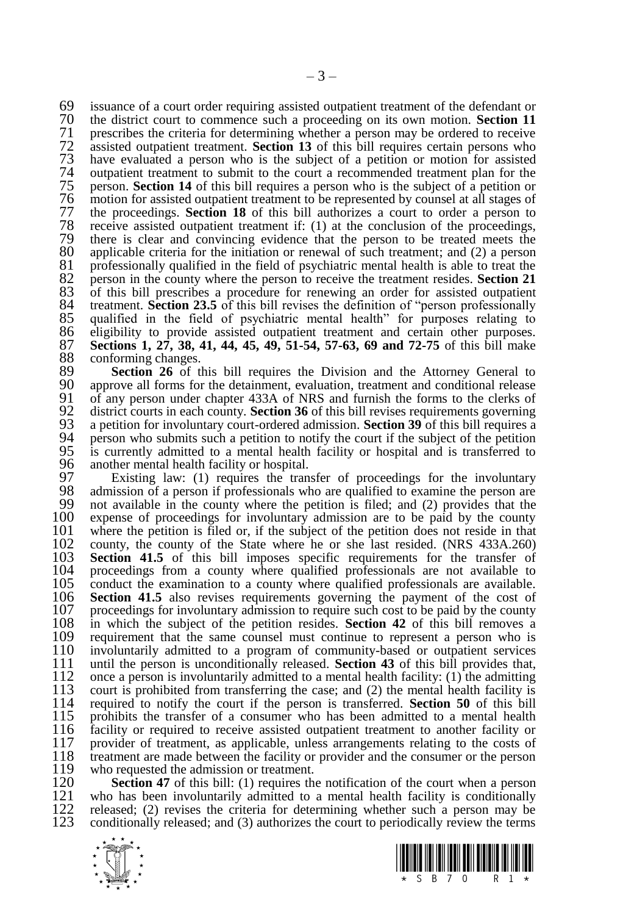69 issuance of a court order requiring assisted outpatient treatment of the defendant or<br>70 the district court to commence such a proceeding on its own motion **Section 11** 70 the district court to commence such a proceeding on its own motion. **Section 11** 71 prescribes the criteria for determining whether a person may be ordered to receive assisted outpatient treatment. **Section 13** of this bill requires certain persons who 72 assisted outpatient treatment. **Section 13** of this bill requires certain persons who 73 have evaluated a person who is the subject of a petition or motion for assisted 74 outpatient treatment to submit to the court a recommended treatment plan for the person. **Section 14** of this bill requires a person who is the subject of a petition or 75 person. **Section 14** of this bill requires a person who is the subject of a petition or 76 motion for assisted outpatient treatment to be represented by counsel at all stages of 77 the proceedings. **Section 18** of this bill authorizes a court to order a person to 77 the proceedings. **Section 18** of this bill authorizes a court to order a person to 78 receive assisted outpatient treatment if: (1) at the conclusion of the proceedings, 79 there is clear and convincing evidence that the person to be treated meets the 80 applicable criteria for the initiation or renewal of such treatment: and (2) a person 80 applicable criteria for the initiation or renewal of such treatment; and (2) a person 81 professionally qualified in the field of psychiatric mental health is able to treat the 82 person in the county where the person to receive the treatment resides. Section 21 82 person in the county where the person to receive the treatment resides. **Section 21**<br>83 of this bill prescribes a procedure for renewing an order for assisted outpatient 83 of this bill prescribes a procedure for renewing an order for assisted outpatient Represent Rection 23.5 of this bill revises the definition of "person professionally 84 treatment. **Section 23.5** of this bill revises the definition of "person professionally 85 qualified in the field of psychiatric mental health" for purposes relating to 86 eligibility to provide assisted outpatient treatment and certain other purposes.<br>87 Sections 1, 27, 38, 41, 44, 45, 49, 51-54, 57-63, 69 and 72-75 of this bill make 87 **Sections 1, 27, 38, 41, 44, 45, 49, 51-54, 57-63, 69 and 72-75** of this bill make 88 conforming changes.<br>89 **Section 26** of the

89 **Section 26** of this bill requires the Division and the Attorney General to 90 approve all forms for the detainment evaluation treatment and conditional release 90 approve all forms for the detainment, evaluation, treatment and conditional release<br>91 of any person under chapter 433A of NRS and furnish the forms to the clerks of 91 of any person under chapter 433A of NRS and furnish the forms to the clerks of  $92$  district courts in each county. **Section 36** of this bill revises requirements governing 92 district courts in each county. **Section 36** of this bill revises requirements governing a petition for involuntary court-ordered admission. **Section 39** of this bill requires a 93 a petition for involuntary court-ordered admission. **Section 39** of this bill requires a 94 person who submits such a petition to notify the court if the subject of the petition 94 person who submits such a petition to notify the court if the subject of the petition 95 is currently admitted to a mental health facility or hospital and is transferred to 95 is currently admitted to a mental health facility or hospital and is transferred to 96 another mental health facility or hospital.<br>97 Existing law: (1) requires the tran

97 Existing law: (1) requires the transfer of proceedings for the involuntary 98 admission of a person if professionals who are qualified to examine the person are<br>99 not available in the county where the petition is filed: and (2) provides that the 99 not available in the county where the petition is filed; and  $(2)$  provides that the  $(100)$  expense of proceedings for involuntary admission are to be paid by the county 100 expense of proceedings for involuntary admission are to be paid by the county 101 where the petition is filed or, if the subject of the petition does not reside in that 101 where the petition is filed or, if the subject of the petition does not reside in that 102 county, the county of the State where he or she last resided. (NRS 433A.260) 102 county, the county of the State where he or she last resided. (NRS 433A.260) 103 **Section 41.5** of this bill imposes specific requirements for the transfer of 103 **Section 41.5** of this bill imposes specific requirements for the transfer of 104 proceedings from a county where qualified professionals are not available to 104 proceedings from a county where qualified professionals are not available to 105 conduct the examination to a county where qualified professionals are available. 105 conduct the examination to a county where qualified professionals are available.<br>106 **Section 41.5** also revises requirements governing the payment of the cost of 106 **Section 41.5** also revises requirements governing the payment of the cost of 107 proceedings for involuntary admission to require such cost to be paid by the county 107 proceedings for involuntary admission to require such cost to be paid by the county  $108$  in which the subject of the petition resides. **Section 42** of this bill removes a 108 in which the subject of the petition resides. **Section 42** of this bill removes a 109 requirement that the same counsel must continue to represent a person who is 110 involuntarily admitted to a program of community-based or outpatient services 110 involuntarily admitted to a program of community-based or outpatient services 111 until the person is unconditionally released. Section 43 of this bill provides that. 111 until the person is unconditionally released. **Section 43** of this bill provides that, 112 once a person is involuntarily admitted to a mental health facility: (1) the admitting court is prohibited from transferring the case; and (2) the mental health facility is 113 court is prohibited from transferring the case; and  $(2)$  the mental health facility is 114 required to notify the court if the person is transferred. **Section 50** of this bill 114 required to notify the court if the person is transferred. **Section 50** of this bill 115 prohibits the transfer of a consumer who has been admitted to a mental health 116 facility or required to receive assisted outpatient treatment to another facility or 116 facility or required to receive assisted outpatient treatment to another facility or provider of treatment, as applicable, unless arrangements relating to the costs of 117 provider of treatment, as applicable, unless arrangements relating to the costs of 118 treatment are made between the facility or provider and the consumer or the person 118 treatment are made between the facility or provider and the consumer or the person who requested the admission or treatment. 119 who requested the admission or treatment.<br>120 **Section 47** of this bill: (1) requires the

120 **Section 47** of this bill: (1) requires the notification of the court when a person 121 who has been involuntarily admitted to a mental health facility is conditionally 121 who has been involuntarily admitted to a mental health facility is conditionally released: (2) revises the criteria for determining whether such a person may be 122 released; (2) revises the criteria for determining whether such a person may be conditionally released: and (3) authorizes the court to periodically review the terms 123 conditionally released; and (3) authorizes the court to periodically review the terms



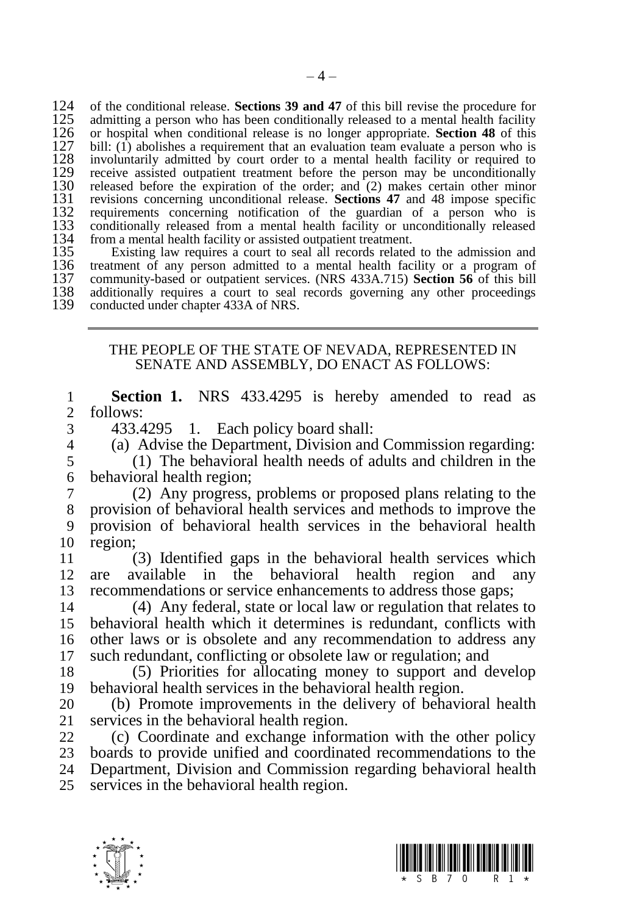124 of the conditional release. **Sections 39 and 47** of this bill revise the procedure for 125 admitting a person who has been conditionally released to a mental health facility 126 or hospital when conditional release is no longer appropriate. **Section 48** of this 126 or hospital when conditional release is no longer appropriate. **Section 48** of this 127 bill: (1) abolishes a requirement that an evaluation team evaluate a person who is 128 involuntarily admitted by court order to a bill:  $(1)$  abolishes a requirement that an evaluation team evaluate a person who is 128 involuntarily admitted by court order to a mental health facility or required to receive assisted outpatient treatment before the person may be unconditionally 129 receive assisted outpatient treatment before the person may be unconditionally released before the expiration of the order: and (2) makes certain other minor 130 released before the expiration of the order; and  $(2)$  makes certain other minor 131 revisions concerning unconditional release. **Sections 47** and 48 impose specific 131 revisions concerning unconditional release. **Sections 47** and 48 impose specific 132 requirements concerning notification of the guardian of a person who is conditionally released from a mental health facility or unconditionally released 133 conditionally released from a mental health facility or unconditionally released 134 from a mental health facility or assisted outpatient treatment. 134 from a mental health facility or assisted outpatient treatment.<br>135 Existing law requires a court to seal all records related

135 Existing law requires a court to seal all records related to the admission and 136 treatment of any person admitted to a mental health facility or a program of 136 treatment of any person admitted to a mental health facility or a program of community-based or outpatient services. (NRS 433A.715) Section 56 of this bill 137 community-based or outpatient services. (NRS 433A.715) **Section 56** of this bill 138 additionally requires a court to seal records governing any other proceedings 138 additionally requires a court to seal records governing any other proceedings conducted under chapter 433A of NRS. conducted under chapter 433A of NRS.

## THE PEOPLE OF THE STATE OF NEVADA, REPRESENTED IN SENATE AND ASSEMBLY, DO ENACT AS FOLLOWS:

1 **Section 1.** NRS 433.4295 is hereby amended to read as follows:

3 433.4295 1. Each policy board shall:<br>4 (a) Advise the Department Division and

4 (a) Advise the Department, Division and Commission regarding:

5 (1) The behavioral health needs of adults and children in the 6 behavioral health region;<br> $\frac{7}{2}$  (2) Any progress

 (2) Any progress, problems or proposed plans relating to the provision of behavioral health services and methods to improve the provision of behavioral health services in the behavioral health 10 region;

11 (3) Identified gaps in the behavioral health services which 12 are available in the behavioral health region and any 13 recommendations or service enhancements to address those gaps;

 (4) Any federal, state or local law or regulation that relates to behavioral health which it determines is redundant, conflicts with other laws or is obsolete and any recommendation to address any such redundant, conflicting or obsolete law or regulation; and

18 (5) Priorities for allocating money to support and develop 19 behavioral health services in the behavioral health region.

20 (b) Promote improvements in the delivery of behavioral health 21 services in the behavioral health region.

 (c) Coordinate and exchange information with the other policy boards to provide unified and coordinated recommendations to the Department, Division and Commission regarding behavioral health services in the behavioral health region.



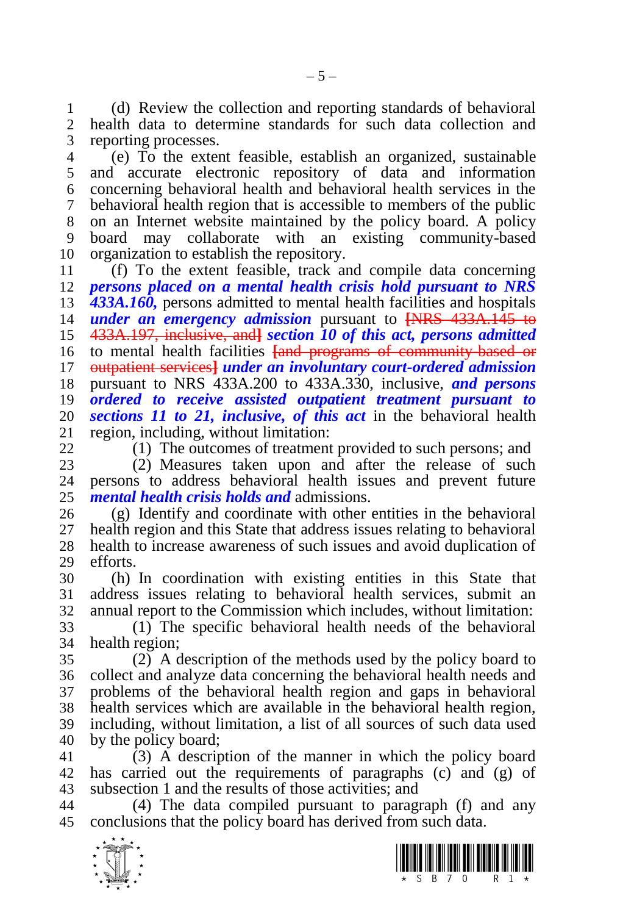(d) Review the collection and reporting standards of behavioral health data to determine standards for such data collection and reporting processes.

 (e) To the extent feasible, establish an organized, sustainable and accurate electronic repository of data and information concerning behavioral health and behavioral health services in the behavioral health region that is accessible to members of the public on an Internet website maintained by the policy board. A policy board may collaborate with an existing community-based organization to establish the repository.

 (f) To the extent feasible, track and compile data concerning *persons placed on a mental health crisis hold pursuant to NRS 433A.160,* persons admitted to mental health facilities and hospitals *under an emergency admission* pursuant to **[**NRS 433A.145 to 433A.197, inclusive, and**]** *section 10 of this act, persons admitted*  to mental health facilities **[**and programs of community-based or outpatient services**]** *under an involuntary court-ordered admission*  pursuant to NRS 433A.200 to 433A.330, inclusive, *and persons ordered to receive assisted outpatient treatment pursuant to sections 11 to 21, inclusive, of this act* in the behavioral health region, including, without limitation:

(1) The outcomes of treatment provided to such persons; and

23 (2) Measures taken upon and after the release of such 24 persons to address behavioral health issues and prevent future persons to address behavioral health issues and prevent future *mental health crisis holds and* admissions.

 (g) Identify and coordinate with other entities in the behavioral health region and this State that address issues relating to behavioral health to increase awareness of such issues and avoid duplication of efforts.

 (h) In coordination with existing entities in this State that address issues relating to behavioral health services, submit an annual report to the Commission which includes, without limitation:

 (1) The specific behavioral health needs of the behavioral health region;

 (2) A description of the methods used by the policy board to collect and analyze data concerning the behavioral health needs and problems of the behavioral health region and gaps in behavioral health services which are available in the behavioral health region, including, without limitation, a list of all sources of such data used by the policy board;

 (3) A description of the manner in which the policy board has carried out the requirements of paragraphs (c) and (g) of subsection 1 and the results of those activities; and

 (4) The data compiled pursuant to paragraph (f) and any conclusions that the policy board has derived from such data.



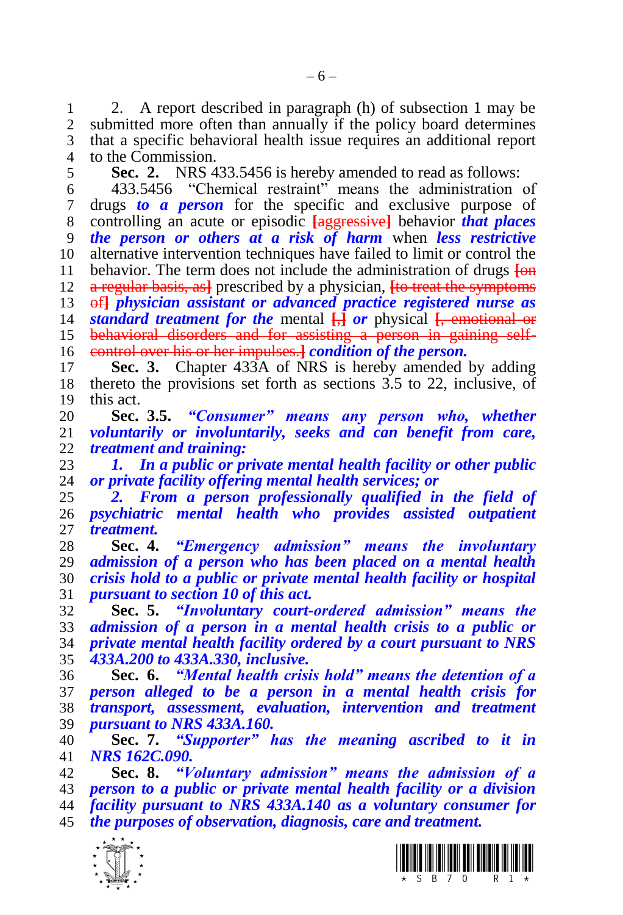2. A report described in paragraph (h) of subsection 1 may be submitted more often than annually if the policy board determines that a specific behavioral health issue requires an additional report to the Commission.

**Sec. 2.** NRS 433.5456 is hereby amended to read as follows:

 433.5456 "Chemical restraint" means the administration of drugs *to a person* for the specific and exclusive purpose of controlling an acute or episodic **[**aggressive**]** behavior *that places the person or others at a risk of harm* when *less restrictive* alternative intervention techniques have failed to limit or control the behavior. The term does not include the administration of drugs **[**on a regular basis, as**]** prescribed by a physician, **[**to treat the symptoms of**]** *physician assistant or advanced practice registered nurse as standard treatment for the* mental **[**,**]** *or* physical **[**, emotional or 15 behavioral disorders and for assisting a person in gaining self-

 control over his or her impulses.**]** *condition of the person.* **Sec. 3.** Chapter 433A of NRS is hereby amended by adding thereto the provisions set forth as sections 3.5 to 22, inclusive, of

this act.

 **Sec. 3.5.** *"Consumer" means any person who, whether voluntarily or involuntarily, seeks and can benefit from care, treatment and training:*

 *1. In a public or private mental health facility or other public or private facility offering mental health services; or*

 *2. From a person professionally qualified in the field of psychiatric mental health who provides assisted outpatient treatment.*

 **Sec. 4.** *"Emergency admission" means the involuntary admission of a person who has been placed on a mental health crisis hold to a public or private mental health facility or hospital pursuant to section 10 of this act.*

 **Sec. 5.** *"Involuntary court-ordered admission" means the admission of a person in a mental health crisis to a public or private mental health facility ordered by a court pursuant to NRS 433A.200 to 433A.330, inclusive.*

 **Sec. 6.** *"Mental health crisis hold" means the detention of a person alleged to be a person in a mental health crisis for transport, assessment, evaluation, intervention and treatment pursuant to NRS 433A.160.*

 **Sec. 7.** *"Supporter" has the meaning ascribed to it in NRS 162C.090.*

 **Sec. 8.** *"Voluntary admission" means the admission of a person to a public or private mental health facility or a division facility pursuant to NRS 433A.140 as a voluntary consumer for the purposes of observation, diagnosis, care and treatment.*



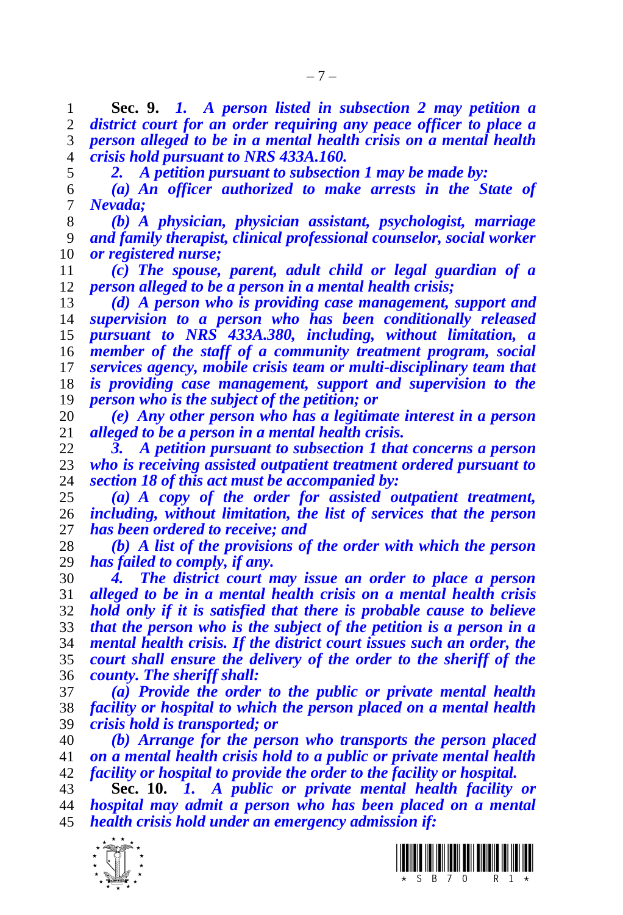**Sec. 9.** *1. A person listed in subsection 2 may petition a district court for an order requiring any peace officer to place a person alleged to be in a mental health crisis on a mental health crisis hold pursuant to NRS 433A.160.*

*2. A petition pursuant to subsection 1 may be made by:*

 *(a) An officer authorized to make arrests in the State of Nevada;*

 *(b) A physician, physician assistant, psychologist, marriage and family therapist, clinical professional counselor, social worker or registered nurse;*

 *(c) The spouse, parent, adult child or legal guardian of a person alleged to be a person in a mental health crisis;* 

 *(d) A person who is providing case management, support and supervision to a person who has been conditionally released pursuant to NRS 433A.380, including, without limitation, a member of the staff of a community treatment program, social services agency, mobile crisis team or multi-disciplinary team that is providing case management, support and supervision to the person who is the subject of the petition; or*

 *(e) Any other person who has a legitimate interest in a person alleged to be a person in a mental health crisis.* 

 *3. A petition pursuant to subsection 1 that concerns a person who is receiving assisted outpatient treatment ordered pursuant to section 18 of this act must be accompanied by:*

 *(a) A copy of the order for assisted outpatient treatment, including, without limitation, the list of services that the person has been ordered to receive; and*

 *(b) A list of the provisions of the order with which the person has failed to comply, if any.*

 *4. The district court may issue an order to place a person alleged to be in a mental health crisis on a mental health crisis hold only if it is satisfied that there is probable cause to believe that the person who is the subject of the petition is a person in a mental health crisis. If the district court issues such an order, the court shall ensure the delivery of the order to the sheriff of the county. The sheriff shall:*

 *(a) Provide the order to the public or private mental health facility or hospital to which the person placed on a mental health crisis hold is transported; or* 

 *(b) Arrange for the person who transports the person placed on a mental health crisis hold to a public or private mental health facility or hospital to provide the order to the facility or hospital.*

 **Sec. 10.** *1. A public or private mental health facility or hospital may admit a person who has been placed on a mental health crisis hold under an emergency admission if:*



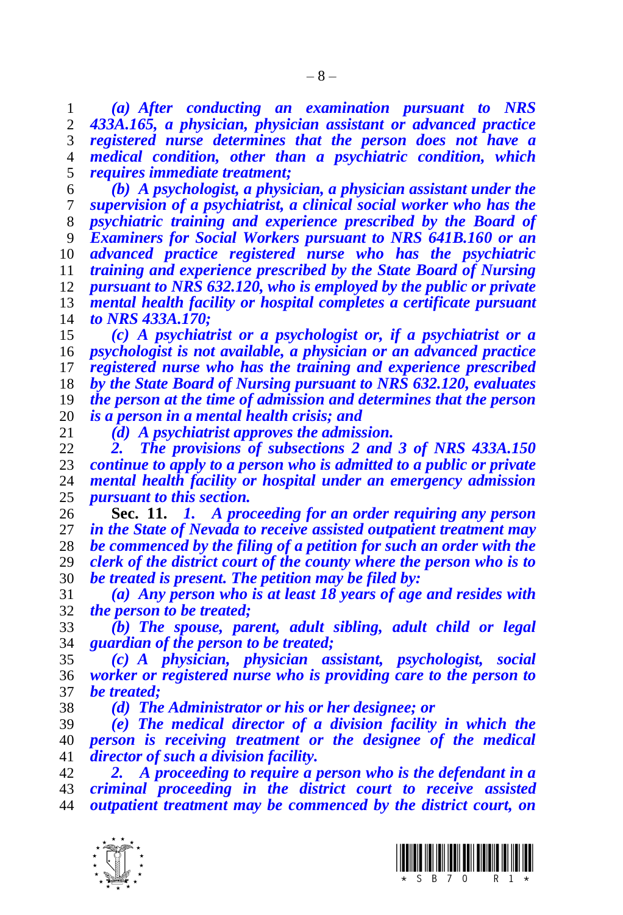*(a) After conducting an examination pursuant to NRS 433A.165, a physician, physician assistant or advanced practice registered nurse determines that the person does not have a medical condition, other than a psychiatric condition, which requires immediate treatment;*

 *(b) A psychologist, a physician, a physician assistant under the supervision of a psychiatrist, a clinical social worker who has the psychiatric training and experience prescribed by the Board of Examiners for Social Workers pursuant to NRS 641B.160 or an advanced practice registered nurse who has the psychiatric training and experience prescribed by the State Board of Nursing pursuant to NRS 632.120, who is employed by the public or private mental health facility or hospital completes a certificate pursuant to NRS 433A.170;*

 *(c) A psychiatrist or a psychologist or, if a psychiatrist or a psychologist is not available, a physician or an advanced practice registered nurse who has the training and experience prescribed by the State Board of Nursing pursuant to NRS 632.120, evaluates the person at the time of admission and determines that the person is a person in a mental health crisis; and*

*(d) A psychiatrist approves the admission.*

 *2. The provisions of subsections 2 and 3 of NRS 433A.150 continue to apply to a person who is admitted to a public or private mental health facility or hospital under an emergency admission pursuant to this section.*

 **Sec. 11.** *1. A proceeding for an order requiring any person in the State of Nevada to receive assisted outpatient treatment may be commenced by the filing of a petition for such an order with the clerk of the district court of the county where the person who is to be treated is present. The petition may be filed by:*

 *(a) Any person who is at least 18 years of age and resides with the person to be treated;*

 *(b) The spouse, parent, adult sibling, adult child or legal guardian of the person to be treated;*

 *(c) A physician, physician assistant, psychologist, social worker or registered nurse who is providing care to the person to be treated;*

*(d) The Administrator or his or her designee; or*

 *(e) The medical director of a division facility in which the person is receiving treatment or the designee of the medical director of such a division facility.*

 *2. A proceeding to require a person who is the defendant in a criminal proceeding in the district court to receive assisted outpatient treatment may be commenced by the district court, on* 



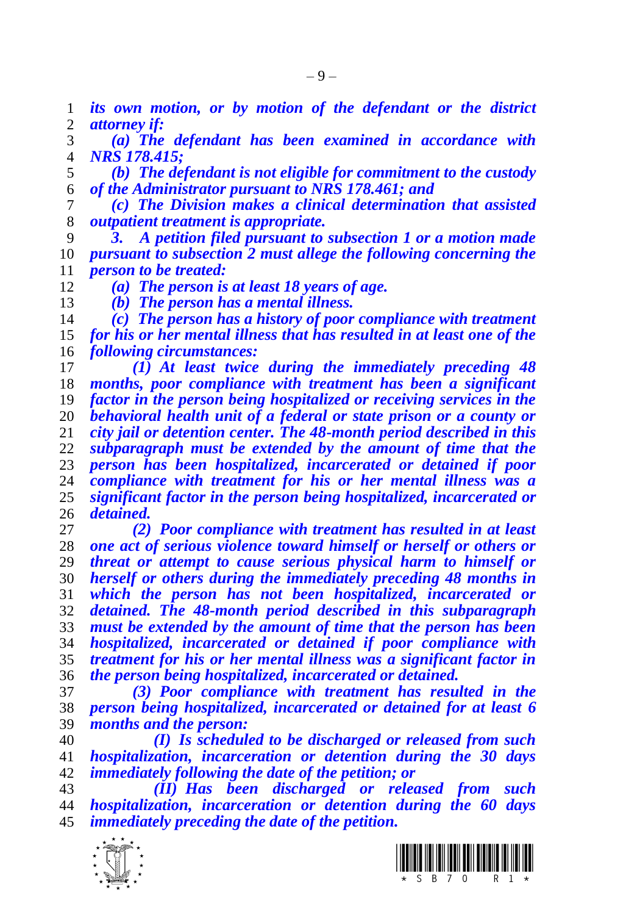*its own motion, or by motion of the defendant or the district attorney if:*

 *(a) The defendant has been examined in accordance with NRS 178.415;*

 *(b) The defendant is not eligible for commitment to the custody of the Administrator pursuant to NRS 178.461; and*

 *(c) The Division makes a clinical determination that assisted outpatient treatment is appropriate.*

 *3. A petition filed pursuant to subsection 1 or a motion made pursuant to subsection 2 must allege the following concerning the person to be treated:*

*(a) The person is at least 18 years of age.*

*(b) The person has a mental illness.*

 *(c) The person has a history of poor compliance with treatment for his or her mental illness that has resulted in at least one of the following circumstances:*

 *(1) At least twice during the immediately preceding 48 months, poor compliance with treatment has been a significant factor in the person being hospitalized or receiving services in the behavioral health unit of a federal or state prison or a county or city jail or detention center. The 48-month period described in this subparagraph must be extended by the amount of time that the person has been hospitalized, incarcerated or detained if poor compliance with treatment for his or her mental illness was a significant factor in the person being hospitalized, incarcerated or detained.*

 *(2) Poor compliance with treatment has resulted in at least one act of serious violence toward himself or herself or others or threat or attempt to cause serious physical harm to himself or herself or others during the immediately preceding 48 months in which the person has not been hospitalized, incarcerated or detained. The 48-month period described in this subparagraph must be extended by the amount of time that the person has been hospitalized, incarcerated or detained if poor compliance with treatment for his or her mental illness was a significant factor in the person being hospitalized, incarcerated or detained.*

 *(3) Poor compliance with treatment has resulted in the person being hospitalized, incarcerated or detained for at least 6*  months and the person:

 *(I) Is scheduled to be discharged or released from such hospitalization, incarceration or detention during the 30 days immediately following the date of the petition; or*

 *(II) Has been discharged or released from such hospitalization, incarceration or detention during the 60 days immediately preceding the date of the petition.* 





 $-9-$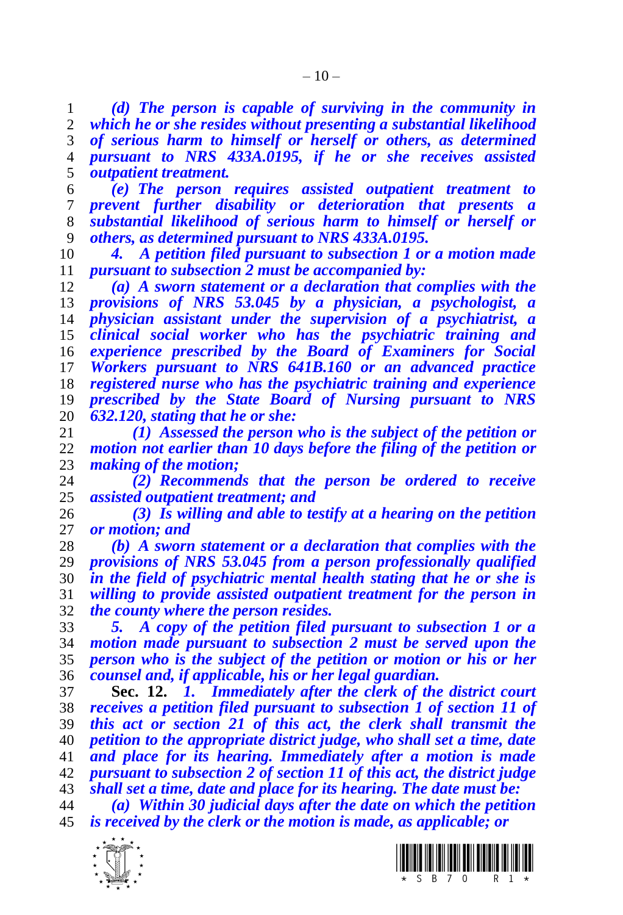*(d) The person is capable of surviving in the community in which he or she resides without presenting a substantial likelihood of serious harm to himself or herself or others, as determined pursuant to NRS 433A.0195, if he or she receives assisted outpatient treatment.*

 *(e) The person requires assisted outpatient treatment to prevent further disability or deterioration that presents a substantial likelihood of serious harm to himself or herself or others, as determined pursuant to NRS 433A.0195.*

 *4. A petition filed pursuant to subsection 1 or a motion made pursuant to subsection 2 must be accompanied by:*

 *(a) A sworn statement or a declaration that complies with the provisions of NRS 53.045 by a physician, a psychologist, a physician assistant under the supervision of a psychiatrist, a clinical social worker who has the psychiatric training and experience prescribed by the Board of Examiners for Social Workers pursuant to NRS 641B.160 or an advanced practice registered nurse who has the psychiatric training and experience prescribed by the State Board of Nursing pursuant to NRS 632.120, stating that he or she:*

 *(1) Assessed the person who is the subject of the petition or motion not earlier than 10 days before the filing of the petition or making of the motion;*

 *(2) Recommends that the person be ordered to receive assisted outpatient treatment; and*

 *(3) Is willing and able to testify at a hearing on the petition or motion; and*

 *(b) A sworn statement or a declaration that complies with the provisions of NRS 53.045 from a person professionally qualified in the field of psychiatric mental health stating that he or she is willing to provide assisted outpatient treatment for the person in the county where the person resides.*

 *5. A copy of the petition filed pursuant to subsection 1 or a motion made pursuant to subsection 2 must be served upon the person who is the subject of the petition or motion or his or her counsel and, if applicable, his or her legal guardian.*

 **Sec. 12.** *1. Immediately after the clerk of the district court receives a petition filed pursuant to subsection 1 of section 11 of this act or section 21 of this act, the clerk shall transmit the petition to the appropriate district judge, who shall set a time, date and place for its hearing. Immediately after a motion is made pursuant to subsection 2 of section 11 of this act, the district judge shall set a time, date and place for its hearing. The date must be:*

 *(a) Within 30 judicial days after the date on which the petition is received by the clerk or the motion is made, as applicable; or*



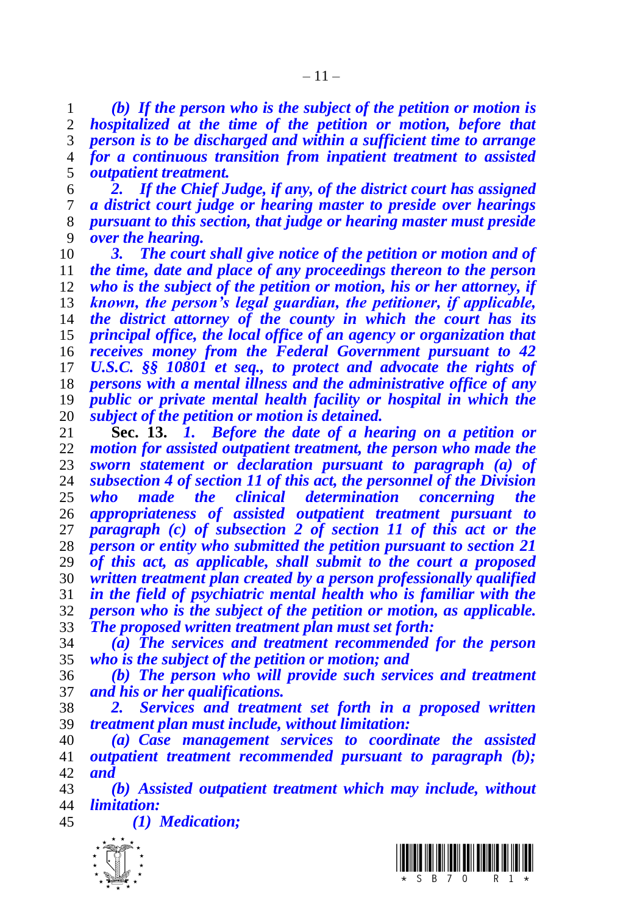*(b) If the person who is the subject of the petition or motion is hospitalized at the time of the petition or motion, before that person is to be discharged and within a sufficient time to arrange for a continuous transition from inpatient treatment to assisted outpatient treatment.*

 *2. If the Chief Judge, if any, of the district court has assigned a district court judge or hearing master to preside over hearings pursuant to this section, that judge or hearing master must preside over the hearing.*

 *3. The court shall give notice of the petition or motion and of the time, date and place of any proceedings thereon to the person who is the subject of the petition or motion, his or her attorney, if known, the person's legal guardian, the petitioner, if applicable, the district attorney of the county in which the court has its principal office, the local office of an agency or organization that receives money from the Federal Government pursuant to 42 U.S.C. §§ 10801 et seq., to protect and advocate the rights of persons with a mental illness and the administrative office of any public or private mental health facility or hospital in which the subject of the petition or motion is detained.*

 **Sec. 13.** *1. Before the date of a hearing on a petition or motion for assisted outpatient treatment, the person who made the sworn statement or declaration pursuant to paragraph (a) of subsection 4 of section 11 of this act, the personnel of the Division who made the clinical determination concerning the appropriateness of assisted outpatient treatment pursuant to paragraph (c) of subsection 2 of section 11 of this act or the person or entity who submitted the petition pursuant to section 21 of this act, as applicable, shall submit to the court a proposed written treatment plan created by a person professionally qualified in the field of psychiatric mental health who is familiar with the person who is the subject of the petition or motion, as applicable. The proposed written treatment plan must set forth:* 

 *(a) The services and treatment recommended for the person who is the subject of the petition or motion; and*

 *(b) The person who will provide such services and treatment and his or her qualifications.* 

 *2. Services and treatment set forth in a proposed written treatment plan must include, without limitation:*

 *(a) Case management services to coordinate the assisted outpatient treatment recommended pursuant to paragraph (b); and* 

 *(b) Assisted outpatient treatment which may include, without limitation:*

*(1) Medication;*



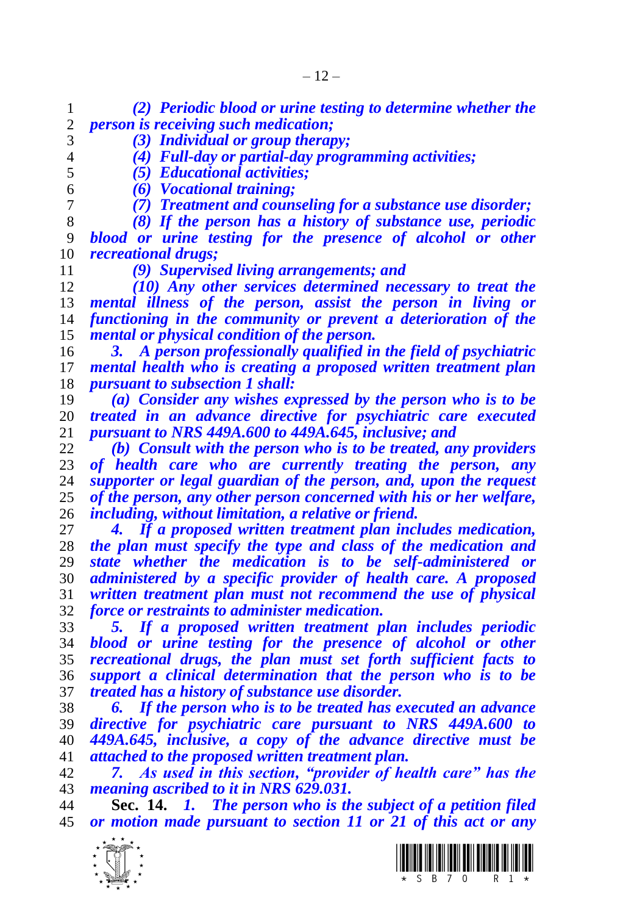*(2) Periodic blood or urine testing to determine whether the person is receiving such medication;*

- *(3) Individual or group therapy; (4) Full-day or partial-day programming activities;*
- 

*(5) Educational activities;*

*(6) Vocational training;*

*(7) Treatment and counseling for a substance use disorder;*

 *(8) If the person has a history of substance use, periodic blood or urine testing for the presence of alcohol or other recreational drugs;*

*(9) Supervised living arrangements; and*

 *(10) Any other services determined necessary to treat the mental illness of the person, assist the person in living or functioning in the community or prevent a deterioration of the mental or physical condition of the person.*

 *3. A person professionally qualified in the field of psychiatric mental health who is creating a proposed written treatment plan pursuant to subsection 1 shall:*

 *(a) Consider any wishes expressed by the person who is to be treated in an advance directive for psychiatric care executed pursuant to NRS 449A.600 to 449A.645, inclusive; and*

 *(b) Consult with the person who is to be treated, any providers of health care who are currently treating the person, any supporter or legal guardian of the person, and, upon the request of the person, any other person concerned with his or her welfare, including, without limitation, a relative or friend.*

 *4. If a proposed written treatment plan includes medication, the plan must specify the type and class of the medication and state whether the medication is to be self-administered or administered by a specific provider of health care. A proposed written treatment plan must not recommend the use of physical force or restraints to administer medication.*

 *5. If a proposed written treatment plan includes periodic blood or urine testing for the presence of alcohol or other recreational drugs, the plan must set forth sufficient facts to support a clinical determination that the person who is to be treated has a history of substance use disorder.*

 *6. If the person who is to be treated has executed an advance directive for psychiatric care pursuant to NRS 449A.600 to 449A.645, inclusive, a copy of the advance directive must be attached to the proposed written treatment plan.* 

 *7. As used in this section, "provider of health care" has the meaning ascribed to it in NRS 629.031.*

 **Sec. 14.** *1. The person who is the subject of a petition filed or motion made pursuant to section 11 or 21 of this act or any* 

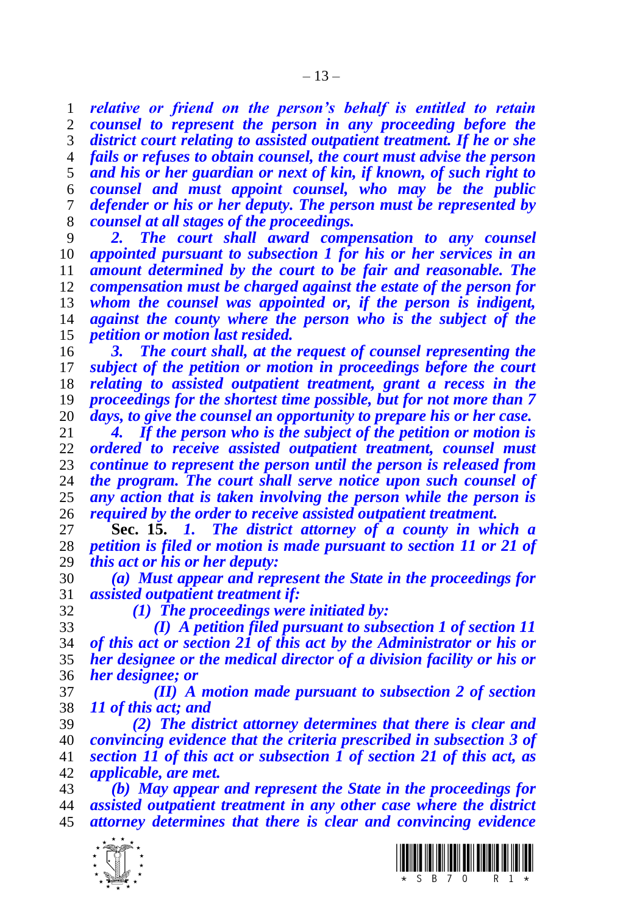*relative or friend on the person's behalf is entitled to retain counsel to represent the person in any proceeding before the district court relating to assisted outpatient treatment. If he or she fails or refuses to obtain counsel, the court must advise the person and his or her guardian or next of kin, if known, of such right to counsel and must appoint counsel, who may be the public defender or his or her deputy. The person must be represented by counsel at all stages of the proceedings.*

 *2. The court shall award compensation to any counsel appointed pursuant to subsection 1 for his or her services in an amount determined by the court to be fair and reasonable. The compensation must be charged against the estate of the person for whom the counsel was appointed or, if the person is indigent, against the county where the person who is the subject of the petition or motion last resided.*

 *3. The court shall, at the request of counsel representing the subject of the petition or motion in proceedings before the court relating to assisted outpatient treatment, grant a recess in the proceedings for the shortest time possible, but for not more than 7 days, to give the counsel an opportunity to prepare his or her case.*

 *4. If the person who is the subject of the petition or motion is ordered to receive assisted outpatient treatment, counsel must continue to represent the person until the person is released from the program. The court shall serve notice upon such counsel of any action that is taken involving the person while the person is required by the order to receive assisted outpatient treatment.*

 **Sec. 15.** *1. The district attorney of a county in which a petition is filed or motion is made pursuant to section 11 or 21 of this act or his or her deputy:*

 *(a) Must appear and represent the State in the proceedings for assisted outpatient treatment if:*

*(1) The proceedings were initiated by:*

 *(I) A petition filed pursuant to subsection 1 of section 11 of this act or section 21 of this act by the Administrator or his or her designee or the medical director of a division facility or his or her designee; or*

 *(II) A motion made pursuant to subsection 2 of section 11 of this act; and*

 *(2) The district attorney determines that there is clear and convincing evidence that the criteria prescribed in subsection 3 of section 11 of this act or subsection 1 of section 21 of this act, as applicable, are met.*

 *(b) May appear and represent the State in the proceedings for assisted outpatient treatment in any other case where the district attorney determines that there is clear and convincing evidence* 



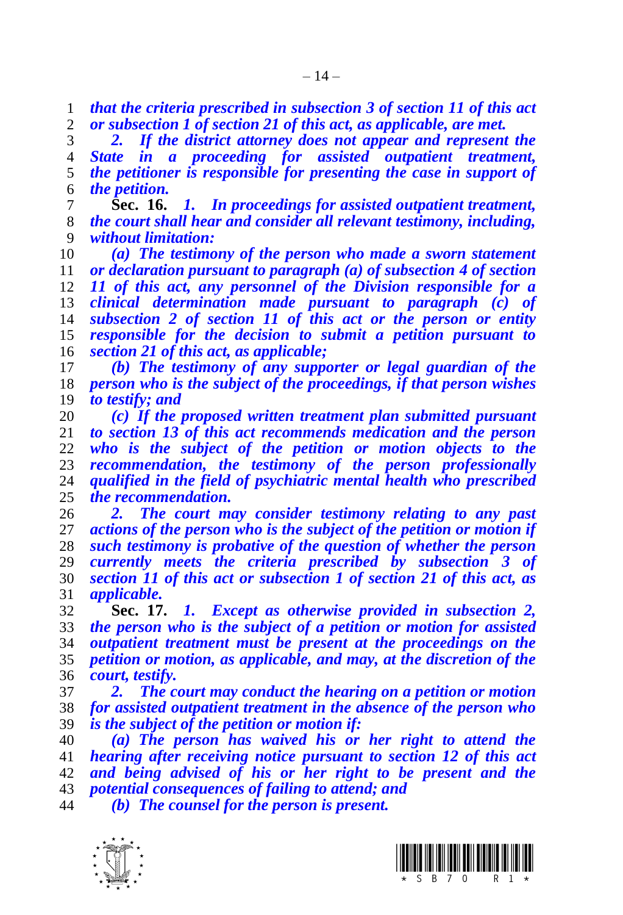*that the criteria prescribed in subsection 3 of section 11 of this act or subsection 1 of section 21 of this act, as applicable, are met.*

 *2. If the district attorney does not appear and represent the State in a proceeding for assisted outpatient treatment, the petitioner is responsible for presenting the case in support of the petition.*

 **Sec. 16.** *1. In proceedings for assisted outpatient treatment, the court shall hear and consider all relevant testimony, including, without limitation:*

 *(a) The testimony of the person who made a sworn statement or declaration pursuant to paragraph (a) of subsection 4 of section 11 of this act, any personnel of the Division responsible for a clinical determination made pursuant to paragraph (c) of subsection 2 of section 11 of this act or the person or entity responsible for the decision to submit a petition pursuant to section 21 of this act, as applicable;*

 *(b) The testimony of any supporter or legal guardian of the person who is the subject of the proceedings, if that person wishes to testify; and*

 *(c) If the proposed written treatment plan submitted pursuant to section 13 of this act recommends medication and the person who is the subject of the petition or motion objects to the recommendation, the testimony of the person professionally qualified in the field of psychiatric mental health who prescribed the recommendation.*

 *2. The court may consider testimony relating to any past actions of the person who is the subject of the petition or motion if such testimony is probative of the question of whether the person currently meets the criteria prescribed by subsection 3 of section 11 of this act or subsection 1 of section 21 of this act, as applicable.*

 **Sec. 17.** *1. Except as otherwise provided in subsection 2, the person who is the subject of a petition or motion for assisted outpatient treatment must be present at the proceedings on the petition or motion, as applicable, and may, at the discretion of the court, testify.*

 *2. The court may conduct the hearing on a petition or motion for assisted outpatient treatment in the absence of the person who is the subject of the petition or motion if:*

 *(a) The person has waived his or her right to attend the hearing after receiving notice pursuant to section 12 of this act and being advised of his or her right to be present and the potential consequences of failing to attend; and*

*(b) The counsel for the person is present.*



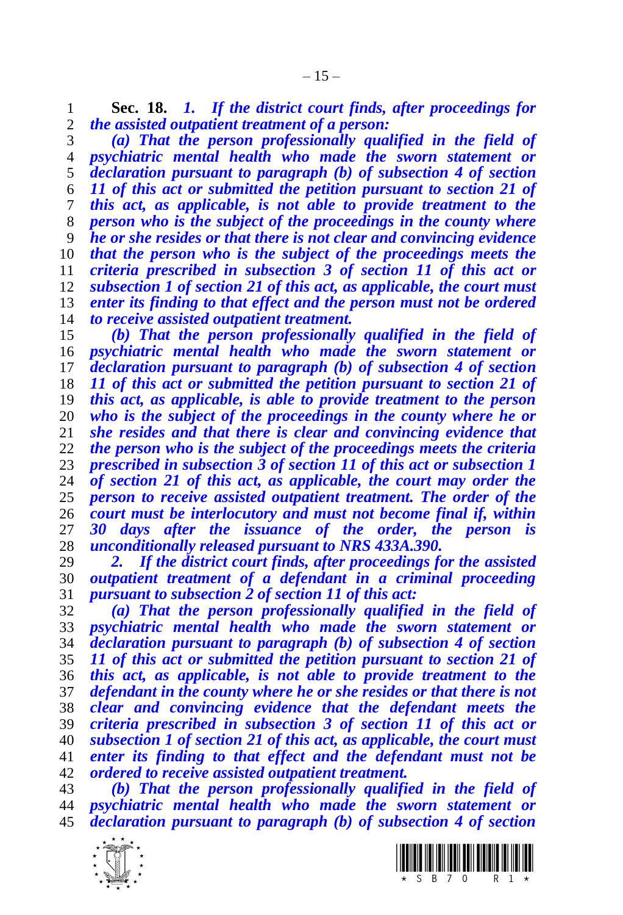**Sec. 18.** *1. If the district court finds, after proceedings for the assisted outpatient treatment of a person:*

 *(a) That the person professionally qualified in the field of psychiatric mental health who made the sworn statement or declaration pursuant to paragraph (b) of subsection 4 of section 11 of this act or submitted the petition pursuant to section 21 of this act, as applicable, is not able to provide treatment to the person who is the subject of the proceedings in the county where he or she resides or that there is not clear and convincing evidence that the person who is the subject of the proceedings meets the criteria prescribed in subsection 3 of section 11 of this act or subsection 1 of section 21 of this act, as applicable, the court must enter its finding to that effect and the person must not be ordered to receive assisted outpatient treatment.*

 *(b) That the person professionally qualified in the field of psychiatric mental health who made the sworn statement or declaration pursuant to paragraph (b) of subsection 4 of section 11 of this act or submitted the petition pursuant to section 21 of this act, as applicable, is able to provide treatment to the person who is the subject of the proceedings in the county where he or she resides and that there is clear and convincing evidence that the person who is the subject of the proceedings meets the criteria prescribed in subsection 3 of section 11 of this act or subsection 1 of section 21 of this act, as applicable, the court may order the person to receive assisted outpatient treatment. The order of the court must be interlocutory and must not become final if, within 30 days after the issuance of the order, the person is unconditionally released pursuant to NRS 433A.390.* 

 *2. If the district court finds, after proceedings for the assisted outpatient treatment of a defendant in a criminal proceeding pursuant to subsection 2 of section 11 of this act:*

 *(a) That the person professionally qualified in the field of psychiatric mental health who made the sworn statement or declaration pursuant to paragraph (b) of subsection 4 of section 11 of this act or submitted the petition pursuant to section 21 of this act, as applicable, is not able to provide treatment to the defendant in the county where he or she resides or that there is not clear and convincing evidence that the defendant meets the criteria prescribed in subsection 3 of section 11 of this act or subsection 1 of section 21 of this act, as applicable, the court must enter its finding to that effect and the defendant must not be ordered to receive assisted outpatient treatment.* 

 *(b) That the person professionally qualified in the field of psychiatric mental health who made the sworn statement or declaration pursuant to paragraph (b) of subsection 4 of section* 



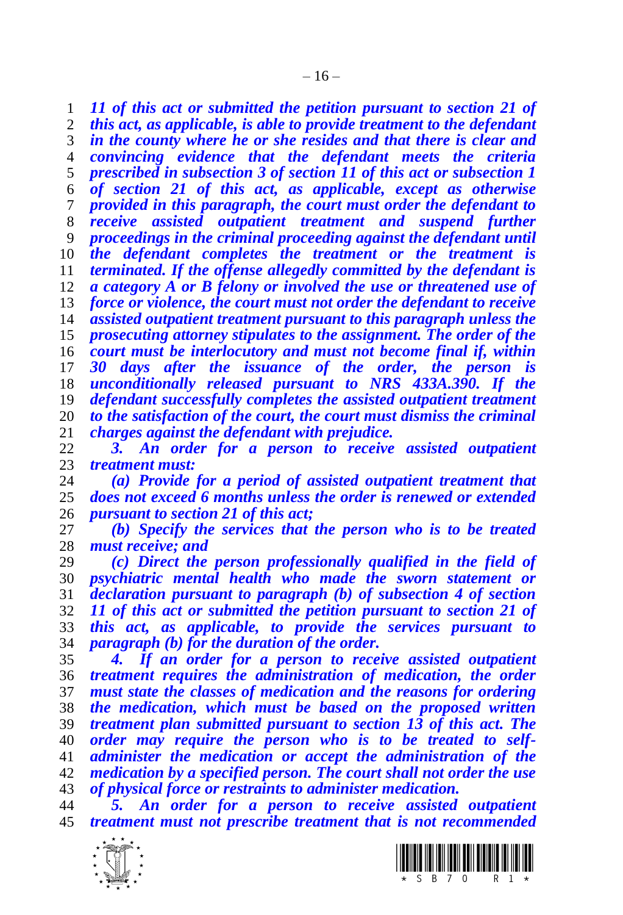*11 of this act or submitted the petition pursuant to section 21 of this act, as applicable, is able to provide treatment to the defendant in the county where he or she resides and that there is clear and convincing evidence that the defendant meets the criteria prescribed in subsection 3 of section 11 of this act or subsection 1 of section 21 of this act, as applicable, except as otherwise provided in this paragraph, the court must order the defendant to receive assisted outpatient treatment and suspend further proceedings in the criminal proceeding against the defendant until the defendant completes the treatment or the treatment is terminated. If the offense allegedly committed by the defendant is a category A or B felony or involved the use or threatened use of force or violence, the court must not order the defendant to receive assisted outpatient treatment pursuant to this paragraph unless the prosecuting attorney stipulates to the assignment. The order of the court must be interlocutory and must not become final if, within 30 days after the issuance of the order, the person is unconditionally released pursuant to NRS 433A.390. If the defendant successfully completes the assisted outpatient treatment to the satisfaction of the court, the court must dismiss the criminal charges against the defendant with prejudice.*

 *3. An order for a person to receive assisted outpatient treatment must:*

 *(a) Provide for a period of assisted outpatient treatment that does not exceed 6 months unless the order is renewed or extended pursuant to section 21 of this act;*

 *(b) Specify the services that the person who is to be treated must receive; and*

 *(c) Direct the person professionally qualified in the field of psychiatric mental health who made the sworn statement or declaration pursuant to paragraph (b) of subsection 4 of section 11 of this act or submitted the petition pursuant to section 21 of this act, as applicable, to provide the services pursuant to paragraph (b) for the duration of the order.*

 *4. If an order for a person to receive assisted outpatient treatment requires the administration of medication, the order must state the classes of medication and the reasons for ordering the medication, which must be based on the proposed written treatment plan submitted pursuant to section 13 of this act. The order may require the person who is to be treated to self- administer the medication or accept the administration of the medication by a specified person. The court shall not order the use of physical force or restraints to administer medication.*

 *5. An order for a person to receive assisted outpatient treatment must not prescribe treatment that is not recommended* 



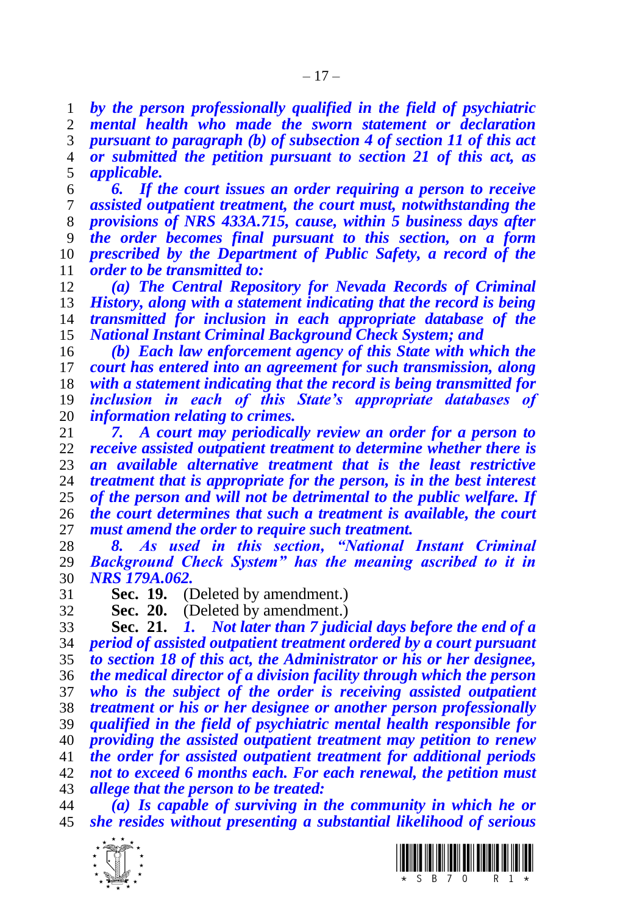*by the person professionally qualified in the field of psychiatric mental health who made the sworn statement or declaration pursuant to paragraph (b) of subsection 4 of section 11 of this act or submitted the petition pursuant to section 21 of this act, as applicable.*

 *6. If the court issues an order requiring a person to receive assisted outpatient treatment, the court must, notwithstanding the provisions of NRS 433A.715, cause, within 5 business days after the order becomes final pursuant to this section, on a form prescribed by the Department of Public Safety, a record of the order to be transmitted to:*

 *(a) The Central Repository for Nevada Records of Criminal History, along with a statement indicating that the record is being transmitted for inclusion in each appropriate database of the National Instant Criminal Background Check System; and*

 *(b) Each law enforcement agency of this State with which the court has entered into an agreement for such transmission, along with a statement indicating that the record is being transmitted for inclusion in each of this State's appropriate databases of information relating to crimes.*

 *7. A court may periodically review an order for a person to receive assisted outpatient treatment to determine whether there is an available alternative treatment that is the least restrictive treatment that is appropriate for the person, is in the best interest of the person and will not be detrimental to the public welfare. If the court determines that such a treatment is available, the court must amend the order to require such treatment.*

 *8. As used in this section, "National Instant Criminal Background Check System" has the meaning ascribed to it in NRS 179A.062.*

**Sec. 19.** (Deleted by amendment.)

**Sec. 20.** (Deleted by amendment.)

 **Sec. 21.** *1. Not later than 7 judicial days before the end of a period of assisted outpatient treatment ordered by a court pursuant to section 18 of this act, the Administrator or his or her designee, the medical director of a division facility through which the person who is the subject of the order is receiving assisted outpatient treatment or his or her designee or another person professionally qualified in the field of psychiatric mental health responsible for providing the assisted outpatient treatment may petition to renew the order for assisted outpatient treatment for additional periods not to exceed 6 months each. For each renewal, the petition must allege that the person to be treated:*

 *(a) Is capable of surviving in the community in which he or she resides without presenting a substantial likelihood of serious* 



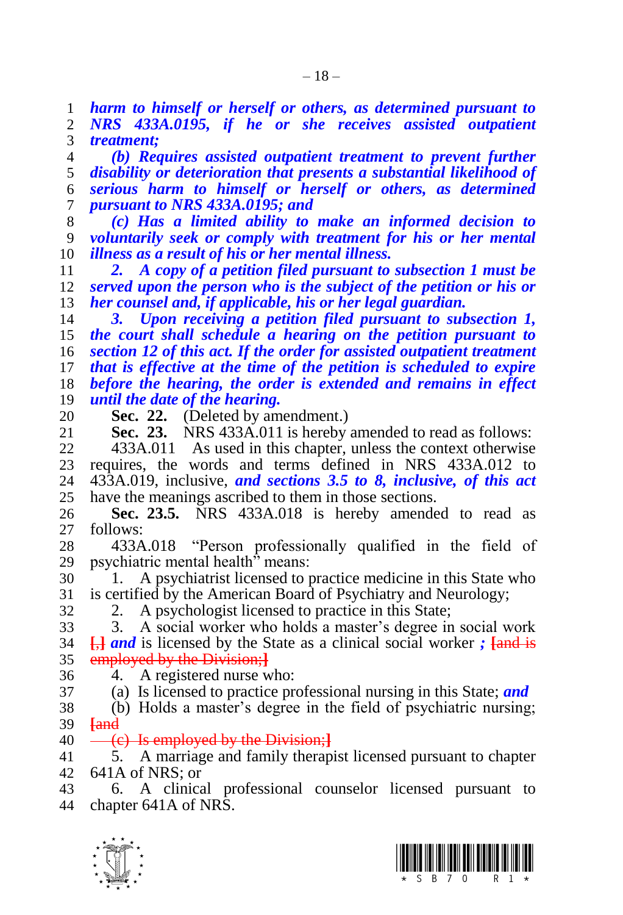*harm to himself or herself or others, as determined pursuant to NRS 433A.0195, if he or she receives assisted outpatient treatment;* 

 *(b) Requires assisted outpatient treatment to prevent further disability or deterioration that presents a substantial likelihood of serious harm to himself or herself or others, as determined pursuant to NRS 433A.0195; and* 

 *(c) Has a limited ability to make an informed decision to voluntarily seek or comply with treatment for his or her mental illness as a result of his or her mental illness.*

 *2. A copy of a petition filed pursuant to subsection 1 must be served upon the person who is the subject of the petition or his or her counsel and, if applicable, his or her legal guardian.*

 *3. Upon receiving a petition filed pursuant to subsection 1, the court shall schedule a hearing on the petition pursuant to section 12 of this act. If the order for assisted outpatient treatment that is effective at the time of the petition is scheduled to expire before the hearing, the order is extended and remains in effect until the date of the hearing.*

20 **Sec. 22.** (Deleted by amendment.)<br>21 **Sec. 23.** NRS 433A.011 is hereby **NRS 433A.011** is hereby amended to read as follows:

 433A.011 As used in this chapter, unless the context otherwise 23 requires, the words and terms defined in NRS  $433A.012$  to  $24$   $433A.019$  inclusive, and sections 3.5 to 8, inclusive, of this act 433A.019, inclusive, *and sections 3.5 to 8, inclusive, of this act*  have the meanings ascribed to them in those sections.

 **Sec. 23.5.** NRS 433A.018 is hereby amended to read as follows:

 433A.018 "Person professionally qualified in the field of psychiatric mental health" means:

 1. A psychiatrist licensed to practice medicine in this State who is certified by the American Board of Psychiatry and Neurology;

2. A psychologist licensed to practice in this State;

 3. A social worker who holds a master's degree in social work **[**,**]** *and* is licensed by the State as a clinical social worker *;* **[**and is employed by the Division;**]**

- 4. A registered nurse who:
- (a) Is licensed to practice professional nursing in this State; *and*

 (b) Holds a master's degree in the field of psychiatric nursing; **[**and

(c) Is employed by the Division;**]**

 5. A marriage and family therapist licensed pursuant to chapter 641A of NRS; or

 6. A clinical professional counselor licensed pursuant to chapter 641A of NRS.



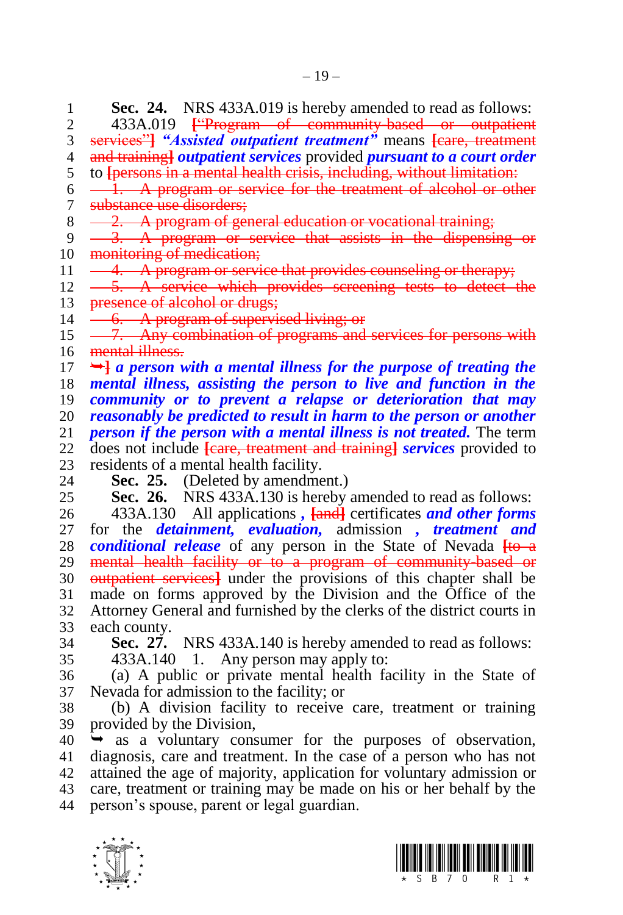**Sec. 24.** NRS 433A.019 is hereby amended to read as follows:<br>2. 433A.019 <del>F Program of community based or outpatient</del> 433A.019 **[**"Program of community-based or outpatient services"**]** *"Assisted outpatient treatment"* means **[**care, treatment and training**]** *outpatient services* provided *pursuant to a court order* to **[**persons in a mental health crisis, including, without limitation:  $6 \longrightarrow 1$ . A program or service for the treatment of alcohol or other substance use disorders;  $8 \leftarrow 2$ . A program of general education or vocational training; 9 <del>3. A program or service that assists in the dispensing or</del> 10 monitoring of medication; 11 -4. A program or service that provides counseling or therapy;  $12 \quad -5.$  A service which provides screening tests to detect the 13 presence of alcohol or drugs;  $14 \quad -6. \quad A$  program of supervised living; or  $15 - 7$ . Any combination of programs and services for persons with 16 mental illness.  $17 \rightarrow a$  person with a mental illness for the purpose of treating the *mental illness, assisting the person to live and function in the community or to prevent a relapse or deterioration that may reasonably be predicted to result in harm to the person or another person if the person with a mental illness is not treated.* The term does not include **[**care, treatment and training**]** *services* provided to 23 residents of a mental health facility.<br>24 **Sec. 25.** (Deleted by amendme **Sec. 25.** (Deleted by amendment.) **Sec. 26.** NRS 433A.130 is hereby amended to read as follows: 433A.130 All applications *,* **[**and**]** certificates *and other forms*  for the *detainment, evaluation,* admission *, treatment and conditional release* of any person in the State of Nevada  $\frac{1}{10}$  mental health facility or to a program of community-based or outpatient services**]** under the provisions of this chapter shall be made on forms approved by the Division and the Office of the Attorney General and furnished by the clerks of the district courts in each county. **Sec. 27.** NRS 433A.140 is hereby amended to read as follows: 433A.140 1. Any person may apply to: (a) A public or private mental health facility in the State of Nevada for admission to the facility; or (b) A division facility to receive care, treatment or training provided by the Division,  $40 \rightarrow \text{as a voluntary consumer for the purposes of observation,}$  diagnosis, care and treatment. In the case of a person who has not attained the age of majority, application for voluntary admission or care, treatment or training may be made on his or her behalf by the person's spouse, parent or legal guardian.



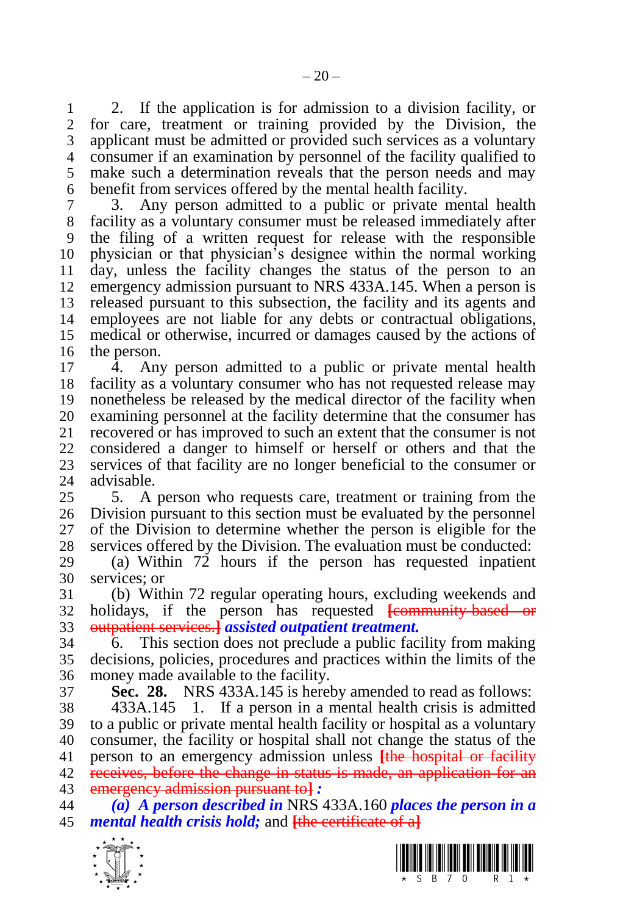1 2. If the application is for admission to a division facility, or 2 for care, treatment or training provided by the Division, the for care, treatment or training provided by the Division, the applicant must be admitted or provided such services as a voluntary consumer if an examination by personnel of the facility qualified to make such a determination reveals that the person needs and may benefit from services offered by the mental health facility.

 3. Any person admitted to a public or private mental health facility as a voluntary consumer must be released immediately after the filing of a written request for release with the responsible physician or that physician's designee within the normal working day, unless the facility changes the status of the person to an emergency admission pursuant to NRS 433A.145. When a person is released pursuant to this subsection, the facility and its agents and employees are not liable for any debts or contractual obligations, medical or otherwise, incurred or damages caused by the actions of the person.

 4. Any person admitted to a public or private mental health facility as a voluntary consumer who has not requested release may nonetheless be released by the medical director of the facility when 20 examining personnel at the facility determine that the consumer has 21 recovered or has improved to such an extent that the consumer is not recovered or has improved to such an extent that the consumer is not considered a danger to himself or herself or others and that the 23 services of that facility are no longer beneficial to the consumer or 24 advisable. advisable.

 5. A person who requests care, treatment or training from the Division pursuant to this section must be evaluated by the personnel of the Division to determine whether the person is eligible for the services offered by the Division. The evaluation must be conducted:

 (a) Within 72 hours if the person has requested inpatient services; or

 (b) Within 72 regular operating hours, excluding weekends and holidays, if the person has requested **[**community-based or outpatient services.**]** *assisted outpatient treatment.*

 6. This section does not preclude a public facility from making decisions, policies, procedures and practices within the limits of the money made available to the facility.

**Sec. 28.** NRS 433A.145 is hereby amended to read as follows:

 433A.145 1. If a person in a mental health crisis is admitted to a public or private mental health facility or hospital as a voluntary consumer, the facility or hospital shall not change the status of the person to an emergency admission unless **[**the hospital or facility receives, before the change in status is made, an application for an emergency admission pursuant to**]** *:*

 *(a) A person described in* NRS 433A.160 *places the person in a mental health crisis hold;* and **[**the certificate of a**]**



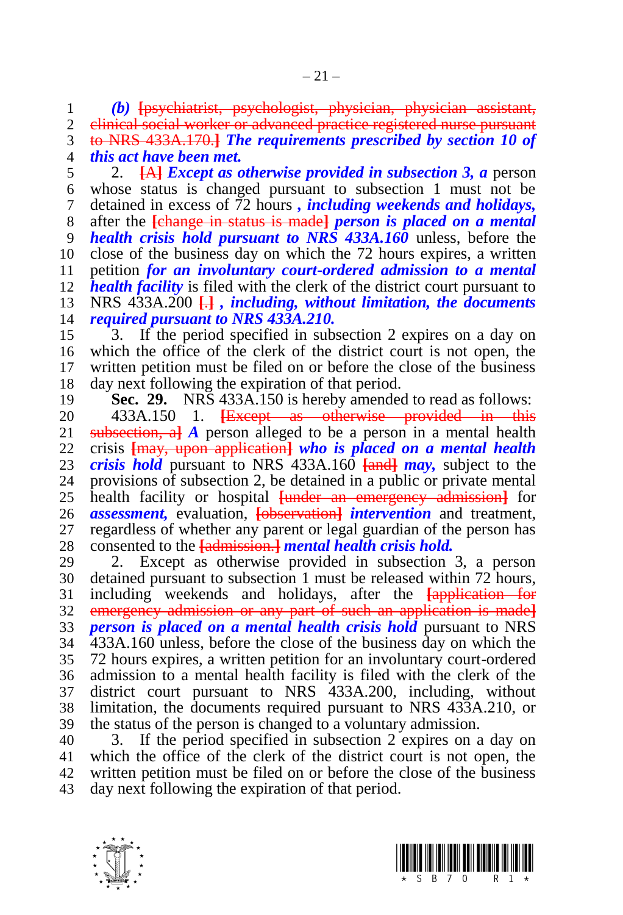*(b)* **[**psychiatrist, psychologist, physician, physician assistant, clinical social worker or advanced practice registered nurse pursuant to NRS 433A.170.**]** *The requirements prescribed by section 10 of this act have been met.*

 2. **[**A**]** *Except as otherwise provided in subsection 3, a* person whose status is changed pursuant to subsection 1 must not be detained in excess of 72 hours *, including weekends and holidays,* after the **[**change in status is made**]** *person is placed on a mental health crisis hold pursuant to NRS 433A.160* unless, before the close of the business day on which the 72 hours expires, a written petition *for an involuntary court-ordered admission to a mental health facility* is filed with the clerk of the district court pursuant to NRS 433A.200 **[**.**]** *, including, without limitation, the documents required pursuant to NRS 433A.210.*

 3. If the period specified in subsection 2 expires on a day on which the office of the clerk of the district court is not open, the written petition must be filed on or before the close of the business day next following the expiration of that period.

**Sec. 29.** NRS 433A.150 is hereby amended to read as follows:

20 433A.150 1. <del>[Except as otherwise provided in this</del> 21 subsection, all A person alleged to be a person in a mental health **Examplementally a a** person alleged to be a person in a mental health crisis **[**may, upon application**]** *who is placed on a mental health crisis hold* pursuant to NRS 433A.160 **[**and**]** *may,* subject to the provisions of subsection 2, be detained in a public or private mental health facility or hospital **[**under an emergency admission**]** for *assessment,* evaluation, **[**observation**]** *intervention* and treatment, regardless of whether any parent or legal guardian of the person has consented to the **[**admission.**]** *mental health crisis hold.*

 2. Except as otherwise provided in subsection 3, a person detained pursuant to subsection 1 must be released within 72 hours, including weekends and holidays, after the **[**application for emergency admission or any part of such an application is made**]** *person is placed on a mental health crisis hold* pursuant to NRS 433A.160 unless, before the close of the business day on which the 72 hours expires, a written petition for an involuntary court-ordered admission to a mental health facility is filed with the clerk of the district court pursuant to NRS 433A.200, including, without limitation, the documents required pursuant to NRS 433A.210, or the status of the person is changed to a voluntary admission.

 3. If the period specified in subsection 2 expires on a day on which the office of the clerk of the district court is not open, the written petition must be filed on or before the close of the business day next following the expiration of that period.



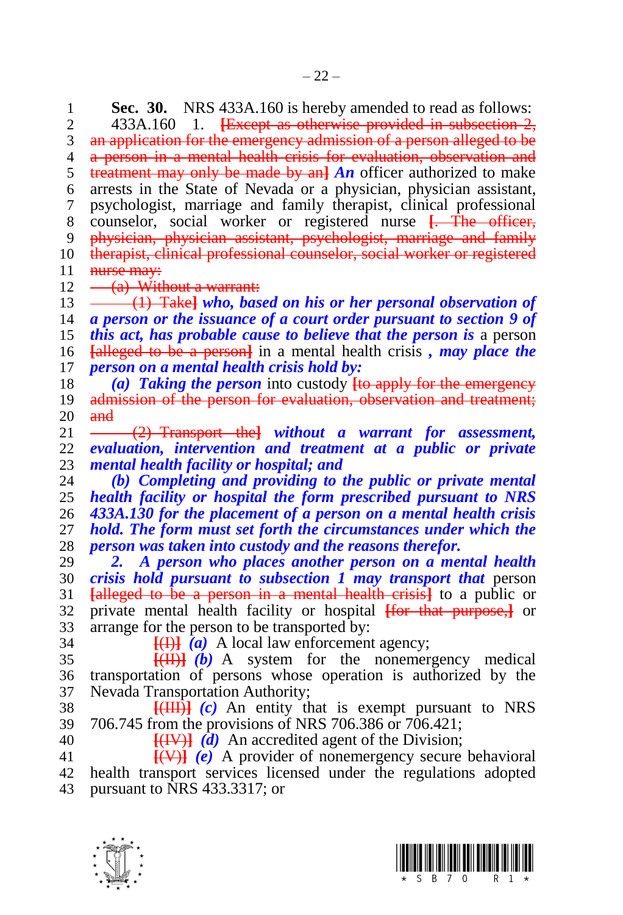**Sec. 30.** NRS 433A.160 is hereby amended to read as follows:<br>2. 433A.160 1. <del>Fixe ept as otherwise provided in subsection 2.</del> 433A.160 1. **[**Except as otherwise provided in subsection 2, 3 an application for the emergency admission of a person alleged to be a person in a mental health crisis for evaluation, observation and treatment may only be made by an**]** *An* officer authorized to make arrests in the State of Nevada or a physician, physician assistant, psychologist, marriage and family therapist, clinical professional counselor, social worker or registered nurse **[**. The officer, physician, physician assistant, psychologist, marriage and family therapist, clinical professional counselor, social worker or registered **nurse may:**<br>12  $-$  (a) With  $(a)$  Without a warrant: (1) Take**]** *who, based on his or her personal observation of a person or the issuance of a court order pursuant to section 9 of this act, has probable cause to believe that the person is* a person **[**alleged to be a person**]** in a mental health crisis *, may place the person on a mental health crisis hold by: (a) Taking the person* into custody **[**to apply for the emergency 19 admission of the person for evaluation, observation and treatment;

 $\begin{array}{c} 20 \ \ \frac{\text{and}}{21} \end{array}$  (2) Transport the**]** *without a warrant for assessment, evaluation, intervention and treatment at a public or private mental health facility or hospital; and*

 *(b) Completing and providing to the public or private mental health facility or hospital the form prescribed pursuant to NRS 433A.130 for the placement of a person on a mental health crisis hold. The form must set forth the circumstances under which the person was taken into custody and the reasons therefor.*

 *2. A person who places another person on a mental health crisis hold pursuant to subsection 1 may transport that* person **[**alleged to be a person in a mental health crisis**]** to a public or private mental health facility or hospital **[**for that purpose,**]** or arrange for the person to be transported by:

34  $\overline{f(H)}$   $\overline{a}$  A local law enforcement agency;

 **[**(II)**]** *(b)* A system for the nonemergency medical transportation of persons whose operation is authorized by the Nevada Transportation Authority;

 **[**(III)**]** *(c)* An entity that is exempt pursuant to NRS 706.745 from the provisions of NRS 706.386 or 706.421;

**[**(IV)**]** *(d)* An accredited agent of the Division;

 **[**(V)**]** *(e)* A provider of nonemergency secure behavioral health transport services licensed under the regulations adopted pursuant to NRS 433.3317; or

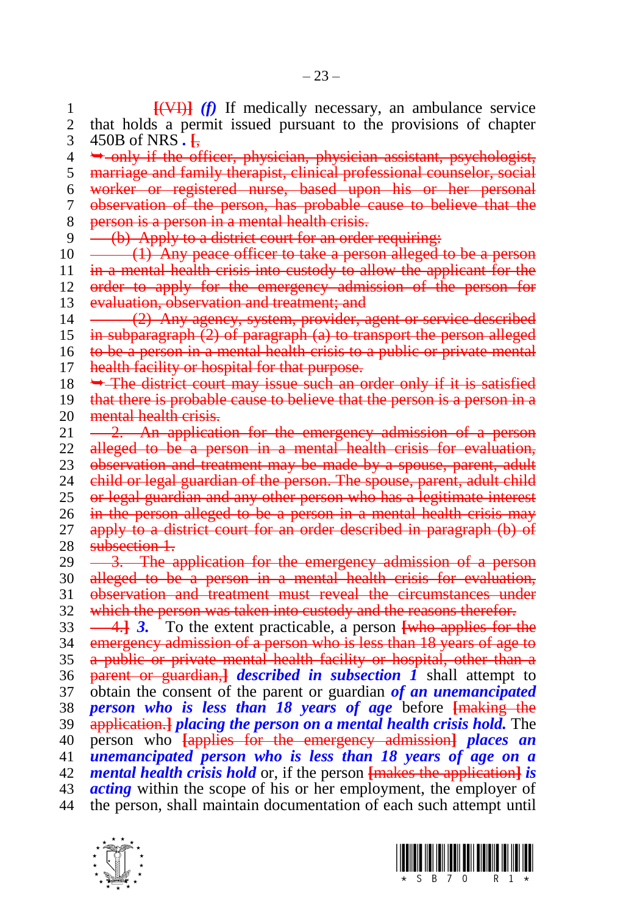1 **[(VI)** *(f)* If medically necessary, an ambulance service 2 that holds a permit issued pursuant to the provisions of chapter 2 that holds a permit issued pursuant to the provisions of chapter 3 450B of NRS *.* **[**,  $4 \rightarrow -mly$  if the officer, physician, physician assistant, psychologist, 5 marriage and family therapist, clinical professional counselor, social 6 worker or registered nurse, based upon his or her personal 7 observation of the person, has probable cause to believe that the 8 person is a person in a mental health crisis.<br>9 (b) Apply to a district court for an order (b) Apply to a district court for an order requiring:  $10 \leftarrow$  (1) Any peace officer to take a person alleged to be a person 11 in a mental health crisis into custody to allow the applicant for the 12 order to apply for the emergency admission of the person for 13 evaluation, observation and treatment; and 14 (2) Any agency, system, provider, agent or service described 15 in subparagraph (2) of paragraph (a) to transport the person alleged 16 to be a person in a mental health crisis to a public or private mental 17 health facility or hospital for that purpose. 18  $\rightarrow$  The district court may issue such an order only if it is satisfied 19 that there is probable cause to believe that the person is a person in a 20 mental health crisis.<br>21  $-2$ . An applicati 2. An application for the emergency admission of a person 22 alleged to be a person in a mental health crisis for evaluation. 23 observation and treatment may be made by a spouse, parent, adult 24 child or legal guardian of the person. The spouse, parent, adult child 24 child or legal guardian of the person. The spouse, parent, adult child 25 or legal guardian and any other person who has a legitimate interest 26 in the person alleged to be a person in a mental health crisis may 27 apply to a district court for an order described in paragraph (b) of 28 subsection 1. 29 <del>3. The application for the emergency admission of a person</del> 30 alleged to be a person in a mental health crisis for evaluation, 31 observation and treatment must reveal the circumstances under 32 which the person was taken into custody and the reasons therefor. 33 4.**]** *3.* To the extent practicable, a person **[**who applies for the 34 emergency admission of a person who is less than 18 years of age to 35 a public or private mental health facility or hospital, other than a 36 parent or guardian,**]** *described in subsection 1* shall attempt to 37 obtain the consent of the parent or guardian *of an unemancipated*  38 *person who is less than 18 years of age* before **[**making the 39 application.**]** *placing the person on a mental health crisis hold.* The 40 person who **[**applies for the emergency admission**]** *places an*  41 *unemancipated person who is less than 18 years of age on a*  42 *mental health crisis hold* or, if the person **[**makes the application**]** *is*  43 *acting* within the scope of his or her employment, the employer of 44 the person, shall maintain documentation of each such attempt until



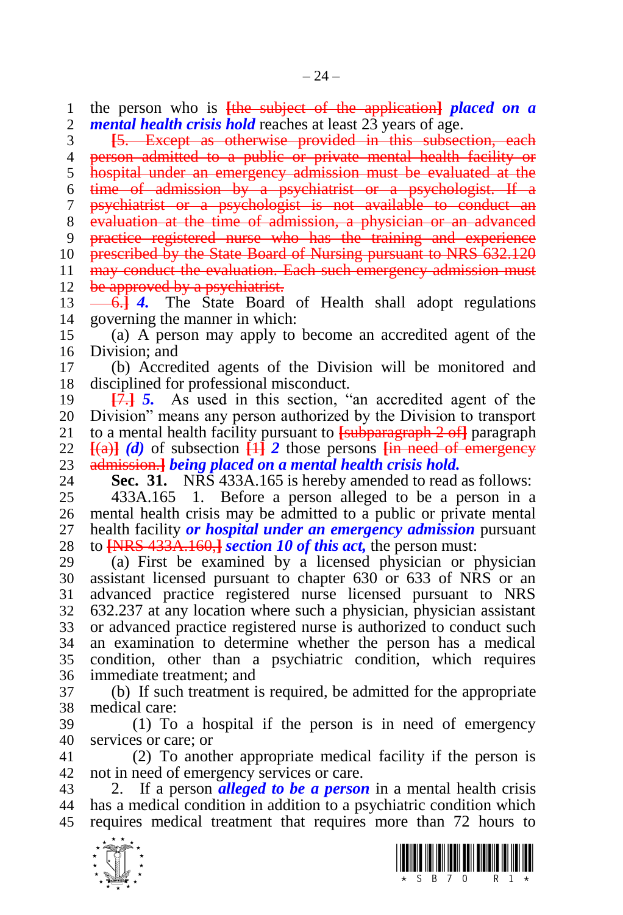the person who is **[**the subject of the application**]** *placed on a mental health crisis hold* reaches at least 23 years of age.

 **[**5. Except as otherwise provided in this subsection, each 4 person admitted to a public or private mental health facility or hospital under an emergency admission must be evaluated at the time of admission by a psychiatrist or a psychologist. If a psychiatrist or a psychologist is not available to conduct an evaluation at the time of admission, a physician or an advanced practice registered nurse who has the training and experience 10 prescribed by the State Board of Nursing pursuant to NRS 632.120 may conduct the evaluation. Each such emergency admission must 12 be approved by a psychiatrist.

13 ––6.<sup>1</sup> *4*. The State Board of Health shall adopt regulations governing the manner in which:

 (a) A person may apply to become an accredited agent of the Division; and

 (b) Accredited agents of the Division will be monitored and disciplined for professional misconduct.

 **[**7.**]** *5.* As used in this section, "an accredited agent of the Division" means any person authorized by the Division to transport to a mental health facility pursuant to **[**subparagraph 2 of**]** paragraph  $[(a)]$  *(d)* of subsection  $[1]$  2 those persons  $[1]$  **in need of emergency** admission.**]** *being placed on a mental health crisis hold.*

**Sec. 31.** NRS 433A.165 is hereby amended to read as follows:

 433A.165 1. Before a person alleged to be a person in a mental health crisis may be admitted to a public or private mental health facility *or hospital under an emergency admission* pursuant to **[**NRS 433A.160,**]** *section 10 of this act,* the person must:

 (a) First be examined by a licensed physician or physician assistant licensed pursuant to chapter 630 or 633 of NRS or an advanced practice registered nurse licensed pursuant to NRS 632.237 at any location where such a physician, physician assistant or advanced practice registered nurse is authorized to conduct such an examination to determine whether the person has a medical condition, other than a psychiatric condition, which requires immediate treatment; and

 (b) If such treatment is required, be admitted for the appropriate medical care:

 (1) To a hospital if the person is in need of emergency services or care; or

 (2) To another appropriate medical facility if the person is not in need of emergency services or care.

 2. If a person *alleged to be a person* in a mental health crisis has a medical condition in addition to a psychiatric condition which requires medical treatment that requires more than 72 hours to



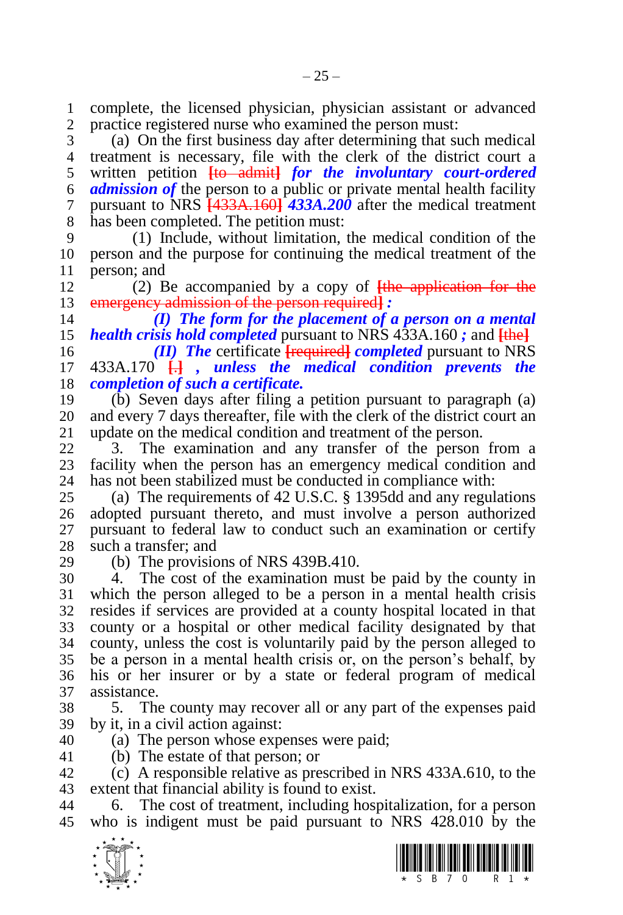complete, the licensed physician, physician assistant or advanced practice registered nurse who examined the person must:

 (a) On the first business day after determining that such medical treatment is necessary, file with the clerk of the district court a written petition **[**to admit**]** *for the involuntary court-ordered admission of* the person to a public or private mental health facility pursuant to NRS **[**433A.160**]** *433A.200* after the medical treatment has been completed. The petition must:

 (1) Include, without limitation, the medical condition of the person and the purpose for continuing the medical treatment of the 11 person; and<br>12 (2) B

 (2) Be accompanied by a copy of **[**the application for the emergency admission of the person required**]** *:*

 *(I) The form for the placement of a person on a mental health crisis hold completed* pursuant to NRS 433A.160 *;* and **[**the**]**

 *(II) The* certificate **[**required**]** *completed* pursuant to NRS 433A.170 **[**.**]** *, unless the medical condition prevents the completion of such a certificate.*

 (b) Seven days after filing a petition pursuant to paragraph (a) 20 and every 7 days thereafter, file with the clerk of the district court an update on the medical condition and treatment of the person. update on the medical condition and treatment of the person.

 3. The examination and any transfer of the person from a 23 facility when the person has an emergency medical condition and 24 has not been stabilized must be conducted in compliance with: has not been stabilized must be conducted in compliance with:

 (a) The requirements of 42 U.S.C. § 1395dd and any regulations adopted pursuant thereto, and must involve a person authorized pursuant to federal law to conduct such an examination or certify such a transfer; and

(b) The provisions of NRS 439B.410.

 4. The cost of the examination must be paid by the county in which the person alleged to be a person in a mental health crisis resides if services are provided at a county hospital located in that county or a hospital or other medical facility designated by that county, unless the cost is voluntarily paid by the person alleged to be a person in a mental health crisis or, on the person's behalf, by his or her insurer or by a state or federal program of medical assistance.

 5. The county may recover all or any part of the expenses paid by it, in a civil action against:

(a) The person whose expenses were paid;

(b) The estate of that person; or

 (c) A responsible relative as prescribed in NRS 433A.610, to the extent that financial ability is found to exist.

 6. The cost of treatment, including hospitalization, for a person who is indigent must be paid pursuant to NRS 428.010 by the



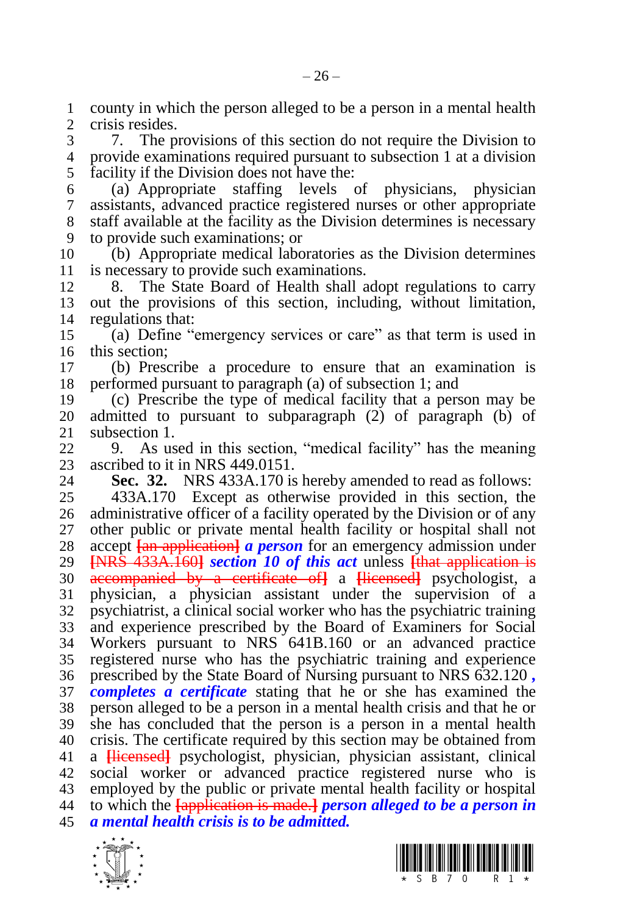1 county in which the person alleged to be a person in a mental health 2 crisis resides. crisis resides.

 7. The provisions of this section do not require the Division to provide examinations required pursuant to subsection 1 at a division facility if the Division does not have the:

 (a) Appropriate staffing levels of physicians, physician assistants, advanced practice registered nurses or other appropriate staff available at the facility as the Division determines is necessary to provide such examinations; or

 (b) Appropriate medical laboratories as the Division determines is necessary to provide such examinations.

 8. The State Board of Health shall adopt regulations to carry out the provisions of this section, including, without limitation, regulations that:

 (a) Define "emergency services or care" as that term is used in this section;

 (b) Prescribe a procedure to ensure that an examination is performed pursuant to paragraph (a) of subsection 1; and

 (c) Prescribe the type of medical facility that a person may be admitted to pursuant to subparagraph (2) of paragraph (b) of subsection 1.

 9. As used in this section, "medical facility" has the meaning 23 ascribed to it in NRS 449.0151.<br>24 **Sec. 32.** NRS 433A.170 is

**Sec. 32.** NRS 433A.170 is hereby amended to read as follows:

 433A.170 Except as otherwise provided in this section, the administrative officer of a facility operated by the Division or of any other public or private mental health facility or hospital shall not 28 accept **[an application]** *a person* for an emergency admission under 29 **INRS** 433A.1601 *section 10 of this act* unless **[that application is [**NRS 433A.160**]** *section 10 of this act* unless **[**that application is accompanied by a certificate of**]** a **[**licensed**]** psychologist, a physician, a physician assistant under the supervision of a psychiatrist, a clinical social worker who has the psychiatric training and experience prescribed by the Board of Examiners for Social Workers pursuant to NRS 641B.160 or an advanced practice registered nurse who has the psychiatric training and experience prescribed by the State Board of Nursing pursuant to NRS 632.120 *, completes a certificate* stating that he or she has examined the person alleged to be a person in a mental health crisis and that he or she has concluded that the person is a person in a mental health 40 crisis. The certificate required by this section may be obtained from<br>41 a Hicensedl psychologist, physician, physician assistant, clinical a **[**licensed**]** psychologist, physician, physician assistant, clinical social worker or advanced practice registered nurse who is employed by the public or private mental health facility or hospital to which the **[**application is made.**]** *person alleged to be a person in a mental health crisis is to be admitted.*



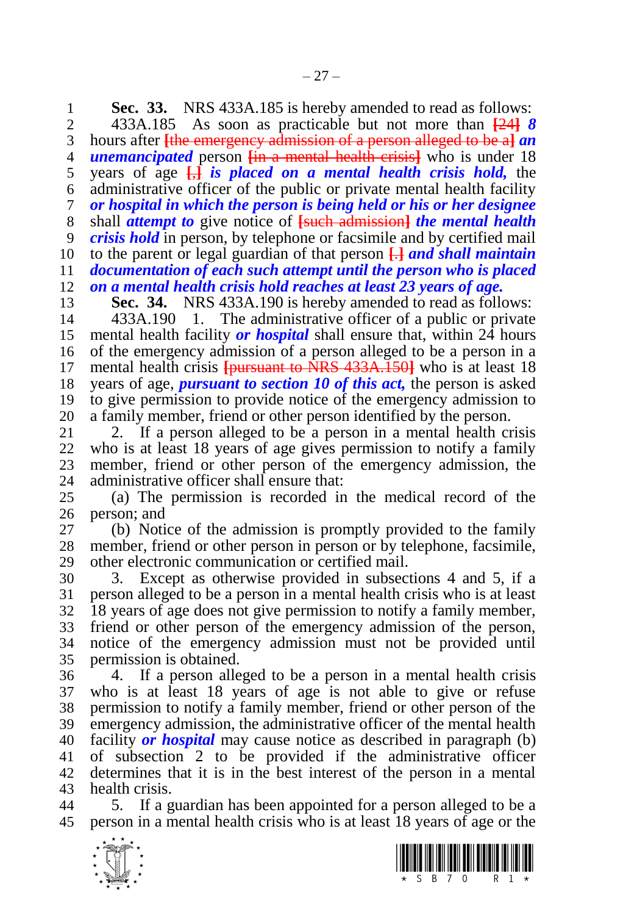**Sec. 33.** NRS 433A.185 is hereby amended to read as follows:<br>2. 433A.185 As soon as practicable but not more than  $\frac{1241}{8}$ 

 433A.185 As soon as practicable but not more than **[**24**]** *8*  hours after **[**the emergency admission of a person alleged to be a**]** *an unemancipated* person **[**in a mental health crisis**]** who is under 18 years of age **[**,**]** *is placed on a mental health crisis hold,* the administrative officer of the public or private mental health facility *or hospital in which the person is being held or his or her designee*  shall *attempt to* give notice of **[**such admission**]** *the mental health crisis hold* in person, by telephone or facsimile and by certified mail to the parent or legal guardian of that person **[**.**]** *and shall maintain documentation of each such attempt until the person who is placed on a mental health crisis hold reaches at least 23 years of age.*

**Sec. 34.** NRS 433A.190 is hereby amended to read as follows:

 433A.190 1. The administrative officer of a public or private mental health facility *or hospital* shall ensure that, within 24 hours of the emergency admission of a person alleged to be a person in a mental health crisis **[**pursuant to NRS 433A.150**]** who is at least 18 years of age, *pursuant to section 10 of this act,* the person is asked to give permission to provide notice of the emergency admission to

20 a family member, friend or other person identified by the person.<br>21 2. If a person alleged to be a person in a mental health cr 2. If a person alleged to be a person in a mental health crisis who is at least 18 years of age gives permission to notify a family 23 member, friend or other person of the emergency admission, the administrative officer shall ensure that: administrative officer shall ensure that:

 (a) The permission is recorded in the medical record of the person; and

 (b) Notice of the admission is promptly provided to the family member, friend or other person in person or by telephone, facsimile, other electronic communication or certified mail.

 3. Except as otherwise provided in subsections 4 and 5, if a person alleged to be a person in a mental health crisis who is at least 18 years of age does not give permission to notify a family member, friend or other person of the emergency admission of the person, notice of the emergency admission must not be provided until permission is obtained.

 4. If a person alleged to be a person in a mental health crisis who is at least 18 years of age is not able to give or refuse permission to notify a family member, friend or other person of the emergency admission, the administrative officer of the mental health facility *or hospital* may cause notice as described in paragraph (b) of subsection 2 to be provided if the administrative officer determines that it is in the best interest of the person in a mental health crisis.

 5. If a guardian has been appointed for a person alleged to be a person in a mental health crisis who is at least 18 years of age or the



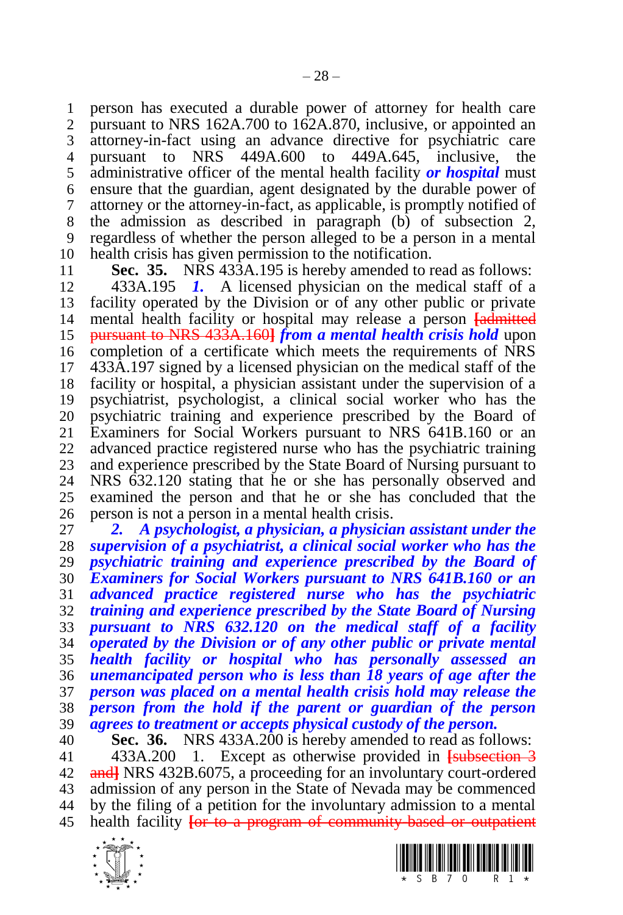person has executed a durable power of attorney for health care pursuant to NRS 162A.700 to 162A.870, inclusive, or appointed an attorney-in-fact using an advance directive for psychiatric care pursuant to NRS 449A.600 to 449A.645, inclusive, the administrative officer of the mental health facility *or hospital* must ensure that the guardian, agent designated by the durable power of attorney or the attorney-in-fact, as applicable, is promptly notified of the admission as described in paragraph (b) of subsection 2, regardless of whether the person alleged to be a person in a mental health crisis has given permission to the notification.

**Sec. 35.** NRS 433A.195 is hereby amended to read as follows:

 433A.195 *1.* A licensed physician on the medical staff of a facility operated by the Division or of any other public or private mental health facility or hospital may release a person **[**admitted pursuant to NRS 433A.160**]** *from a mental health crisis hold* upon completion of a certificate which meets the requirements of NRS 433A.197 signed by a licensed physician on the medical staff of the facility or hospital, a physician assistant under the supervision of a psychiatrist, psychologist, a clinical social worker who has the psychiatric training and experience prescribed by the Board of Examiners for Social Workers pursuant to NRS 641B.160 or an advanced practice registered nurse who has the psychiatric training 23 and experience prescribed by the State Board of Nursing pursuant to 24 NRS 632.120 stating that he or she has personally observed and NRS 632.120 stating that he or she has personally observed and examined the person and that he or she has concluded that the person is not a person in a mental health crisis.

 *2. A psychologist, a physician, a physician assistant under the supervision of a psychiatrist, a clinical social worker who has the psychiatric training and experience prescribed by the Board of Examiners for Social Workers pursuant to NRS 641B.160 or an advanced practice registered nurse who has the psychiatric training and experience prescribed by the State Board of Nursing pursuant to NRS 632.120 on the medical staff of a facility operated by the Division or of any other public or private mental health facility or hospital who has personally assessed an unemancipated person who is less than 18 years of age after the person was placed on a mental health crisis hold may release the person from the hold if the parent or guardian of the person agrees to treatment or accepts physical custody of the person.* 

 **Sec. 36.** NRS 433A.200 is hereby amended to read as follows: 433A.200 1. Except as otherwise provided in **[**subsection 3 and**]** NRS 432B.6075, a proceeding for an involuntary court-ordered admission of any person in the State of Nevada may be commenced by the filing of a petition for the involuntary admission to a mental health facility **[**or to a program of community-based or outpatient



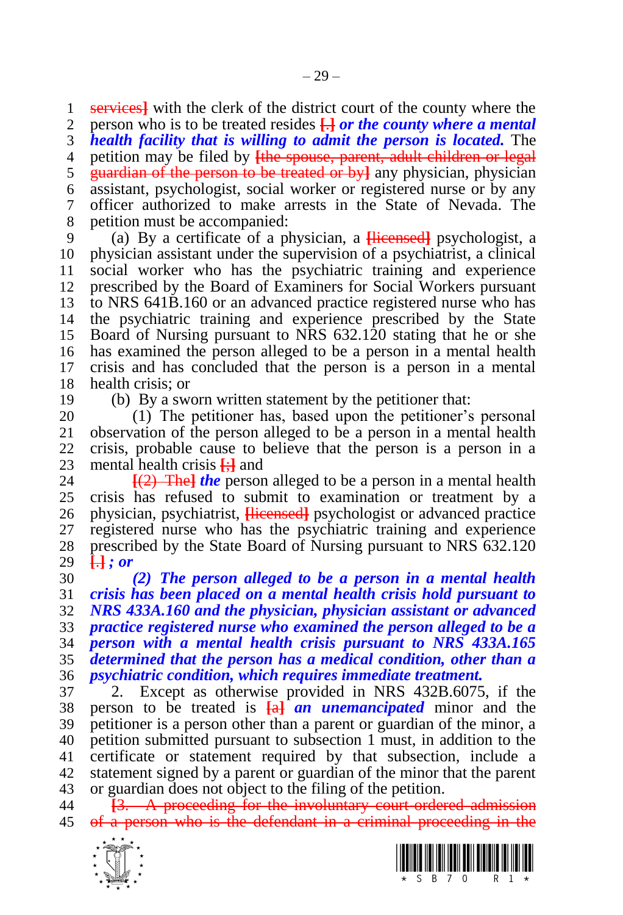services**]** with the clerk of the district court of the county where the person who is to be treated resides **[**.**]** *or the county where a mental health facility that is willing to admit the person is located.* The petition may be filed by **[**the spouse, parent, adult children or legal guardian of the person to be treated or by**]** any physician, physician assistant, psychologist, social worker or registered nurse or by any officer authorized to make arrests in the State of Nevada. The

petition must be accompanied:

 (a) By a certificate of a physician, a **[**licensed**]** psychologist, a physician assistant under the supervision of a psychiatrist, a clinical social worker who has the psychiatric training and experience prescribed by the Board of Examiners for Social Workers pursuant to NRS 641B.160 or an advanced practice registered nurse who has the psychiatric training and experience prescribed by the State Board of Nursing pursuant to NRS 632.120 stating that he or she has examined the person alleged to be a person in a mental health crisis and has concluded that the person is a person in a mental health crisis; or

(b) By a sworn written statement by the petitioner that:

 (1) The petitioner has, based upon the petitioner's personal observation of the person alleged to be a person in a mental health crisis, probable cause to believe that the person is a person in a 23 mental health crisis  $\frac{1}{2}$  and 24 **[(2)** The *I* the person

 **[**(2) The**]** *the* person alleged to be a person in a mental health crisis has refused to submit to examination or treatment by a physician, psychiatrist, **[**licensed**]** psychologist or advanced practice registered nurse who has the psychiatric training and experience prescribed by the State Board of Nursing pursuant to NRS 632.120 **[**.**]** *; or*

 *(2) The person alleged to be a person in a mental health crisis has been placed on a mental health crisis hold pursuant to NRS 433A.160 and the physician, physician assistant or advanced practice registered nurse who examined the person alleged to be a person with a mental health crisis pursuant to NRS 433A.165 determined that the person has a medical condition, other than a psychiatric condition, which requires immediate treatment.*

 2. Except as otherwise provided in NRS 432B.6075, if the person to be treated is **[**a**]** *an unemancipated* minor and the petitioner is a person other than a parent or guardian of the minor, a petition submitted pursuant to subsection 1 must, in addition to the certificate or statement required by that subsection, include a statement signed by a parent or guardian of the minor that the parent or guardian does not object to the filing of the petition.

 **[**3. A proceeding for the involuntary court-ordered admission of a person who is the defendant in a criminal proceeding in the



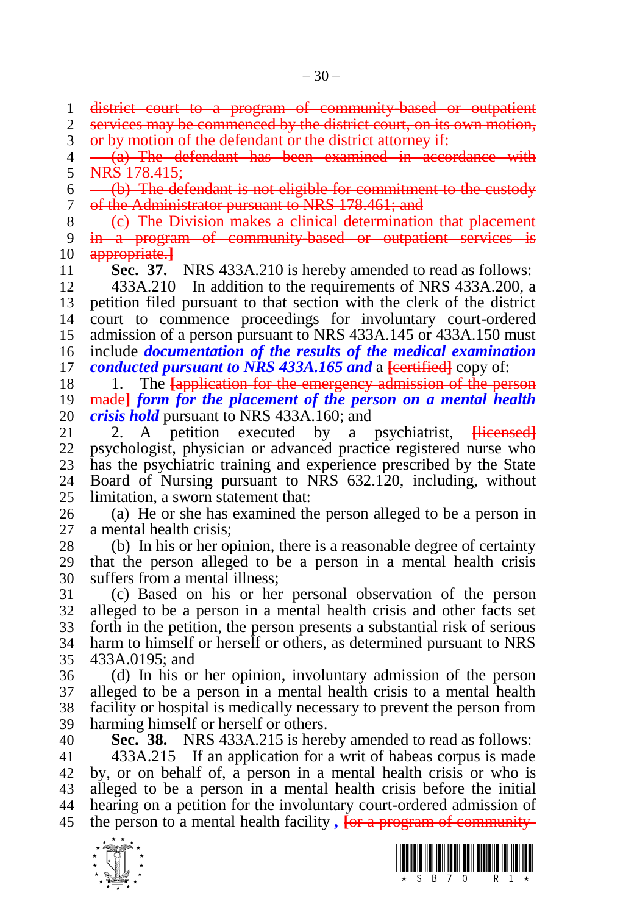district court to a program of community-based or outpatient

2 services may be commenced by the district court, on its own motion,

or by motion of the defendant or the district attorney if:

 $4 - \frac{a}{a}$  The defendant has been examined in accordance with 5 NRS 178.415;

 $6 \leftarrow$  (b) The defendant is not eligible for commitment to the custody of the Administrator pursuant to NRS 178.461; and

 $8 \leftarrow \text{(c)}$  The Division makes a clinical determination that placement

 in a program of community-based or outpatient services is appropriate.**]**

**Sec. 37.** NRS 433A.210 is hereby amended to read as follows:

 433A.210 In addition to the requirements of NRS 433A.200, a petition filed pursuant to that section with the clerk of the district court to commence proceedings for involuntary court-ordered admission of a person pursuant to NRS 433A.145 or 433A.150 must include *documentation of the results of the medical examination conducted pursuant to NRS 433A.165 and* a **[**eertified] copy of:

 1. The **[**application for the emergency admission of the person made**]** *form for the placement of the person on a mental health crisis hold* pursuant to NRS 433A.160; and

 2. A petition executed by a psychiatrist, **[**licensed**]** psychologist, physician or advanced practice registered nurse who 23 has the psychiatric training and experience prescribed by the State 24 Board of Nursing pursuant to NRS 632.120, including without Board of Nursing pursuant to NRS 632.120, including, without limitation, a sworn statement that:

 (a) He or she has examined the person alleged to be a person in a mental health crisis;

 (b) In his or her opinion, there is a reasonable degree of certainty that the person alleged to be a person in a mental health crisis suffers from a mental illness;

 (c) Based on his or her personal observation of the person alleged to be a person in a mental health crisis and other facts set forth in the petition, the person presents a substantial risk of serious harm to himself or herself or others, as determined pursuant to NRS 433A.0195; and

 (d) In his or her opinion, involuntary admission of the person alleged to be a person in a mental health crisis to a mental health facility or hospital is medically necessary to prevent the person from harming himself or herself or others.

 **Sec. 38.** NRS 433A.215 is hereby amended to read as follows: 433A.215 If an application for a writ of habeas corpus is made

 by, or on behalf of, a person in a mental health crisis or who is alleged to be a person in a mental health crisis before the initial hearing on a petition for the involuntary court-ordered admission of the person to a mental health facility *,* **[**or a program of community-



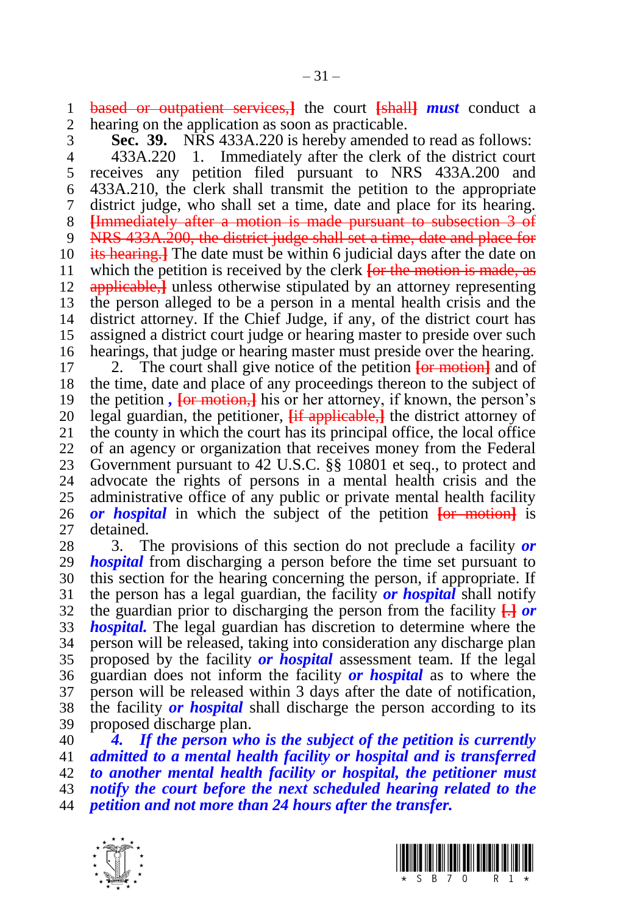based or outpatient services,**]** the court **[**shall**]** *must* conduct a hearing on the application as soon as practicable.

 **Sec. 39.** NRS 433A.220 is hereby amended to read as follows: 433A.220 1. Immediately after the clerk of the district court

 receives any petition filed pursuant to NRS 433A.200 and 433A.210, the clerk shall transmit the petition to the appropriate district judge, who shall set a time, date and place for its hearing. **[**Immediately after a motion is made pursuant to subsection 3 of 9 NRS 433A.200, the district judge shall set a time, date and place for its hearing.**]** The date must be within 6 judicial days after the date on which the petition is received by the clerk **[**or the motion is made, as applicable,**]** unless otherwise stipulated by an attorney representing the person alleged to be a person in a mental health crisis and the district attorney. If the Chief Judge, if any, of the district court has assigned a district court judge or hearing master to preside over such hearings, that judge or hearing master must preside over the hearing.

 2. The court shall give notice of the petition **[**or motion**]** and of the time, date and place of any proceedings thereon to the subject of the petition *,* **[**or motion,**]** his or her attorney, if known, the person's legal guardian, the petitioner, **[**if applicable,**]** the district attorney of the county in which the court has its principal office, the local office of an agency or organization that receives money from the Federal 23 Government pursuant to 42 U.S.C. §§ 10801 et seq., to protect and 24 advocate the rights of persons in a mental health crisis and the advocate the rights of persons in a mental health crisis and the administrative office of any public or private mental health facility *or hospital* in which the subject of the petition **[**or motion**]** is detained.

 3. The provisions of this section do not preclude a facility *or hospital* from discharging a person before the time set pursuant to this section for the hearing concerning the person, if appropriate. If the person has a legal guardian, the facility *or hospital* shall notify the guardian prior to discharging the person from the facility **[**.**]** *or hospital.* The legal guardian has discretion to determine where the person will be released, taking into consideration any discharge plan proposed by the facility *or hospital* assessment team. If the legal guardian does not inform the facility *or hospital* as to where the person will be released within 3 days after the date of notification, the facility *or hospital* shall discharge the person according to its proposed discharge plan.

 *4. If the person who is the subject of the petition is currently admitted to a mental health facility or hospital and is transferred to another mental health facility or hospital, the petitioner must notify the court before the next scheduled hearing related to the petition and not more than 24 hours after the transfer.*



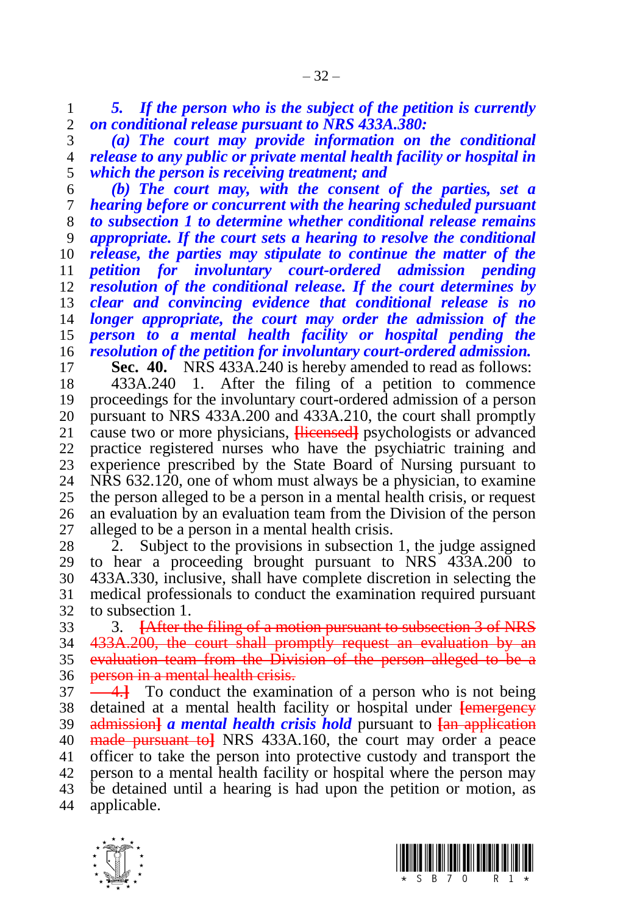*5. If the person who is the subject of the petition is currently on conditional release pursuant to NRS 433A.380:*

 *(a) The court may provide information on the conditional release to any public or private mental health facility or hospital in which the person is receiving treatment; and*

 *(b) The court may, with the consent of the parties, set a hearing before or concurrent with the hearing scheduled pursuant to subsection 1 to determine whether conditional release remains appropriate. If the court sets a hearing to resolve the conditional release, the parties may stipulate to continue the matter of the petition for involuntary court-ordered admission pending resolution of the conditional release. If the court determines by clear and convincing evidence that conditional release is no longer appropriate, the court may order the admission of the person to a mental health facility or hospital pending the resolution of the petition for involuntary court-ordered admission.*

**Sec. 40.** NRS 433A.240 is hereby amended to read as follows:

 433A.240 1. After the filing of a petition to commence proceedings for the involuntary court-ordered admission of a person 20 pursuant to NRS 433A.200 and 433A.210, the court shall promptly 21 cause two or more physicians. Here each psychologists or advanced cause two or more physicians, **[licensed]** psychologists or advanced practice registered nurses who have the psychiatric training and 23 experience prescribed by the State Board of Nursing pursuant to 24 NRS 632.120, one of whom must always be a physician, to examine  $NRS$  632.120, one of whom must always be a physician, to examine the person alleged to be a person in a mental health crisis, or request an evaluation by an evaluation team from the Division of the person alleged to be a person in a mental health crisis.

28 2. Subject to the provisions in subsection 1, the judge assigned 29 to hear a proceeding brought pursuant to NRS 433A.200 to to hear a proceeding brought pursuant to NRS 433A.200 to 433A.330, inclusive, shall have complete discretion in selecting the medical professionals to conduct the examination required pursuant to subsection 1.

 3. **[**After the filing of a motion pursuant to subsection 3 of NRS 433A.200, the court shall promptly request an evaluation by an evaluation team from the Division of the person alleged to be a **person in a mental health crisis.** 

 4.**]** To conduct the examination of a person who is not being detained at a mental health facility or hospital under **[**emergency admission**]** *a mental health crisis hold* pursuant to **[**an application made pursuant to**]** NRS 433A.160, the court may order a peace officer to take the person into protective custody and transport the person to a mental health facility or hospital where the person may be detained until a hearing is had upon the petition or motion, as applicable.



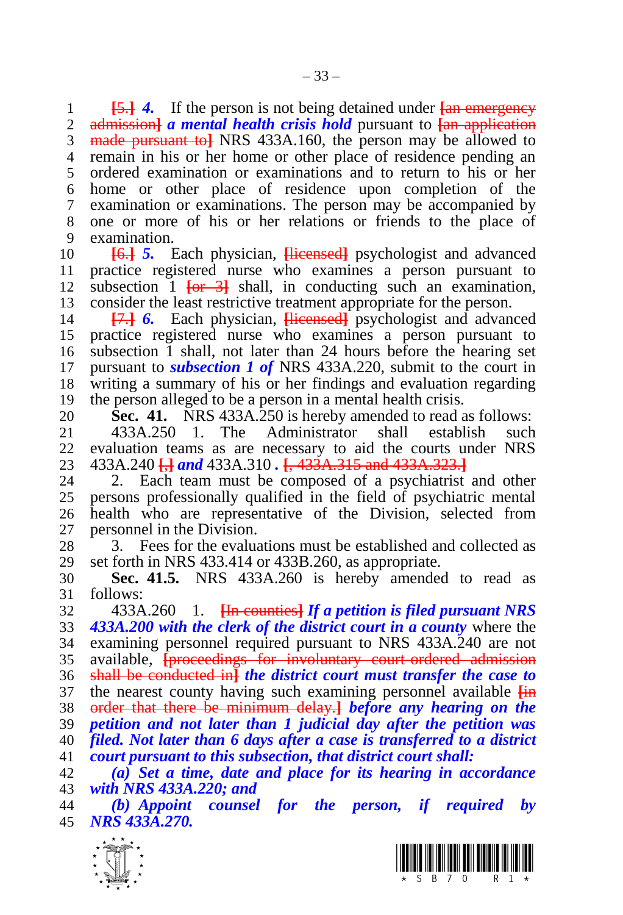**[**5.**]** *4.* If the person is not being detained under **[**an emergency **Example 3** a *mental health crisis hold* pursuant to  $\frac{1}{2}$  and application made pursuant to**]** NRS 433A.160, the person may be allowed to remain in his or her home or other place of residence pending an ordered examination or examinations and to return to his or her home or other place of residence upon completion of the examination or examinations. The person may be accompanied by one or more of his or her relations or friends to the place of examination.

 **[**6.**]** *5.* Each physician, **[**licensed**]** psychologist and advanced practice registered nurse who examines a person pursuant to subsection 1 **[**or 3**]** shall, in conducting such an examination, consider the least restrictive treatment appropriate for the person.

 **[**7.**]** *6.* Each physician, **[**licensed**]** psychologist and advanced practice registered nurse who examines a person pursuant to subsection 1 shall, not later than 24 hours before the hearing set pursuant to *subsection 1 of* NRS 433A.220, submit to the court in writing a summary of his or her findings and evaluation regarding the person alleged to be a person in a mental health crisis.

**Sec. 41.** NRS 433A.250 is hereby amended to read as follows:<br>21 433A.250 1. The Administrator shall establish such 433A.250 1. The Administrator shall establish such evaluation teams as are necessary to aid the courts under NRS 433A.240 **[**,**]** *and* 433A.310 *.* **[**, 433A.315 and 433A.323.**]**

2. Each team must be composed of a psychiatrist and other persons professionally qualified in the field of psychiatric mental health who are representative of the Division, selected from personnel in the Division.

 3. Fees for the evaluations must be established and collected as set forth in NRS 433.414 or 433B.260, as appropriate.

 **Sec. 41.5.** NRS 433A.260 is hereby amended to read as follows:

 433A.260 1. **[**In counties**]** *If a petition is filed pursuant NRS 433A.200 with the clerk of the district court in a county* where the examining personnel required pursuant to NRS 433A.240 are not available, **[**proceedings for involuntary court-ordered admission shall be conducted in**]** *the district court must transfer the case to*  the nearest county having such examining personnel available **[**in order that there be minimum delay.**]** *before any hearing on the petition and not later than 1 judicial day after the petition was filed. Not later than 6 days after a case is transferred to a district court pursuant to this subsection, that district court shall:*

 *(a) Set a time, date and place for its hearing in accordance with NRS 433A.220; and*

 *(b) Appoint counsel for the person, if required by NRS 433A.270.* 



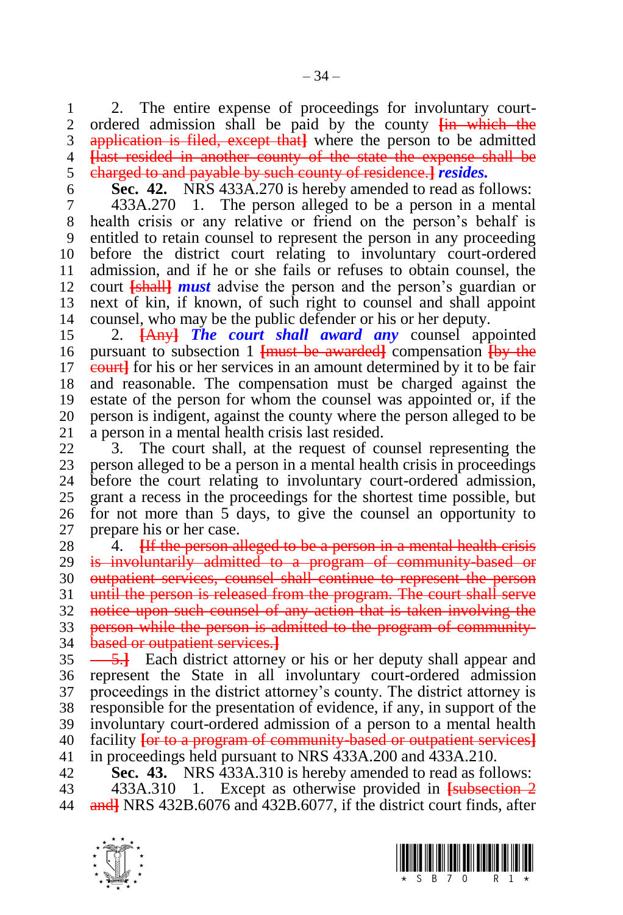1 2. The entire expense of proceedings for involuntary court-<br>2. ordered admission shall be paid by the county  $\frac{1}{2}$  which the ordered admission shall be paid by the county **[**in which the application is filed, except that**]** where the person to be admitted **[**last resided in another county of the state the expense shall be charged to and payable by such county of residence.**]** *resides.*

**Sec. 42.** NRS 433A.270 is hereby amended to read as follows:

 433A.270 1. The person alleged to be a person in a mental health crisis or any relative or friend on the person's behalf is entitled to retain counsel to represent the person in any proceeding before the district court relating to involuntary court-ordered admission, and if he or she fails or refuses to obtain counsel, the court **[**shall**]** *must* advise the person and the person's guardian or next of kin, if known, of such right to counsel and shall appoint counsel, who may be the public defender or his or her deputy.

 2. **[**Any**]** *The court shall award any* counsel appointed pursuant to subsection 1 **[**must be awarded**]** compensation **[**by the 17 e<del>quarti</del> for his or her services in an amount determined by it to be fair and reasonable. The compensation must be charged against the estate of the person for whom the counsel was appointed or, if the 20 person is indigent, against the county where the person alleged to be 21 a person in a mental health crisis last resided. a person in a mental health crisis last resided.

 3. The court shall, at the request of counsel representing the 23 person alleged to be a person in a mental health crisis in proceedings<br>24 before the court relating to involuntary court-ordered admission. before the court relating to involuntary court-ordered admission, grant a recess in the proceedings for the shortest time possible, but for not more than 5 days, to give the counsel an opportunity to prepare his or her case.

28 <sup>4</sup>. **Hetal alleged to be a person in a mental health crisis**  is involuntarily admitted to a program of community-based or outpatient services, counsel shall continue to represent the person 31 until the person is released from the program. The court shall serve notice upon such counsel of any action that is taken involving the person while the person is admitted to the program of community-based or outpatient services.**]**

 $\frac{5.1}{2}$  Each district attorney or his or her deputy shall appear and represent the State in all involuntary court-ordered admission proceedings in the district attorney's county. The district attorney is responsible for the presentation of evidence, if any, in support of the involuntary court-ordered admission of a person to a mental health facility **[**or to a program of community-based or outpatient services**]** in proceedings held pursuant to NRS 433A.200 and 433A.210.

**Sec. 43.** NRS 433A.310 is hereby amended to read as follows:

 433A.310 1. Except as otherwise provided in **[**subsection 2 and**]** NRS 432B.6076 and 432B.6077, if the district court finds, after



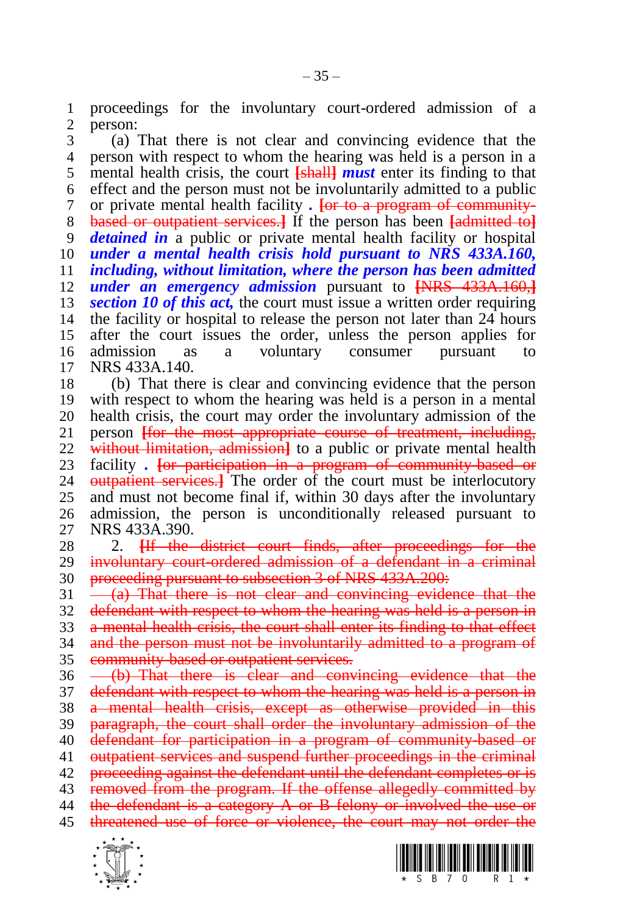proceedings for the involuntary court-ordered admission of a person:

 (a) That there is not clear and convincing evidence that the person with respect to whom the hearing was held is a person in a mental health crisis, the court **[**shall**]** *must* enter its finding to that effect and the person must not be involuntarily admitted to a public or private mental health facility *.* **[**or to a program of community- based or outpatient services.**]** If the person has been **[**admitted to**]** *detained in* a public or private mental health facility or hospital *under a mental health crisis hold pursuant to NRS 433A.160, including, without limitation, where the person has been admitted under an emergency admission* pursuant to **[**NRS 433A.160,**]** *section 10 of this act,* the court must issue a written order requiring the facility or hospital to release the person not later than 24 hours after the court issues the order, unless the person applies for admission as a voluntary consumer pursuant to NRS 433A.140.

 (b) That there is clear and convincing evidence that the person with respect to whom the hearing was held is a person in a mental 20 health crisis, the court may order the involuntary admission of the person **Ifor the most appropriate course of treatment**, including, person **[for the most appropriate course of treatment, including,**  without limitation, admission**]** to a public or private mental health 23 facility *.* For participation in a program of community based or 24 outpatient services 1 The order of the court must be interlocutory **EXECUTE:**  $\frac{1}{2}$  The order of the court must be interlocutory and must not become final if, within 30 days after the involuntary admission, the person is unconditionally released pursuant to NRS 433A.390.

 2. **[**If the district court finds, after proceedings for the involuntary court-ordered admission of a defendant in a criminal 30 proceeding pursuant to subsection 3 of NRS 433A.200:

 $31 \frac{1}{2}$  That there is not clear and convincing evidence that the 32 defendant with respect to whom the hearing was held is a person in a mental health crisis, the court shall enter its finding to that effect and the person must not be involuntarily admitted to a program of community-based or outpatient services.

36 (b) That there is clear and convincing evidence that the 37 defendant with respect to whom the hearing was held is a person in a mental health crisis, except as otherwise provided in this 39 paragraph, the court shall order the involuntary admission of the defendant for participation in a program of community-based or 41 outpatient services and suspend further proceedings in the criminal proceeding against the defendant until the defendant completes or is removed from the program. If the offense allegedly committed by 44 the defendant is a category A or B felony or involved the use or threatened use of force or violence, the court may not order the



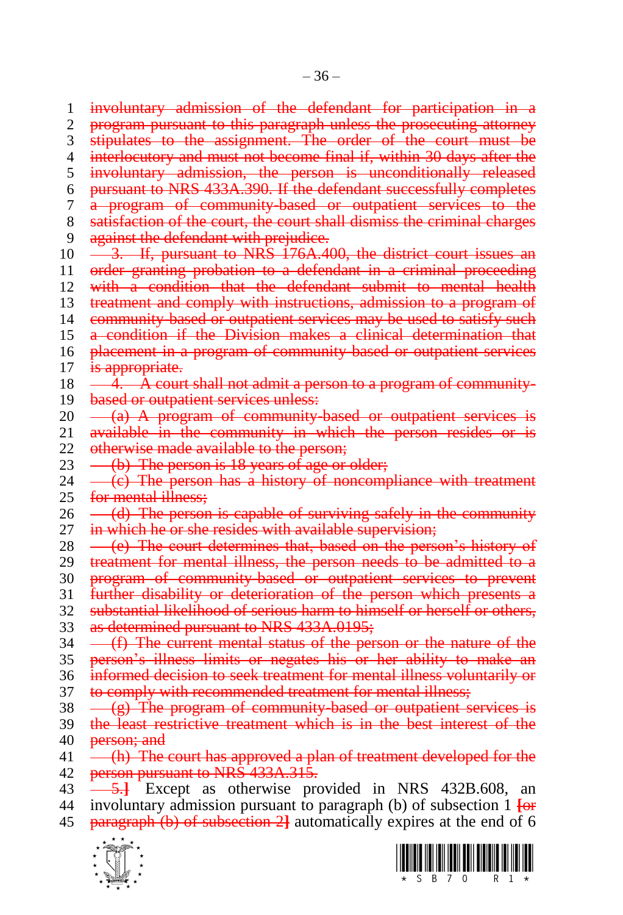1 involuntary admission of the defendant for participation in 2 program pursuant to this paragraph unless the prosecuting attorney 3 stipulates to the assignment. The order of the court must be 4 interlocutory and must not become final if, within 30 days after the 5 involuntary admission, the person is unconditionally released 6 pursuant to NRS 433A.390. If the defendant successfully completes 7 a program of community-based or outpatient services to the 8 satisfaction of the court, the court shall dismiss the criminal charges 9 against the defendant with prejudice. 10  $\rightarrow$  3. If, pursuant to NRS 176A.400, the district court issues an 11 order granting probation to a defendant in a criminal proceeding 12 with a condition that the defendant submit to mental health 13 treatment and comply with instructions, admission to a program of 14 community-based or outpatient services may be used to satisfy such 15 a condition if the Division makes a clinical determination that 16 placement in a program of community based or outpatient services 17 is appropriate.  $18 \quad -4. \quad \overline{A}$  court shall not admit a person to a program of community-19 based or outpatient services unless:  $20 -\frac{a}{a}$  A program of community-based or outpatient services is 21 available in the community in which the person resides or is 22 otherwise made available to the person; 23  $\rightarrow$  (b) The person is 18 years of age or older;  $24 \left( \left( \text{c} \right) \right)$  The person has a history of noncompliance with treatment 25 for mental illness:  $26 \quad -\text{(d)}$  The person is capable of surviving safely in the community 27 in which he or she resides with available supervision;  $28 \leftarrow (e)$  The court determines that, based on the person's history of 29 treatment for mental illness, the person needs to be admitted to a 30 program of community-based or outpatient services to prevent 31 further disability or deterioration of the person which presents a 32 substantial likelihood of serious harm to himself or herself or others, 33 as determined pursuant to NRS 433A.0195;  $34 \leftarrow$  (f) The current mental status of the person or the nature of the 35 person's illness limits or negates his or her ability to make an 36 informed decision to seek treatment for mental illness voluntarily or 37 to comply with recommended treatment for mental illness;  $38 \left( \frac{\text{g}}{\text{g}} \right)$  The program of community-based or outpatient services is 39 the least restrictive treatment which is in the best interest of the 40 **person**; and 41 (h) The court has approved a plan of treatment developed for the 42 person pursuant to NRS 433A.315.

43 5.**]** Except as otherwise provided in NRS 432B.608, an 44 involuntary admission pursuant to paragraph (b) of subsection 1 **[**or 45 paragraph (b) of subsection 2**]** automatically expires at the end of 6



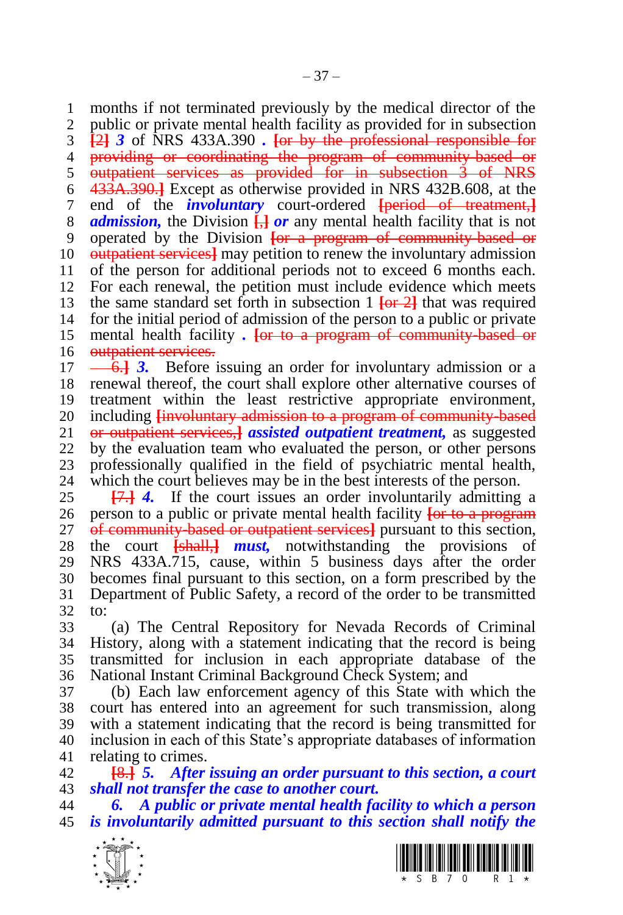months if not terminated previously by the medical director of the public or private mental health facility as provided for in subsection **[**2**]** *3* of NRS 433A.390 *.* **[**or by the professional responsible for providing or coordinating the program of community-based or 5 outpatient services as provided for in subsection 3 of NRS 433A.390.**]** Except as otherwise provided in NRS 432B.608, at the end of the *involuntary* court-ordered **[**period of treatment,**]** *admission,* the Division **[**,**]** *or* any mental health facility that is not operated by the Division **[**or a program of community-based or outpatient services**]** may petition to renew the involuntary admission of the person for additional periods not to exceed 6 months each. For each renewal, the petition must include evidence which meets the same standard set forth in subsection 1 **[**or 2**]** that was required for the initial period of admission of the person to a public or private mental health facility *.* **[**or to a program of community-based or 16 outpatient services.

 $\leftarrow$  6.<sup>1</sup> 3. Before issuing an order for involuntary admission or a renewal thereof, the court shall explore other alternative courses of treatment within the least restrictive appropriate environment, 20 including *E E involuntary admission to a program of community based* 21 *or outpatient services. A assisted outpatient treatment, as suggested*  or outpatient services,**]** *assisted outpatient treatment,* as suggested by the evaluation team who evaluated the person, or other persons 23 professionally qualified in the field of psychiatric mental health,<br>24 which the court believes may be in the best interests of the person. which the court believes may be in the best interests of the person.

 **[**7.**]** *4.* If the court issues an order involuntarily admitting a person to a public or private mental health facility **[**or to a program of community-based or outpatient services**]** pursuant to this section, the court **[**shall,**]** *must,* notwithstanding the provisions of NRS 433A.715, cause, within 5 business days after the order becomes final pursuant to this section, on a form prescribed by the Department of Public Safety, a record of the order to be transmitted to:

 (a) The Central Repository for Nevada Records of Criminal History, along with a statement indicating that the record is being transmitted for inclusion in each appropriate database of the National Instant Criminal Background Check System; and

 (b) Each law enforcement agency of this State with which the court has entered into an agreement for such transmission, along with a statement indicating that the record is being transmitted for inclusion in each of this State's appropriate databases of information relating to crimes.

 **[**8.**]** *5. After issuing an order pursuant to this section, a court shall not transfer the case to another court.*

 *6. A public or private mental health facility to which a person is involuntarily admitted pursuant to this section shall notify the* 



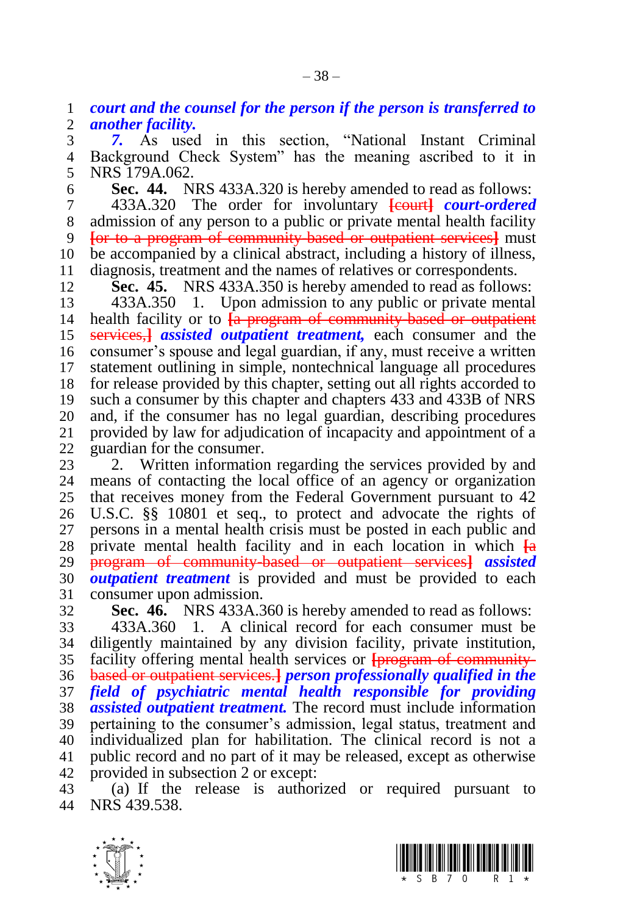*court and the counsel for the person if the person is transferred to another facility.*

 *7.* As used in this section, "National Instant Criminal Background Check System" has the meaning ascribed to it in NRS 179A.062.

 **Sec. 44.** NRS 433A.320 is hereby amended to read as follows: 433A.320 The order for involuntary **[**court**]** *court-ordered*  admission of any person to a public or private mental health facility **[**or to a program of community-based or outpatient services**]** must be accompanied by a clinical abstract, including a history of illness, 11 diagnosis, treatment and the names of relatives or correspondents.<br>12 **Sec. 45.** NRS 433A 350 is hereby amended to read as follow

Sec. 45. NRS 433A.350 is hereby amended to read as follows:

 433A.350 1. Upon admission to any public or private mental health facility or to **[**a program of community-based or outpatient services,**]** *assisted outpatient treatment,* each consumer and the consumer's spouse and legal guardian, if any, must receive a written statement outlining in simple, nontechnical language all procedures for release provided by this chapter, setting out all rights accorded to such a consumer by this chapter and chapters 433 and 433B of NRS 20 and, if the consumer has no legal guardian, describing procedures<br>21 provided by law for adjudication of incapacity and appointment of a provided by law for adjudication of incapacity and appointment of a guardian for the consumer.

23 2. Written information regarding the services provided by and 24 means of contacting the local office of an agency or organization means of contacting the local office of an agency or organization that receives money from the Federal Government pursuant to 42 U.S.C. §§ 10801 et seq., to protect and advocate the rights of persons in a mental health crisis must be posted in each public and private mental health facility and in each location in which **[**a program of community-based or outpatient services**]** *assisted outpatient treatment* is provided and must be provided to each 31 consumer upon admission.<br>32 **Sec. 46.** NRS 433A.3

**Sec. 46.** NRS 433A.360 is hereby amended to read as follows: 433A.360 1. A clinical record for each consumer must be diligently maintained by any division facility, private institution, facility offering mental health services or **[**program of community- based or outpatient services.**]** *person professionally qualified in the field of psychiatric mental health responsible for providing assisted outpatient treatment.* The record must include information pertaining to the consumer's admission, legal status, treatment and individualized plan for habilitation. The clinical record is not a public record and no part of it may be released, except as otherwise provided in subsection 2 or except:

 (a) If the release is authorized or required pursuant to NRS 439.538.



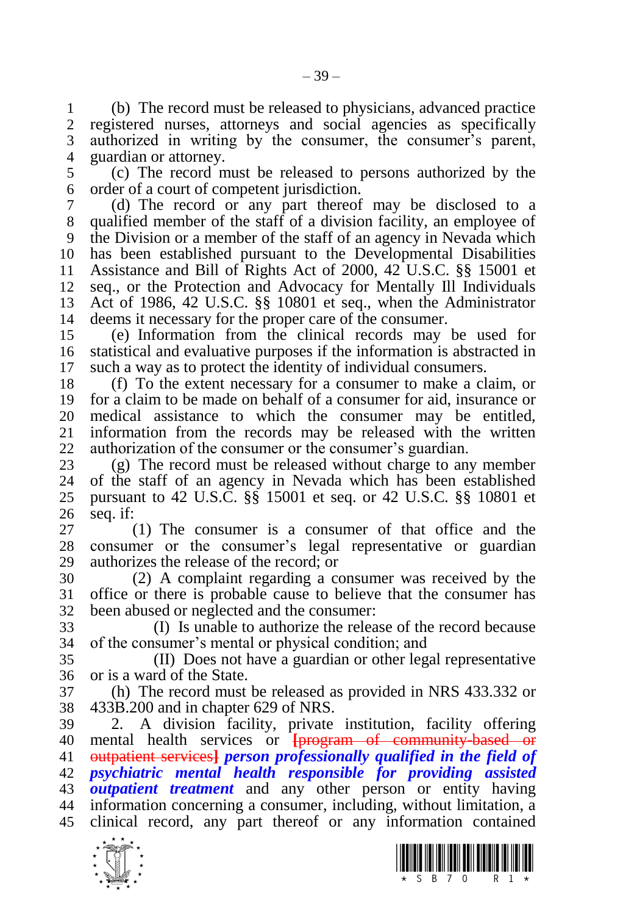(b) The record must be released to physicians, advanced practice registered nurses, attorneys and social agencies as specifically authorized in writing by the consumer, the consumer's parent, guardian or attorney.

 (c) The record must be released to persons authorized by the order of a court of competent jurisdiction.

 (d) The record or any part thereof may be disclosed to a qualified member of the staff of a division facility, an employee of the Division or a member of the staff of an agency in Nevada which has been established pursuant to the Developmental Disabilities Assistance and Bill of Rights Act of 2000, 42 U.S.C. §§ 15001 et seq., or the Protection and Advocacy for Mentally Ill Individuals Act of 1986, 42 U.S.C. §§ 10801 et seq., when the Administrator deems it necessary for the proper care of the consumer.

 (e) Information from the clinical records may be used for statistical and evaluative purposes if the information is abstracted in such a way as to protect the identity of individual consumers.

 (f) To the extent necessary for a consumer to make a claim, or for a claim to be made on behalf of a consumer for aid, insurance or medical assistance to which the consumer may be entitled, information from the records may be released with the written authorization of the consumer or the consumer's guardian.

23 (g) The record must be released without charge to any member<br>24 of the staff of an agency in Nevada which has been established of the staff of an agency in Nevada which has been established pursuant to 42 U.S.C. §§ 15001 et seq. or 42 U.S.C. §§ 10801 et seq. if:

 (1) The consumer is a consumer of that office and the consumer or the consumer's legal representative or guardian authorizes the release of the record; or

 (2) A complaint regarding a consumer was received by the office or there is probable cause to believe that the consumer has been abused or neglected and the consumer:

 (I) Is unable to authorize the release of the record because of the consumer's mental or physical condition; and

 (II) Does not have a guardian or other legal representative or is a ward of the State.

 (h) The record must be released as provided in NRS 433.332 or 433B.200 and in chapter 629 of NRS.

 2. A division facility, private institution, facility offering mental health services or **[**program of community-based or outpatient services**]** *person professionally qualified in the field of psychiatric mental health responsible for providing assisted outpatient treatment* and any other person or entity having information concerning a consumer, including, without limitation, a clinical record, any part thereof or any information contained



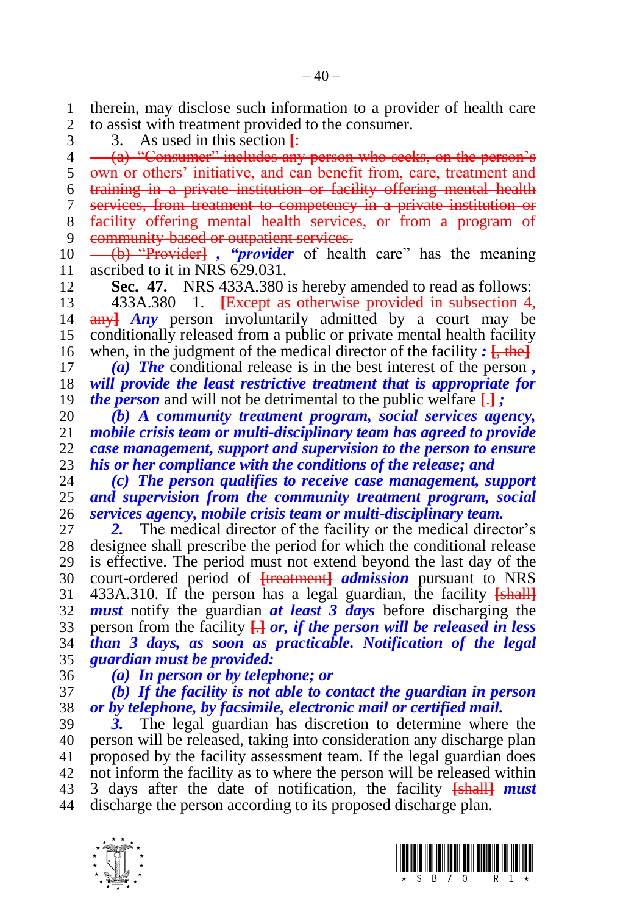therein, may disclose such information to a provider of health care to assist with treatment provided to the consumer.

3 3. As used in this section  $\frac{1}{2}$ 

4 (a) "Consumer" includes any person who seeks, on the person's own or others' initiative, and can benefit from, care, treatment and training in a private institution or facility offering mental health services, from treatment to competency in a private institution or facility offering mental health services, or from a program of 9 community-based or outpatient services. (b) "Provider**]** *, "provider* of health care" has the meaning

ascribed to it in NRS 629.031.

**Sec. 47.** NRS 433A.380 is hereby amended to read as follows:

 433A.380 1. **[**Except as otherwise provided in subsection 4, any**]** *Any* person involuntarily admitted by a court may be conditionally released from a public or private mental health facility when, in the judgment of the medical director of the facility *:* **[**, the**]**

 *(a) The* conditional release is in the best interest of the person *, will provide the least restrictive treatment that is appropriate for the person* and will not be detrimental to the public welfare **[**.**]** *;*

 *(b) A community treatment program, social services agency, mobile crisis team or multi-disciplinary team has agreed to provide case management, support and supervision to the person to ensure his or her compliance with the conditions of the release; and*  $(24)$   $(2)$  The person qualifies to receive case management, su

 *(c) The person qualifies to receive case management, support and supervision from the community treatment program, social services agency, mobile crisis team or multi-disciplinary team.*

 *2.* The medical director of the facility or the medical director's designee shall prescribe the period for which the conditional release is effective. The period must not extend beyond the last day of the court-ordered period of **[**treatment**]** *admission* pursuant to NRS 433A.310. If the person has a legal guardian, the facility **[**shall**]** *must* notify the guardian *at least 3 days* before discharging the person from the facility **[**.**]** *or, if the person will be released in less than 3 days, as soon as practicable. Notification of the legal guardian must be provided:*

## *(a) In person or by telephone; or*

 *(b) If the facility is not able to contact the guardian in person or by telephone, by facsimile, electronic mail or certified mail.*

 *3.* The legal guardian has discretion to determine where the person will be released, taking into consideration any discharge plan proposed by the facility assessment team. If the legal guardian does not inform the facility as to where the person will be released within 3 days after the date of notification, the facility **[**shall**]** *must*  discharge the person according to its proposed discharge plan.



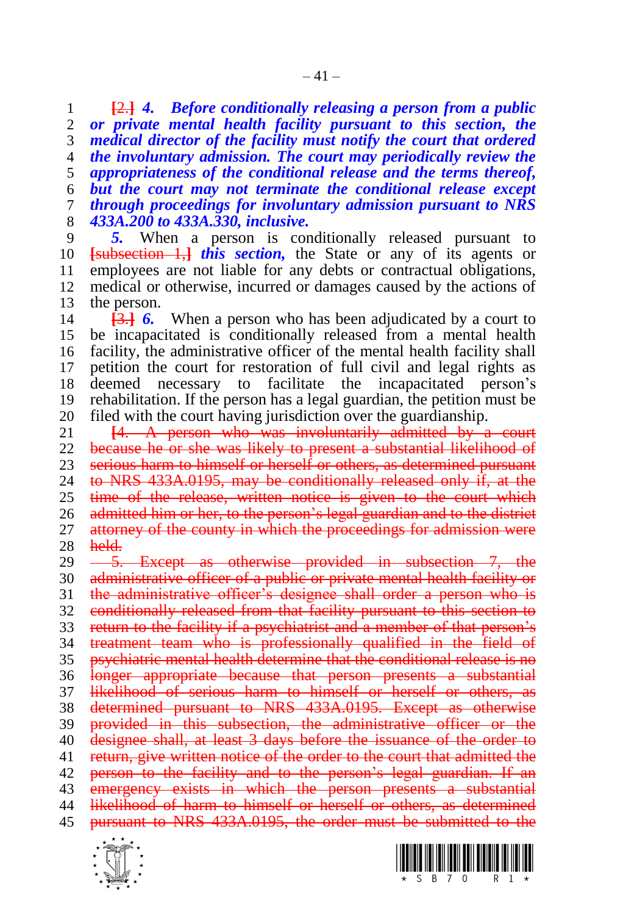**[**2.**]** *4. Before conditionally releasing a person from a public or private mental health facility pursuant to this section, the medical director of the facility must notify the court that ordered the involuntary admission. The court may periodically review the appropriateness of the conditional release and the terms thereof, but the court may not terminate the conditional release except through proceedings for involuntary admission pursuant to NRS 433A.200 to 433A.330, inclusive.* 

5. When a person is conditionally released pursuant to **[**subsection 1,**]** *this section,* the State or any of its agents or employees are not liable for any debts or contractual obligations, medical or otherwise, incurred or damages caused by the actions of the person.

 **[**3.**]** *6.* When a person who has been adjudicated by a court to be incapacitated is conditionally released from a mental health facility, the administrative officer of the mental health facility shall petition the court for restoration of full civil and legal rights as deemed necessary to facilitate the incapacitated person's rehabilitation. If the person has a legal guardian, the petition must be

20 filed with the court having jurisdiction over the guardianship.<br>21 **14.** A person who was involuntarily admitted by a **[**4. A person who was involuntarily admitted by a court because he or she was likely to present a substantial likelihood of 23 serious harm to himself or herself or others, as determined pursuant 24 to NRS 433A.0195, may be conditionally released only if, at the to NRS 433A.0195, may be conditionally released only if, at the time of the release, written notice is given to the court which 26 admitted him or her, to the person's legal guardian and to the district 27 attorney of the county in which the proceedings for admission were held.

29 <del>5. Except as otherwise provided in subsection 7, the</del> 30 administrative officer of a public or private mental health facility or 31 the administrative officer's designee shall order a person who is conditionally released from that facility pursuant to this section to 33 return to the facility if a psychiatrist and a member of that person's 34 treatment team who is professionally qualified in the field of psychiatric mental health determine that the conditional release is no 36 longer appropriate because that person presents a substantial likelihood of serious harm to himself or herself or others, as determined pursuant to NRS 433A.0195. Except as otherwise 39 provided in this subsection, the administrative officer or the designee shall, at least 3 days before the issuance of the order to return, give written notice of the order to the court that admitted the 42 person to the facility and to the person's legal guardian. If an 43 emergency exists in which the person presents a substantial likelihood of harm to himself or herself or others, as determined pursuant to NRS 433A.0195, the order must be submitted to the



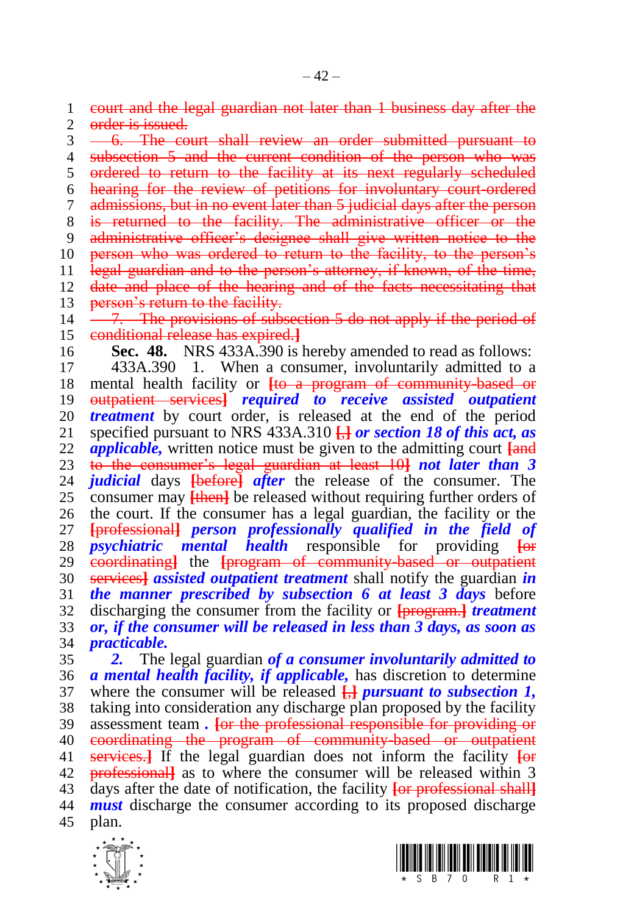court and the legal guardian not later than 1 business day after the 2 order is issued.

3 -6. The court shall review an order submitted pursuant to 4 subsection 5 and the current condition of the person who was ordered to return to the facility at its next regularly scheduled hearing for the review of petitions for involuntary court-ordered admissions, but in no event later than 5 judicial days after the person 8 is returned to the facility. The administrative officer or the administrative officer's designee shall give written notice to the 10 person who was ordered to return to the facility, to the person's legal guardian and to the person's attorney, if known, of the time, 12 date and place of the hearing and of the facts necessitating that 13 person's return to the facility.  $14 \quad -7$ . The provisions of subsection 5 do not apply if the period of conditional release has expired.**] Sec. 48.** NRS 433A.390 is hereby amended to read as follows: 433A.390 1. When a consumer, involuntarily admitted to a mental health facility or **[**to a program of community-based or outpatient services**]** *required to receive assisted outpatient treatment* by court order, is released at the end of the period specified pursuant to NRS 433A.310 **[**,**]** *or section 18 of this act, as* 

 *applicable,* written notice must be given to the admitting court **[**and to the consumer's legal guardian at least 10**]** *not later than 3 judicial* days **[**before**]** *after* the release of the consumer. The consumer may **[**then**]** be released without requiring further orders of the court. If the consumer has a legal guardian, the facility or the **[**professional**]** *person professionally qualified in the field of psychiatric mental health* responsible for providing **[**or coordinating**]** the **[**program of community-based or outpatient services**]** *assisted outpatient treatment* shall notify the guardian *in the manner prescribed by subsection 6 at least 3 days* before discharging the consumer from the facility or **[**program.**]** *treatment or, if the consumer will be released in less than 3 days, as soon as practicable.* 

 *2.* The legal guardian *of a consumer involuntarily admitted to a mental health facility, if applicable,* has discretion to determine where the consumer will be released **[**,**]** *pursuant to subsection 1,*  taking into consideration any discharge plan proposed by the facility assessment team *.* **[**or the professional responsible for providing or coordinating the program of community-based or outpatient services.**]** If the legal guardian does not inform the facility **[**or professional**]** as to where the consumer will be released within 3 days after the date of notification, the facility **[**or professional shall**]** *must* discharge the consumer according to its proposed discharge plan.



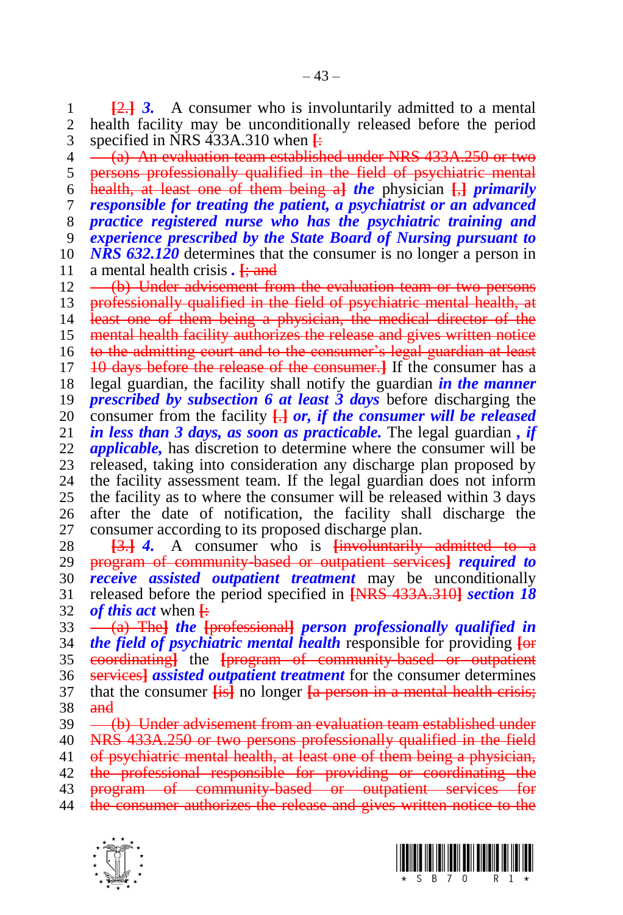1 **[2.] 3.** A consumer who is involuntarily admitted to a mental 2 health facility may be unconditionally released before the period health facility may be unconditionally released before the period specified in NRS 433A.310 when **[**:

4 (a) An evaluation team established under NRS 433A.250 or two persons professionally qualified in the field of psychiatric mental health, at least one of them being a**]** *the* physician **[**,**]** *primarily responsible for treating the patient, a psychiatrist or an advanced practice registered nurse who has the psychiatric training and experience prescribed by the State Board of Nursing pursuant to NRS 632.120* determines that the consumer is no longer a person in 11 a mental health crisis . <del>[; and</del> 12 — (b) Under advisement frequent (b) Under advisement from the evaluation team or two persons 13 professionally qualified in the field of psychiatric mental health, at least one of them being a physician, the medical director of the mental health facility authorizes the release and gives written notice to the admitting court and to the consumer's legal guardian at least 10 days before the release of the consumer.**]** If the consumer has a legal guardian, the facility shall notify the guardian *in the manner prescribed by subsection 6 at least 3 days* before discharging the 20 consumer from the facility  $\frac{1}{2}$  *or, if the consumer will be released* 21 *in less than 3 days, as soon as practicable.* The legal guardian, *if* in less than 3 days, as soon as practicable. The legal guardian, if *applicable,* has discretion to determine where the consumer will be 23 released, taking into consideration any discharge plan proposed by<br>24 the facility assessment team. If the legal guardian does not inform the facility assessment team. If the legal guardian does not inform the facility as to where the consumer will be released within 3 days after the date of notification, the facility shall discharge the consumer according to its proposed discharge plan.

 **[**3.**]** *4.* A consumer who is **[**involuntarily admitted to a program of community-based or outpatient services**]** *required to receive assisted outpatient treatment* may be unconditionally released before the period specified in **[**NRS 433A.310**]** *section 18 of this act* when **[**:

 (a) The**]** *the* **[**professional**]** *person professionally qualified in the field of psychiatric mental health* responsible for providing **[**or coordinating**]** the **[**program of community-based or outpatient services**]** *assisted outpatient treatment* for the consumer determines that the consumer **[**is**]** no longer **[**a person in a mental health crisis; 38 and

39 <del>(b) Under advisement from an evaluation team established under</del>

NRS 433A.250 or two persons professionally qualified in the field

41 of psychiatric mental health, at least one of them being a physician,

 the professional responsible for providing or coordinating the program of community-based or outpatient services for

- 44 the consumer authorizes the release and gives written notice to the
- 



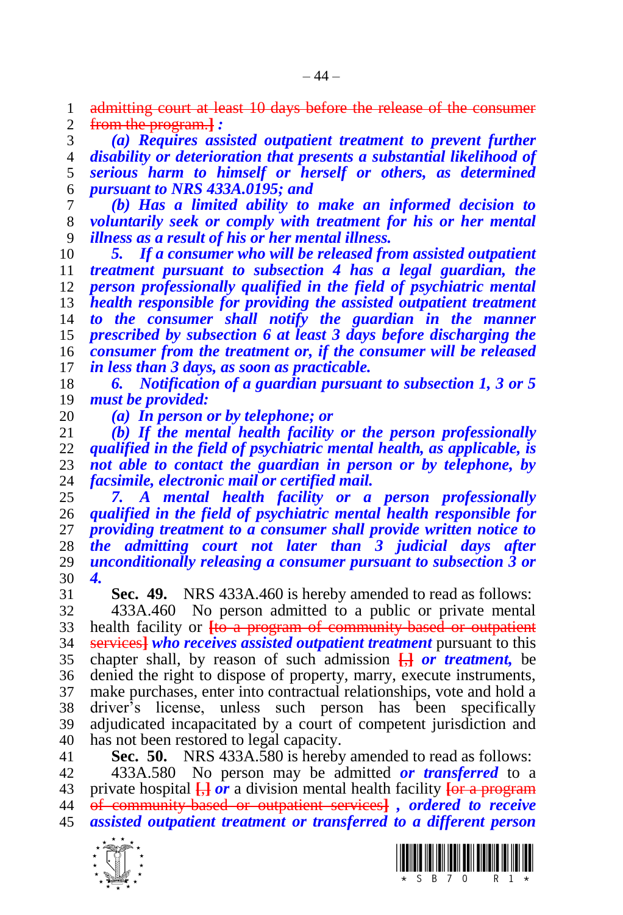admitting court at least 10 days before the release of the consumer from the program.**]** *:*

 *(a) Requires assisted outpatient treatment to prevent further disability or deterioration that presents a substantial likelihood of serious harm to himself or herself or others, as determined pursuant to NRS 433A.0195; and* 

 *(b) Has a limited ability to make an informed decision to voluntarily seek or comply with treatment for his or her mental illness as a result of his or her mental illness.*

 *5. If a consumer who will be released from assisted outpatient treatment pursuant to subsection 4 has a legal guardian, the person professionally qualified in the field of psychiatric mental health responsible for providing the assisted outpatient treatment to the consumer shall notify the guardian in the manner prescribed by subsection 6 at least 3 days before discharging the consumer from the treatment or, if the consumer will be released in less than 3 days, as soon as practicable.* 

 *6. Notification of a guardian pursuant to subsection 1, 3 or 5 must be provided:*

 *(a) In person or by telephone; or (b) If the mental health facility or the person professionally qualified in the field of psychiatric mental health, as applicable, is not able to contact the guardian in person or by telephone, by facsimile, electronic mail or certified mail.*

 *7. A mental health facility or a person professionally qualified in the field of psychiatric mental health responsible for providing treatment to a consumer shall provide written notice to the admitting court not later than 3 judicial days after unconditionally releasing a consumer pursuant to subsection 3 or 4.*

**Sec. 49.** NRS 433A.460 is hereby amended to read as follows:

 433A.460 No person admitted to a public or private mental health facility or **[**to a program of community-based or outpatient services**]** *who receives assisted outpatient treatment* pursuant to this chapter shall, by reason of such admission **[**,**]** *or treatment,* be denied the right to dispose of property, marry, execute instruments, make purchases, enter into contractual relationships, vote and hold a driver's license, unless such person has been specifically adjudicated incapacitated by a court of competent jurisdiction and has not been restored to legal capacity.

**Sec. 50.** NRS 433A.580 is hereby amended to read as follows:

 433A.580 No person may be admitted *or transferred* to a private hospital **[**,**]** *or* a division mental health facility **[**or a program of community-based or outpatient services**]** *, ordered to receive assisted outpatient treatment or transferred to a different person* 



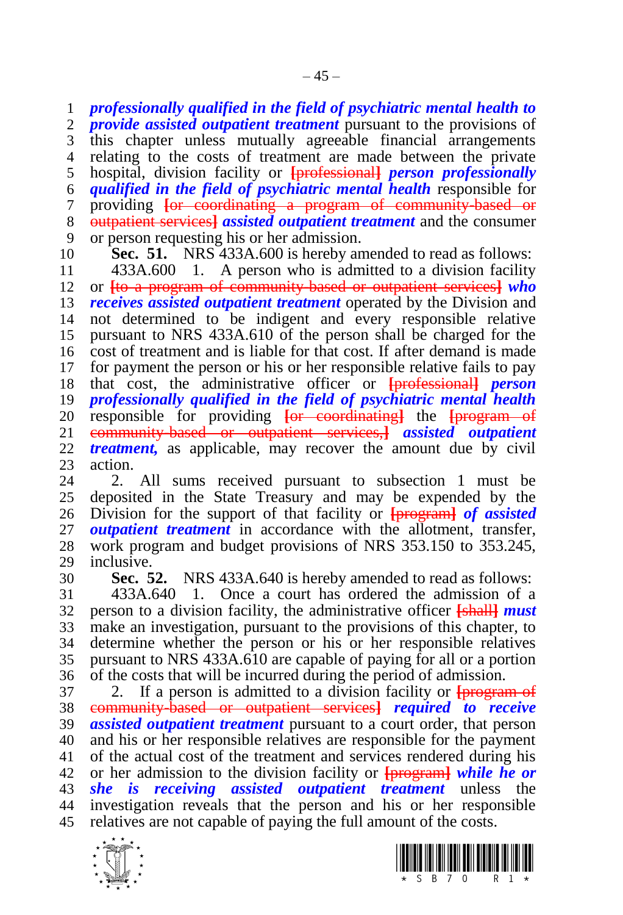*professionally qualified in the field of psychiatric mental health to provide assisted outpatient treatment* pursuant to the provisions of this chapter unless mutually agreeable financial arrangements relating to the costs of treatment are made between the private hospital, division facility or **[**professional**]** *person professionally qualified in the field of psychiatric mental health* responsible for providing **[**or coordinating a program of community-based or outpatient services**]** *assisted outpatient treatment* and the consumer or person requesting his or her admission.

**Sec. 51.** NRS 433A.600 is hereby amended to read as follows:

 433A.600 1. A person who is admitted to a division facility or **[**to a program of community-based or outpatient services**]** *who receives assisted outpatient treatment* operated by the Division and not determined to be indigent and every responsible relative pursuant to NRS 433A.610 of the person shall be charged for the cost of treatment and is liable for that cost. If after demand is made for payment the person or his or her responsible relative fails to pay that cost, the administrative officer or **[**professional**]** *person professionally qualified in the field of psychiatric mental health*  responsible for providing **[**or coordinating**]** the **[**program of community-based or outpatient services,**]** *assisted outpatient treatment,* as applicable, may recover the amount due by civil 23 action.<br>24 2

2. All sums received pursuant to subsection 1 must be deposited in the State Treasury and may be expended by the Division for the support of that facility or **[**program**]** *of assisted outpatient treatment* in accordance with the allotment, transfer, work program and budget provisions of NRS 353.150 to 353.245, inclusive.

**Sec. 52.** NRS 433A.640 is hereby amended to read as follows:

 433A.640 1. Once a court has ordered the admission of a person to a division facility, the administrative officer **[**shall**]** *must*  make an investigation, pursuant to the provisions of this chapter, to determine whether the person or his or her responsible relatives pursuant to NRS 433A.610 are capable of paying for all or a portion of the costs that will be incurred during the period of admission.

 2. If a person is admitted to a division facility or **[**program of community-based or outpatient services**]** *required to receive assisted outpatient treatment* pursuant to a court order, that person and his or her responsible relatives are responsible for the payment of the actual cost of the treatment and services rendered during his or her admission to the division facility or **[**program**]** *while he or she is receiving assisted outpatient treatment* unless the investigation reveals that the person and his or her responsible relatives are not capable of paying the full amount of the costs.



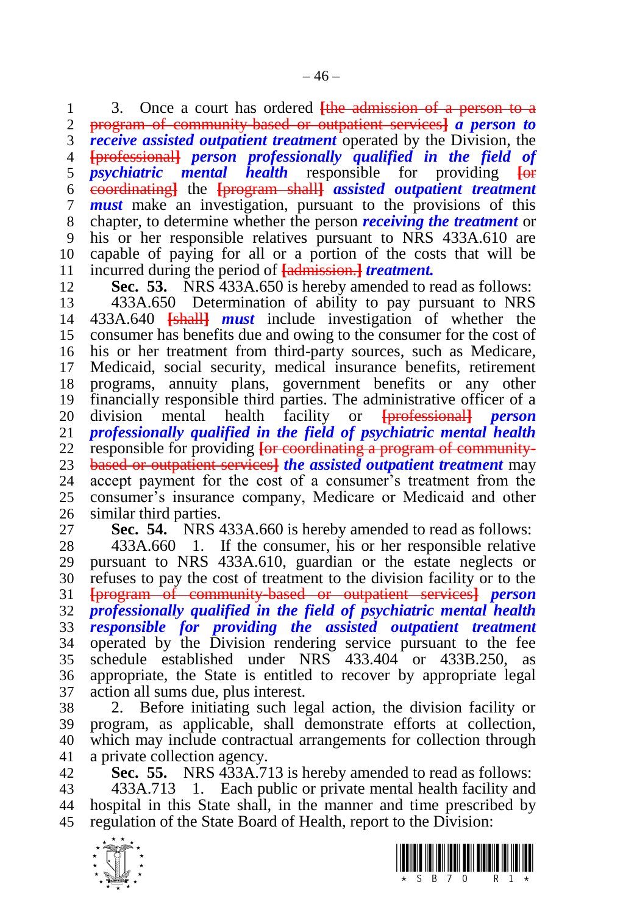3. Once a court has ordered **[**the admission of a person to a program of community-based or outpatient services**]** *a person to receive assisted outpatient treatment* operated by the Division, the **[**professional**]** *person professionally qualified in the field of psychiatric mental health* responsible for providing **[**or coordinating**]** the **[**program shall**]** *assisted outpatient treatment must* make an investigation, pursuant to the provisions of this chapter, to determine whether the person *receiving the treatment* or his or her responsible relatives pursuant to NRS 433A.610 are capable of paying for all or a portion of the costs that will be incurred during the period of **[**admission.**]** *treatment.*

**Sec. 53.** NRS 433A.650 is hereby amended to read as follows:

 433A.650 Determination of ability to pay pursuant to NRS 433A.640 **[**shall**]** *must* include investigation of whether the consumer has benefits due and owing to the consumer for the cost of his or her treatment from third-party sources, such as Medicare, Medicaid, social security, medical insurance benefits, retirement programs, annuity plans, government benefits or any other financially responsible third parties. The administrative officer of a division mental health facility or **[**professional**]** *person professionally qualified in the field of psychiatric mental health*  responsible for providing **[**or coordinating a program of community- based or outpatient services**]** *the assisted outpatient treatment* may accept payment for the cost of a consumer's treatment from the consumer's insurance company, Medicare or Medicaid and other similar third parties.

**Sec. 54.** NRS 433A.660 is hereby amended to read as follows:

 433A.660 1. If the consumer, his or her responsible relative pursuant to NRS 433A.610, guardian or the estate neglects or refuses to pay the cost of treatment to the division facility or to the **[**program of community-based or outpatient services**]** *person professionally qualified in the field of psychiatric mental health responsible for providing the assisted outpatient treatment*  operated by the Division rendering service pursuant to the fee schedule established under NRS 433.404 or 433B.250, as appropriate, the State is entitled to recover by appropriate legal action all sums due, plus interest.

 2. Before initiating such legal action, the division facility or program, as applicable, shall demonstrate efforts at collection, which may include contractual arrangements for collection through a private collection agency.

 **Sec. 55.** NRS 433A.713 is hereby amended to read as follows: 433A.713 1. Each public or private mental health facility and hospital in this State shall, in the manner and time prescribed by regulation of the State Board of Health, report to the Division:



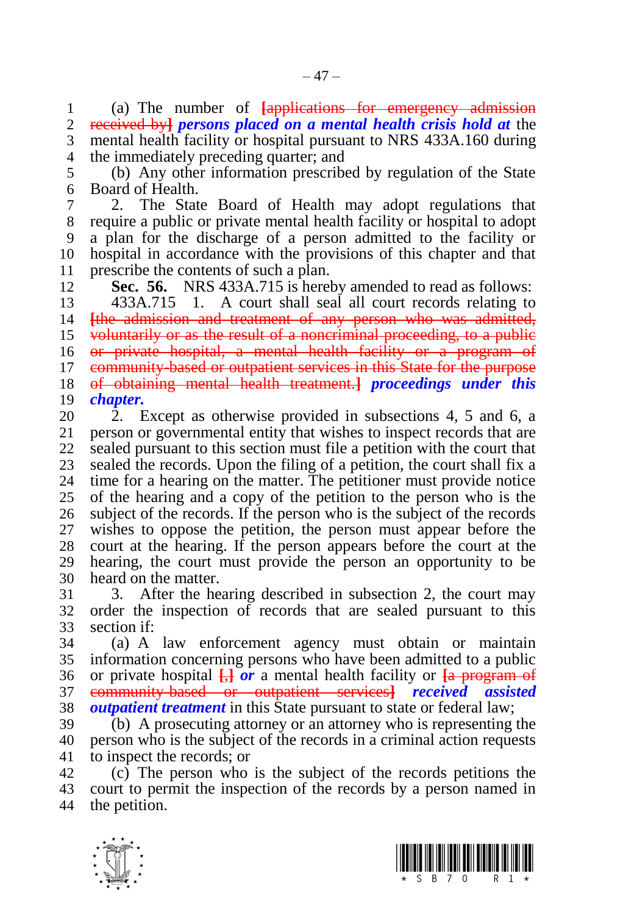(a) The number of **[**applications for emergency admission received by**]** *persons placed on a mental health crisis hold at* the mental health facility or hospital pursuant to NRS 433A.160 during the immediately preceding quarter; and

 (b) Any other information prescribed by regulation of the State Board of Health.

 2. The State Board of Health may adopt regulations that require a public or private mental health facility or hospital to adopt a plan for the discharge of a person admitted to the facility or hospital in accordance with the provisions of this chapter and that prescribe the contents of such a plan.

**Sec. 56.** NRS 433A.715 is hereby amended to read as follows:

 433A.715 1. A court shall seal all court records relating to **[**the admission and treatment of any person who was admitted, voluntarily or as the result of a noncriminal proceeding, to a public or private hospital, a mental health facility or a program of community-based or outpatient services in this State for the purpose of obtaining mental health treatment.**]** *proceedings under this chapter.*

20 2. Except as otherwise provided in subsections 4, 5 and 6, a<br>21 person or governmental entity that wishes to inspect records that are person or governmental entity that wishes to inspect records that are sealed pursuant to this section must file a petition with the court that 23 sealed the records. Upon the filing of a petition, the court shall fix a 24 time for a hearing on the matter. The petitioner must provide notice time for a hearing on the matter. The petitioner must provide notice of the hearing and a copy of the petition to the person who is the subject of the records. If the person who is the subject of the records wishes to oppose the petition, the person must appear before the court at the hearing. If the person appears before the court at the hearing, the court must provide the person an opportunity to be heard on the matter.

 3. After the hearing described in subsection 2, the court may order the inspection of records that are sealed pursuant to this section if:

 (a) A law enforcement agency must obtain or maintain information concerning persons who have been admitted to a public or private hospital **[**,**]** *or* a mental health facility or **[**a program of community-based or outpatient services**]** *received assisted outpatient treatment* in this State pursuant to state or federal law;

 (b) A prosecuting attorney or an attorney who is representing the person who is the subject of the records in a criminal action requests to inspect the records; or

 (c) The person who is the subject of the records petitions the court to permit the inspection of the records by a person named in the petition.



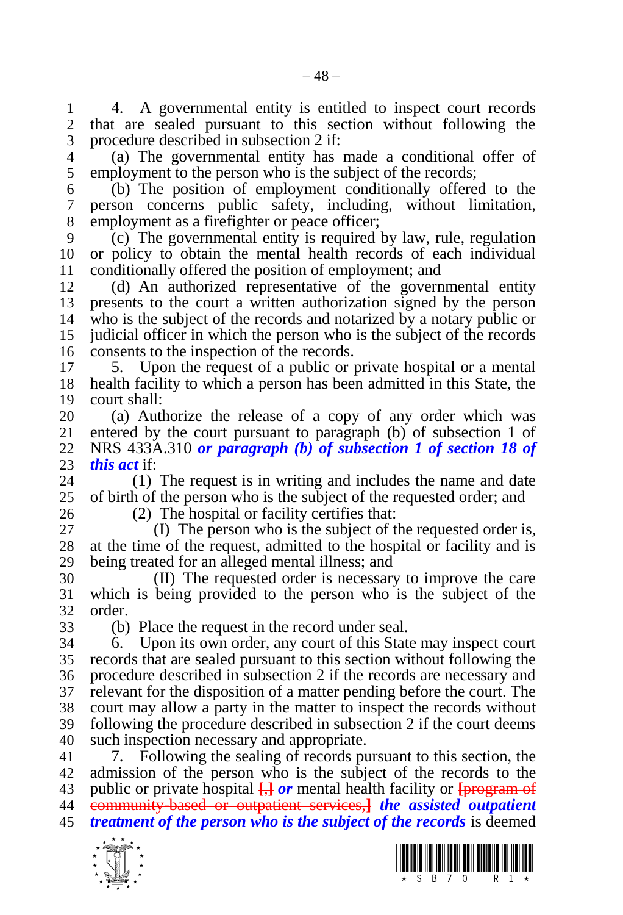1 4. A governmental entity is entitled to inspect court records<br>2 that are sealed pursuant to this section without following the that are sealed pursuant to this section without following the procedure described in subsection 2 if:

 (a) The governmental entity has made a conditional offer of employment to the person who is the subject of the records;

 (b) The position of employment conditionally offered to the person concerns public safety, including, without limitation, employment as a firefighter or peace officer;

 (c) The governmental entity is required by law, rule, regulation or policy to obtain the mental health records of each individual conditionally offered the position of employment; and

 (d) An authorized representative of the governmental entity presents to the court a written authorization signed by the person who is the subject of the records and notarized by a notary public or judicial officer in which the person who is the subject of the records consents to the inspection of the records.

17 5. Upon the request of a public or private hospital or a mental 18 health facility to which a person has been admitted in this State, the health facility to which a person has been admitted in this State, the court shall:

20 (a) Authorize the release of a copy of any order which was<br>21 entered by the court pursuant to paragraph (b) of subsection 1 of entered by the court pursuant to paragraph (b) of subsection 1 of NRS 433A.310 *or paragraph (b) of subsection 1 of section 18 of*  23 *this act* if:<br>24 (1)

 (1) The request is in writing and includes the name and date of birth of the person who is the subject of the requested order; and

(2) The hospital or facility certifies that:

 (I) The person who is the subject of the requested order is, at the time of the request, admitted to the hospital or facility and is being treated for an alleged mental illness; and

 (II) The requested order is necessary to improve the care which is being provided to the person who is the subject of the order.

(b) Place the request in the record under seal.

 6. Upon its own order, any court of this State may inspect court records that are sealed pursuant to this section without following the procedure described in subsection 2 if the records are necessary and relevant for the disposition of a matter pending before the court. The court may allow a party in the matter to inspect the records without following the procedure described in subsection 2 if the court deems such inspection necessary and appropriate.

 7. Following the sealing of records pursuant to this section, the admission of the person who is the subject of the records to the public or private hospital **[**,**]** *or* mental health facility or **[**program of community-based or outpatient services,**]** *the assisted outpatient treatment of the person who is the subject of the records* is deemed



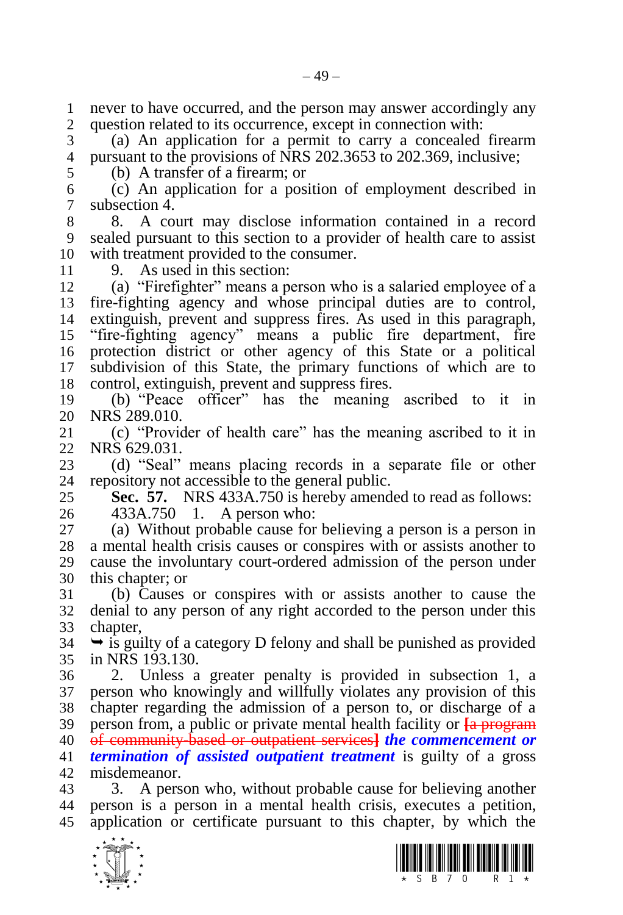never to have occurred, and the person may answer accordingly any question related to its occurrence, except in connection with:

 (a) An application for a permit to carry a concealed firearm pursuant to the provisions of NRS 202.3653 to 202.369, inclusive;

 (b) A transfer of a firearm; or (c) An application for a position of employment described in subsection 4.

 8. A court may disclose information contained in a record sealed pursuant to this section to a provider of health care to assist with treatment provided to the consumer.

9. As used in this section:

 (a) "Firefighter" means a person who is a salaried employee of a fire-fighting agency and whose principal duties are to control, extinguish, prevent and suppress fires. As used in this paragraph, "fire-fighting agency" means a public fire department, fire protection district or other agency of this State or a political subdivision of this State, the primary functions of which are to control, extinguish, prevent and suppress fires.

 (b) "Peace officer" has the meaning ascribed to it in 20 NRS 289.010.<br>21 (c) "Provident"

 (c) "Provider of health care" has the meaning ascribed to it in NRS 629.031.

23 (d) "Seal" means placing records in a separate file or other 24 repository not accessible to the general public. repository not accessible to the general public.

 **Sec. 57.** NRS 433A.750 is hereby amended to read as follows: 433A.750 1. A person who:

 (a) Without probable cause for believing a person is a person in a mental health crisis causes or conspires with or assists another to cause the involuntary court-ordered admission of the person under this chapter; or

 (b) Causes or conspires with or assists another to cause the denial to any person of any right accorded to the person under this chapter,

 $34 \rightarrow$  is guilty of a category D felony and shall be punished as provided in NRS 193.130.

 2. Unless a greater penalty is provided in subsection 1, a person who knowingly and willfully violates any provision of this chapter regarding the admission of a person to, or discharge of a person from, a public or private mental health facility or **[**a program of community-based or outpatient services**]** *the commencement or termination of assisted outpatient treatment* is guilty of a gross misdemeanor.

 3. A person who, without probable cause for believing another person is a person in a mental health crisis, executes a petition, application or certificate pursuant to this chapter, by which the



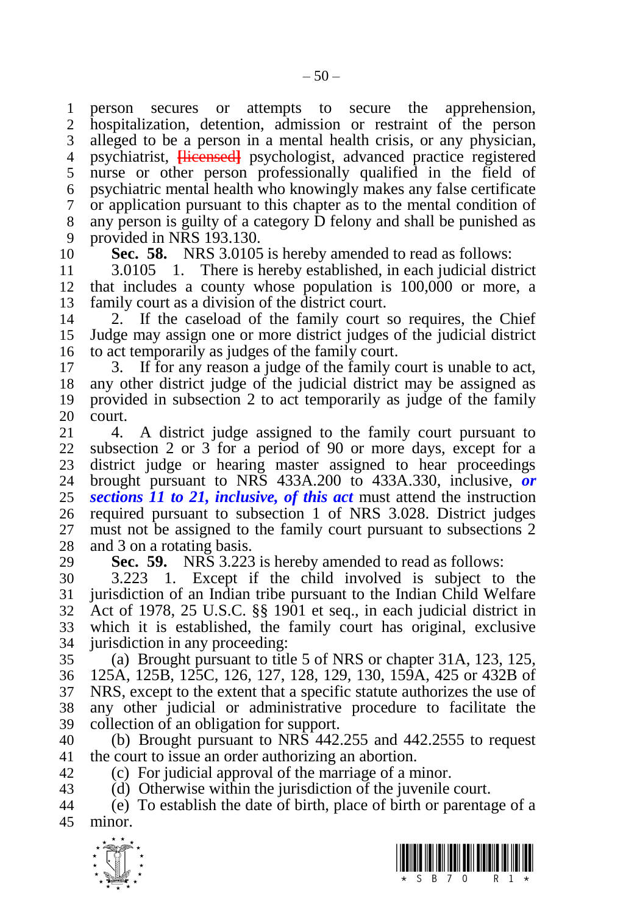person secures or attempts to secure the apprehension, hospitalization, detention, admission or restraint of the person alleged to be a person in a mental health crisis, or any physician, psychiatrist, **[**licensed**]** psychologist, advanced practice registered nurse or other person professionally qualified in the field of psychiatric mental health who knowingly makes any false certificate or application pursuant to this chapter as to the mental condition of any person is guilty of a category D felony and shall be punished as provided in NRS 193.130.

**Sec. 58.** NRS 3.0105 is hereby amended to read as follows:

 3.0105 1. There is hereby established, in each judicial district that includes a county whose population is 100,000 or more, a family court as a division of the district court.

 2. If the caseload of the family court so requires, the Chief Judge may assign one or more district judges of the judicial district to act temporarily as judges of the family court.

 3. If for any reason a judge of the family court is unable to act, any other district judge of the judicial district may be assigned as provided in subsection 2 to act temporarily as judge of the family 20 court.<br>21 4.

 4. A district judge assigned to the family court pursuant to subsection 2 or 3 for a period of 90 or more days, except for a 23 district judge or hearing master assigned to hear proceedings<br>24 brought pursuant to NRS 433A.200 to 433A.330 inclusive. brought pursuant to NRS 433A.200 to 433A.330, inclusive, *or sections 11 to 21, inclusive, of this act* must attend the instruction required pursuant to subsection 1 of NRS 3.028. District judges must not be assigned to the family court pursuant to subsections 2 and 3 on a rotating basis.

**Sec. 59.** NRS 3.223 is hereby amended to read as follows:

 3.223 1. Except if the child involved is subject to the jurisdiction of an Indian tribe pursuant to the Indian Child Welfare Act of 1978, 25 U.S.C. §§ 1901 et seq., in each judicial district in which it is established, the family court has original, exclusive jurisdiction in any proceeding:

 (a) Brought pursuant to title 5 of NRS or chapter 31A, 123, 125, 125A, 125B, 125C, 126, 127, 128, 129, 130, 159A, 425 or 432B of NRS, except to the extent that a specific statute authorizes the use of any other judicial or administrative procedure to facilitate the collection of an obligation for support.

 (b) Brought pursuant to NRS 442.255 and 442.2555 to request the court to issue an order authorizing an abortion.

(c) For judicial approval of the marriage of a minor.

(d) Otherwise within the jurisdiction of the juvenile court.

 (e) To establish the date of birth, place of birth or parentage of a minor.



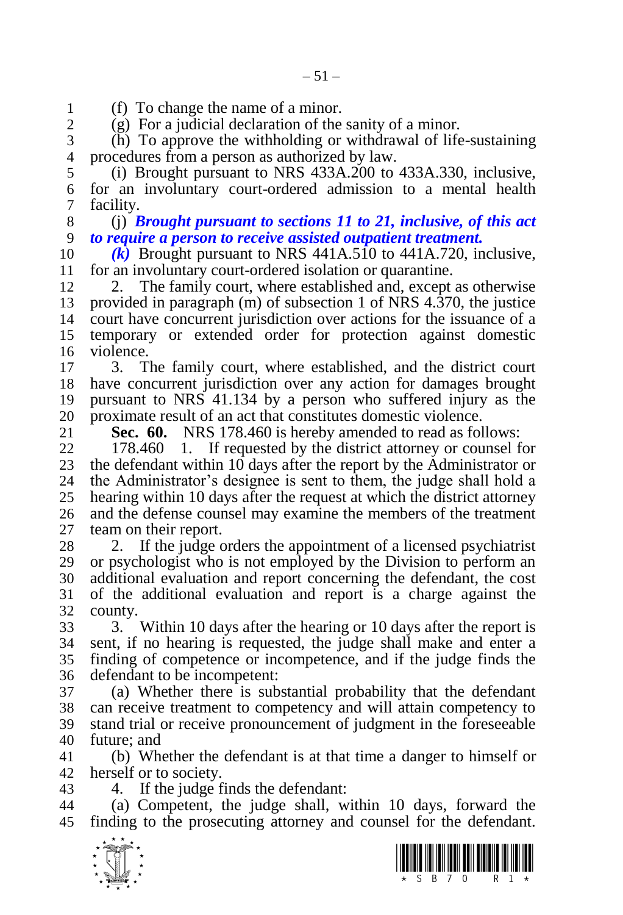1 (f) To change the name of a minor.<br>2 (g) For a judicial declaration of the

 $(g)$  For a judicial declaration of the sanity of a minor.

 (h) To approve the withholding or withdrawal of life-sustaining procedures from a person as authorized by law.

 (i) Brought pursuant to NRS 433A.200 to 433A.330, inclusive, for an involuntary court-ordered admission to a mental health facility.

 (j) *Brought pursuant to sections 11 to 21, inclusive, of this act to require a person to receive assisted outpatient treatment.*

 *(k)* Brought pursuant to NRS 441A.510 to 441A.720, inclusive, for an involuntary court-ordered isolation or quarantine.

12 2. The family court, where established and, except as otherwise provided in paragraph (m) of subsection 1 of NRS 4.370, the justice court have concurrent jurisdiction over actions for the issuance of a temporary or extended order for protection against domestic violence.

 3. The family court, where established, and the district court have concurrent jurisdiction over any action for damages brought pursuant to NRS 41.134 by a person who suffered injury as the 20 proximate result of an act that constitutes domestic violence.<br>21 **Sec. 60.** NRS 178.460 is hereby amended to read as fol

**Sec. 60.** NRS 178.460 is hereby amended to read as follows:

 178.460 1. If requested by the district attorney or counsel for 23 the defendant within 10 days after the report by the Administrator or 24 the Administrator's designee is sent to them, the judge shall hold a the Administrator's designee is sent to them, the judge shall hold a hearing within 10 days after the request at which the district attorney and the defense counsel may examine the members of the treatment team on their report.

28 2. If the judge orders the appointment of a licensed psychiatrist or psychologist who is not employed by the Division to perform an additional evaluation and report concerning the defendant, the cost of the additional evaluation and report is a charge against the county.

 3. Within 10 days after the hearing or 10 days after the report is sent, if no hearing is requested, the judge shall make and enter a finding of competence or incompetence, and if the judge finds the defendant to be incompetent:

 (a) Whether there is substantial probability that the defendant can receive treatment to competency and will attain competency to stand trial or receive pronouncement of judgment in the foreseeable future; and

 (b) Whether the defendant is at that time a danger to himself or herself or to society.

4. If the judge finds the defendant:

 (a) Competent, the judge shall, within 10 days, forward the finding to the prosecuting attorney and counsel for the defendant.



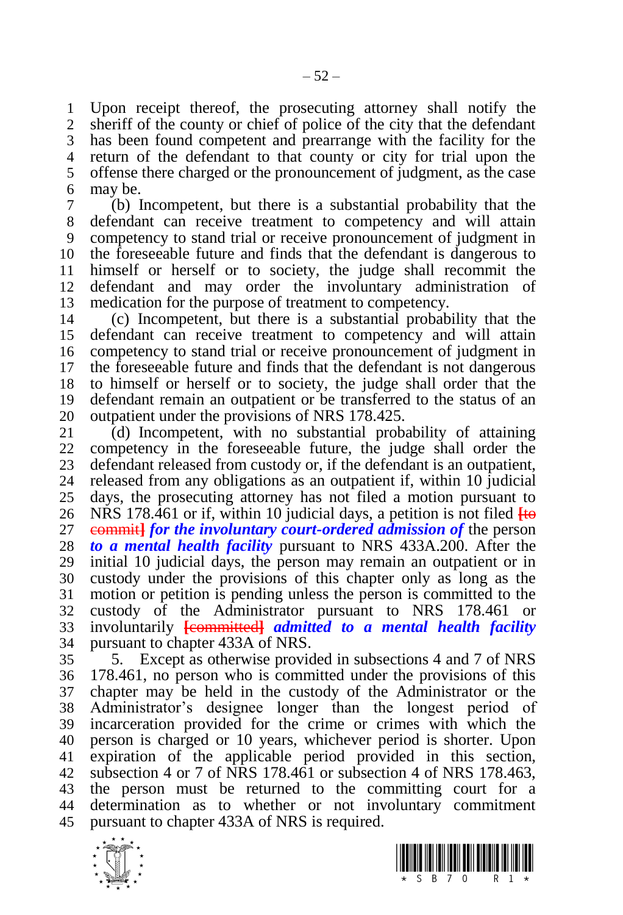Upon receipt thereof, the prosecuting attorney shall notify the sheriff of the county or chief of police of the city that the defendant has been found competent and prearrange with the facility for the return of the defendant to that county or city for trial upon the offense there charged or the pronouncement of judgment, as the case may be.

 (b) Incompetent, but there is a substantial probability that the defendant can receive treatment to competency and will attain competency to stand trial or receive pronouncement of judgment in the foreseeable future and finds that the defendant is dangerous to himself or herself or to society, the judge shall recommit the defendant and may order the involuntary administration of medication for the purpose of treatment to competency.

 (c) Incompetent, but there is a substantial probability that the defendant can receive treatment to competency and will attain competency to stand trial or receive pronouncement of judgment in the foreseeable future and finds that the defendant is not dangerous to himself or herself or to society, the judge shall order that the defendant remain an outpatient or be transferred to the status of an

20 outpatient under the provisions of NRS 178.425.<br>21 (d) Incompetent, with no substantial prob- (d) Incompetent, with no substantial probability of attaining competency in the foreseeable future, the judge shall order the 23 defendant released from custody or, if the defendant is an outpatient,<br>24 released from any obligations as an outpatient if, within 10 judicial released from any obligations as an outpatient if, within 10 judicial days, the prosecuting attorney has not filed a motion pursuant to NRS 178.461 or if, within 10 judicial days, a petition is not filed **[**to commit**]** *for the involuntary court-ordered admission of* the person *to a mental health facility* pursuant to NRS 433A.200. After the initial 10 judicial days, the person may remain an outpatient or in custody under the provisions of this chapter only as long as the motion or petition is pending unless the person is committed to the custody of the Administrator pursuant to NRS 178.461 or involuntarily **[**committed**]** *admitted to a mental health facility*  pursuant to chapter 433A of NRS.

 5. Except as otherwise provided in subsections 4 and 7 of NRS 178.461, no person who is committed under the provisions of this chapter may be held in the custody of the Administrator or the Administrator's designee longer than the longest period of incarceration provided for the crime or crimes with which the person is charged or 10 years, whichever period is shorter. Upon expiration of the applicable period provided in this section, subsection 4 or 7 of NRS 178.461 or subsection 4 of NRS 178.463, the person must be returned to the committing court for a determination as to whether or not involuntary commitment pursuant to chapter 433A of NRS is required.



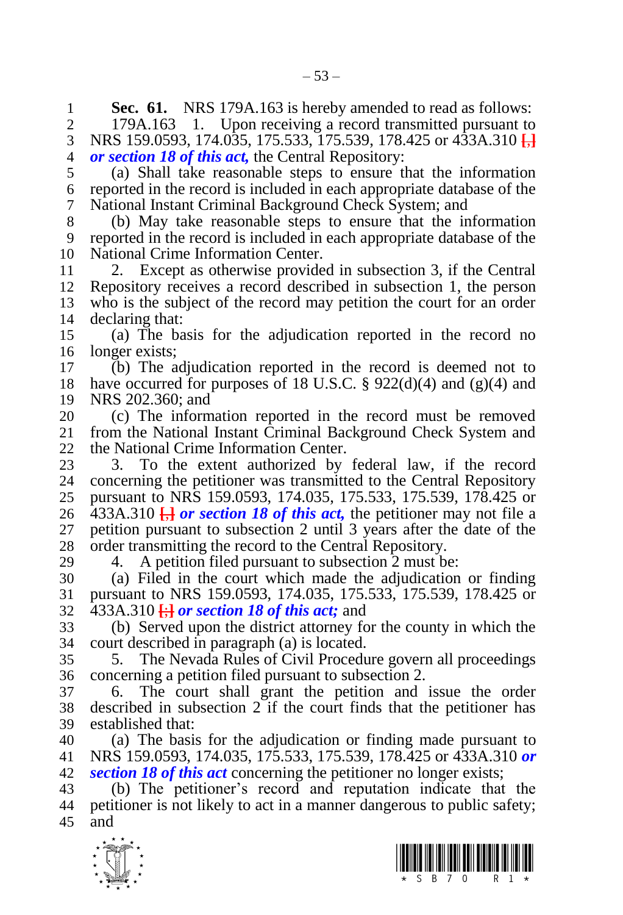**Sec. 61.** NRS 179A.163 is hereby amended to read as follows:<br>2 179A.163 1. Upon receiving a record transmitted pursuant to

179A.163 1. Upon receiving a record transmitted pursuant to NRS 159.0593, 174.035, 175.533, 175.539, 178.425 or 433A.310 **[**,**]** *or section 18 of this act,* the Central Repository:

 (a) Shall take reasonable steps to ensure that the information reported in the record is included in each appropriate database of the National Instant Criminal Background Check System; and

 (b) May take reasonable steps to ensure that the information reported in the record is included in each appropriate database of the National Crime Information Center.

 2. Except as otherwise provided in subsection 3, if the Central Repository receives a record described in subsection 1, the person who is the subject of the record may petition the court for an order declaring that:

 (a) The basis for the adjudication reported in the record no longer exists;

 (b) The adjudication reported in the record is deemed not to 18 have occurred for purposes of 18 U.S.C.  $\S 922(d)(4)$  and (g)(4) and NRS 202.360; and

20 (c) The information reported in the record must be removed 21 from the National Instant Criminal Background Check System and from the National Instant Criminal Background Check System and the National Crime Information Center.

23 3. To the extent authorized by federal law, if the record 24 concerning the pertitioner was transmitted to the Central Repository concerning the petitioner was transmitted to the Central Repository pursuant to NRS 159.0593, 174.035, 175.533, 175.539, 178.425 or 26 433A.310  $\frac{1}{2}$  *or section 18 of this act*, the petitioner may not file a petition pursuant to subsection 2 until 3 years after the date of the order transmitting the record to the Central Repository.

4. A petition filed pursuant to subsection 2 must be:

 (a) Filed in the court which made the adjudication or finding pursuant to NRS 159.0593, 174.035, 175.533, 175.539, 178.425 or 433A.310 **[**;**]** *or section 18 of this act;* and

 (b) Served upon the district attorney for the county in which the court described in paragraph (a) is located.

 5. The Nevada Rules of Civil Procedure govern all proceedings concerning a petition filed pursuant to subsection 2.

 6. The court shall grant the petition and issue the order described in subsection 2 if the court finds that the petitioner has established that:

 (a) The basis for the adjudication or finding made pursuant to NRS 159.0593, 174.035, 175.533, 175.539, 178.425 or 433A.310 *or section 18 of this act* concerning the petitioner no longer exists;

 (b) The petitioner's record and reputation indicate that the petitioner is not likely to act in a manner dangerous to public safety; and



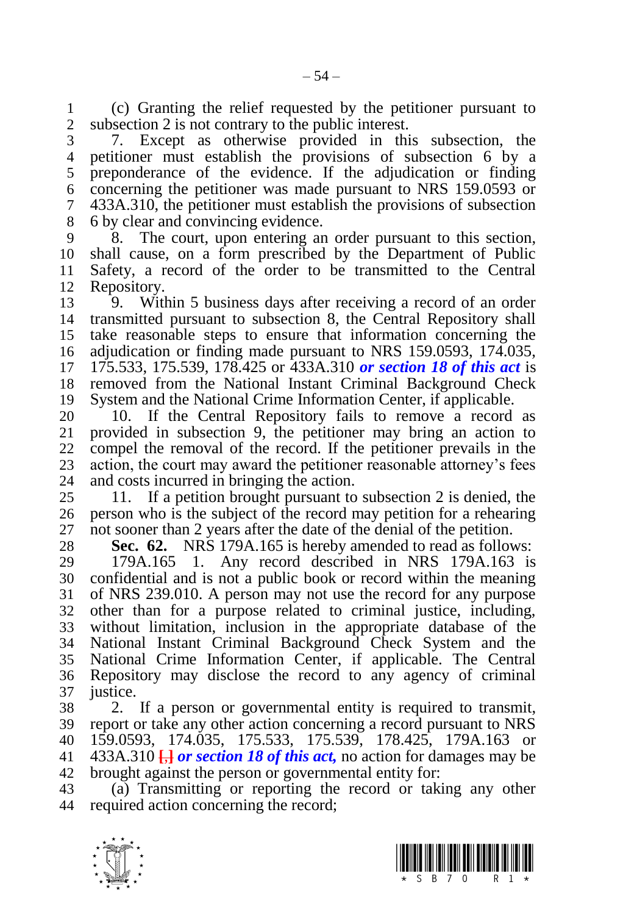(c) Granting the relief requested by the petitioner pursuant to subsection 2 is not contrary to the public interest.

 7. Except as otherwise provided in this subsection, the petitioner must establish the provisions of subsection 6 by a preponderance of the evidence. If the adjudication or finding concerning the petitioner was made pursuant to NRS 159.0593 or 433A.310, the petitioner must establish the provisions of subsection 6 by clear and convincing evidence.

 8. The court, upon entering an order pursuant to this section, shall cause, on a form prescribed by the Department of Public Safety, a record of the order to be transmitted to the Central Repository.

 9. Within 5 business days after receiving a record of an order transmitted pursuant to subsection 8, the Central Repository shall take reasonable steps to ensure that information concerning the adjudication or finding made pursuant to NRS 159.0593, 174.035, 175.533, 175.539, 178.425 or 433A.310 *or section 18 of this act* is removed from the National Instant Criminal Background Check System and the National Crime Information Center, if applicable.

20 10. If the Central Repository fails to remove a record as 21 provided in subsection 9, the petitioner may bring an action to provided in subsection 9, the petitioner may bring an action to compel the removal of the record. If the petitioner prevails in the 23 action, the court may award the petitioner reasonable attorney's fees<br>24 and costs incurred in bringing the action. and costs incurred in bringing the action.

 11. If a petition brought pursuant to subsection 2 is denied, the person who is the subject of the record may petition for a rehearing not sooner than 2 years after the date of the denial of the petition.

**Sec. 62.** NRS 179A.165 is hereby amended to read as follows:

 179A.165 1. Any record described in NRS 179A.163 is confidential and is not a public book or record within the meaning of NRS 239.010. A person may not use the record for any purpose other than for a purpose related to criminal justice, including, without limitation, inclusion in the appropriate database of the National Instant Criminal Background Check System and the National Crime Information Center, if applicable. The Central Repository may disclose the record to any agency of criminal justice.

 2. If a person or governmental entity is required to transmit, report or take any other action concerning a record pursuant to NRS 159.0593, 174.035, 175.533, 175.539, 178.425, 179A.163 or  $433A.310 \frac{1}{10}$  *or section 18 of this act*, no action for damages may be brought against the person or governmental entity for:

 (a) Transmitting or reporting the record or taking any other required action concerning the record;



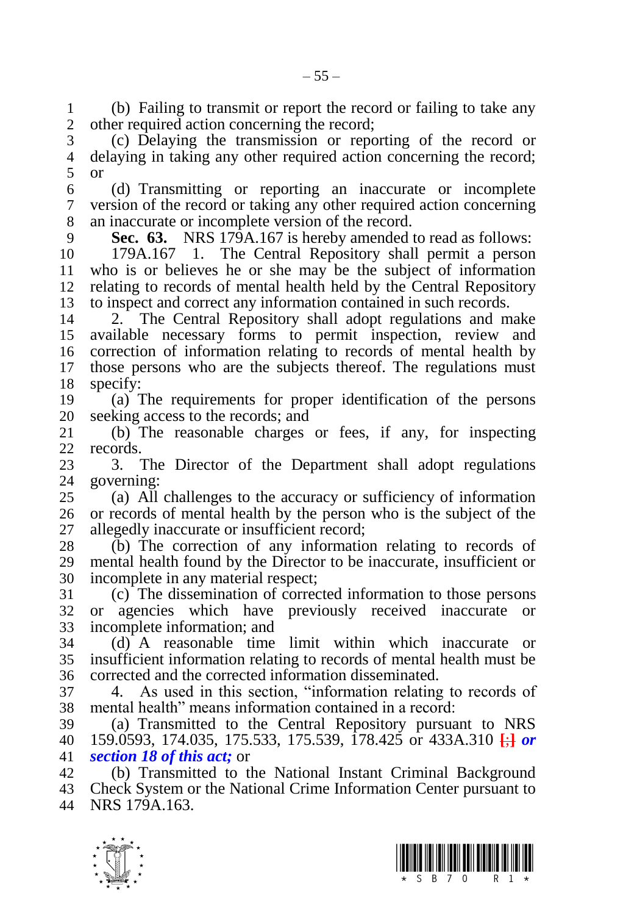1 (b) Failing to transmit or report the record or failing to take any<br>2 other required action concerning the record: other required action concerning the record:

 (c) Delaying the transmission or reporting of the record or delaying in taking any other required action concerning the record; or

 (d) Transmitting or reporting an inaccurate or incomplete version of the record or taking any other required action concerning an inaccurate or incomplete version of the record.

**Sec. 63.** NRS 179A.167 is hereby amended to read as follows:

 179A.167 1. The Central Repository shall permit a person who is or believes he or she may be the subject of information relating to records of mental health held by the Central Repository to inspect and correct any information contained in such records.

 2. The Central Repository shall adopt regulations and make available necessary forms to permit inspection, review and correction of information relating to records of mental health by those persons who are the subjects thereof. The regulations must specify:

 (a) The requirements for proper identification of the persons 20 seeking access to the records; and<br>21 (b) The reasonable charges

 (b) The reasonable charges or fees, if any, for inspecting records.

23 3. The Director of the Department shall adopt regulations 24 soverning: governing:

 (a) All challenges to the accuracy or sufficiency of information or records of mental health by the person who is the subject of the allegedly inaccurate or insufficient record;

 (b) The correction of any information relating to records of mental health found by the Director to be inaccurate, insufficient or incomplete in any material respect;

 (c) The dissemination of corrected information to those persons or agencies which have previously received inaccurate or incomplete information; and

 (d) A reasonable time limit within which inaccurate or insufficient information relating to records of mental health must be corrected and the corrected information disseminated.

 4. As used in this section, "information relating to records of mental health" means information contained in a record:

 (a) Transmitted to the Central Repository pursuant to NRS 159.0593, 174.035, 175.533, 175.539, 178.425 or 433A.310 **[**;**]** *or section 18 of this act;* or

 (b) Transmitted to the National Instant Criminal Background Check System or the National Crime Information Center pursuant to NRS 179A.163.



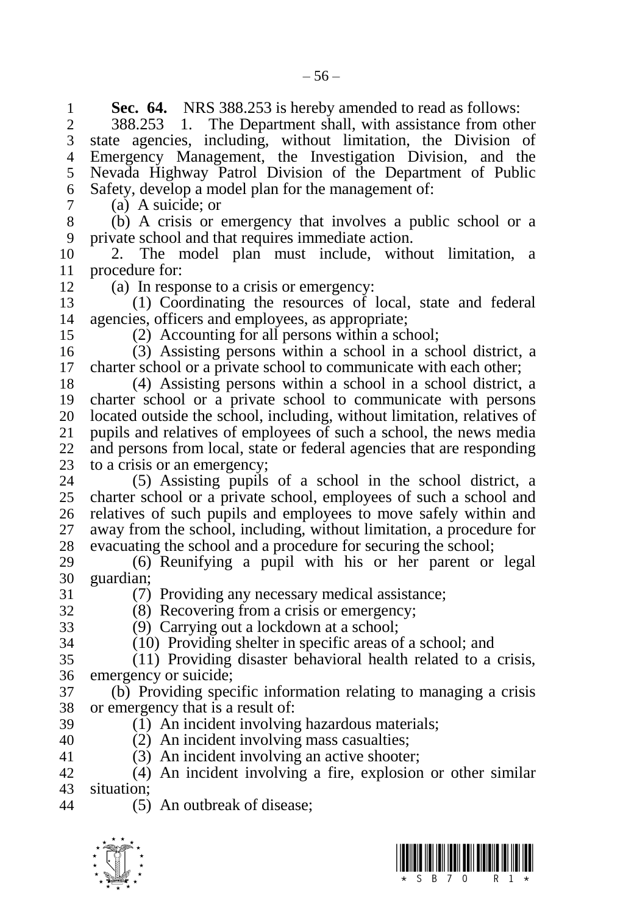**Sec. 64.** NRS 388.253 is hereby amended to read as follows:<br>2 388.253 1. The Department shall, with assistance from oth 388.253 1. The Department shall, with assistance from other state agencies, including, without limitation, the Division of Emergency Management, the Investigation Division, and the Nevada Highway Patrol Division of the Department of Public Safety, develop a model plan for the management of: (a) A suicide; or (b) A crisis or emergency that involves a public school or a private school and that requires immediate action. 2. The model plan must include, without limitation, a 11 procedure for:<br>12 (a) In respe (a) In response to a crisis or emergency: (1) Coordinating the resources of local, state and federal agencies, officers and employees, as appropriate; (2) Accounting for all persons within a school; (3) Assisting persons within a school in a school district, a charter school or a private school to communicate with each other; (4) Assisting persons within a school in a school district, a charter school or a private school to communicate with persons 20 located outside the school, including, without limitation, relatives of public 21 public and relatives of employees of such a school, the news media pupils and relatives of employees of such a school, the news media and persons from local, state or federal agencies that are responding 23 to a crisis or an emergency;<br>24 (5) Assisting pupils  $(5)$  Assisting pupils of a school in the school district, a charter school or a private school, employees of such a school and relatives of such pupils and employees to move safely within and away from the school, including, without limitation, a procedure for evacuating the school and a procedure for securing the school; (6) Reunifying a pupil with his or her parent or legal guardian; (7) Providing any necessary medical assistance; (8) Recovering from a crisis or emergency; (9) Carrying out a lockdown at a school; (10) Providing shelter in specific areas of a school; and (11) Providing disaster behavioral health related to a crisis, emergency or suicide; (b) Providing specific information relating to managing a crisis or emergency that is a result of: (1) An incident involving hazardous materials; (2) An incident involving mass casualties; (3) An incident involving an active shooter; (4) An incident involving a fire, explosion or other similar situation; (5) An outbreak of disease;



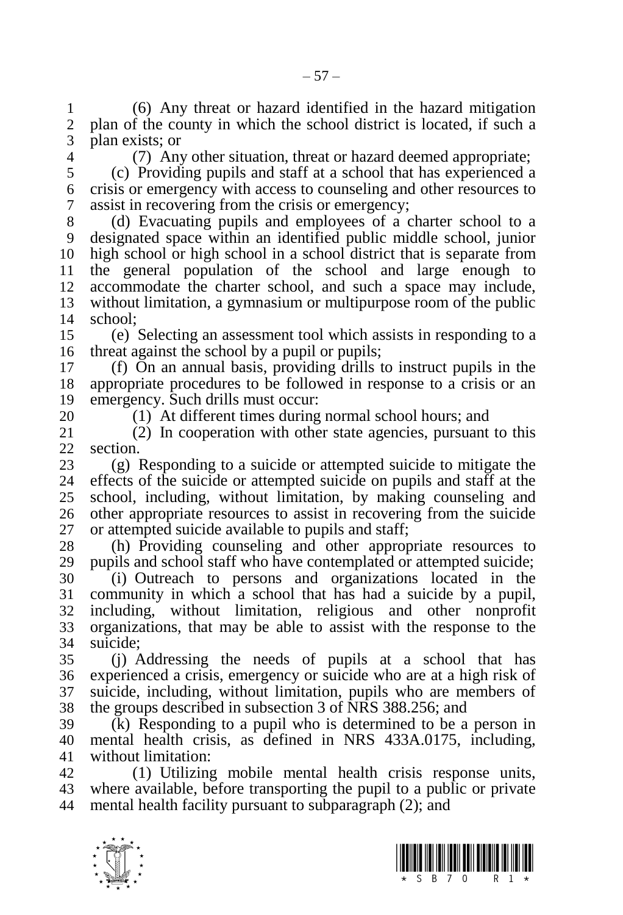(6) Any threat or hazard identified in the hazard mitigation plan of the county in which the school district is located, if such a plan exists; or

(7) Any other situation, threat or hazard deemed appropriate;

 (c) Providing pupils and staff at a school that has experienced a crisis or emergency with access to counseling and other resources to assist in recovering from the crisis or emergency;

 (d) Evacuating pupils and employees of a charter school to a designated space within an identified public middle school, junior high school or high school in a school district that is separate from the general population of the school and large enough to accommodate the charter school, and such a space may include, without limitation, a gymnasium or multipurpose room of the public school;

 (e) Selecting an assessment tool which assists in responding to a threat against the school by a pupil or pupils;

 (f) On an annual basis, providing drills to instruct pupils in the appropriate procedures to be followed in response to a crisis or an emergency. Such drills must occur:

20 (1) At different times during normal school hours; and<br>21 (2) In cooperation with other state agencies, pursuant

 (2) In cooperation with other state agencies, pursuant to this section.

23 (g) Responding to a suicide or attempted suicide to mitigate the 24 effects of the suicide or attempted suicide on pupils and staff at the effects of the suicide or attempted suicide on pupils and staff at the school, including, without limitation, by making counseling and other appropriate resources to assist in recovering from the suicide or attempted suicide available to pupils and staff;

28 (h) Providing counseling and other appropriate resources to 29 nunils and school staff who have contemplated or attempted suicide; pupils and school staff who have contemplated or attempted suicide; (i) Outreach to persons and organizations located in the community in which a school that has had a suicide by a pupil, including, without limitation, religious and other nonprofit organizations, that may be able to assist with the response to the suicide;

 (j) Addressing the needs of pupils at a school that has experienced a crisis, emergency or suicide who are at a high risk of suicide, including, without limitation, pupils who are members of the groups described in subsection 3 of NRS 388.256; and

 (k) Responding to a pupil who is determined to be a person in mental health crisis, as defined in NRS 433A.0175, including, without limitation:

 (1) Utilizing mobile mental health crisis response units, where available, before transporting the pupil to a public or private mental health facility pursuant to subparagraph (2); and



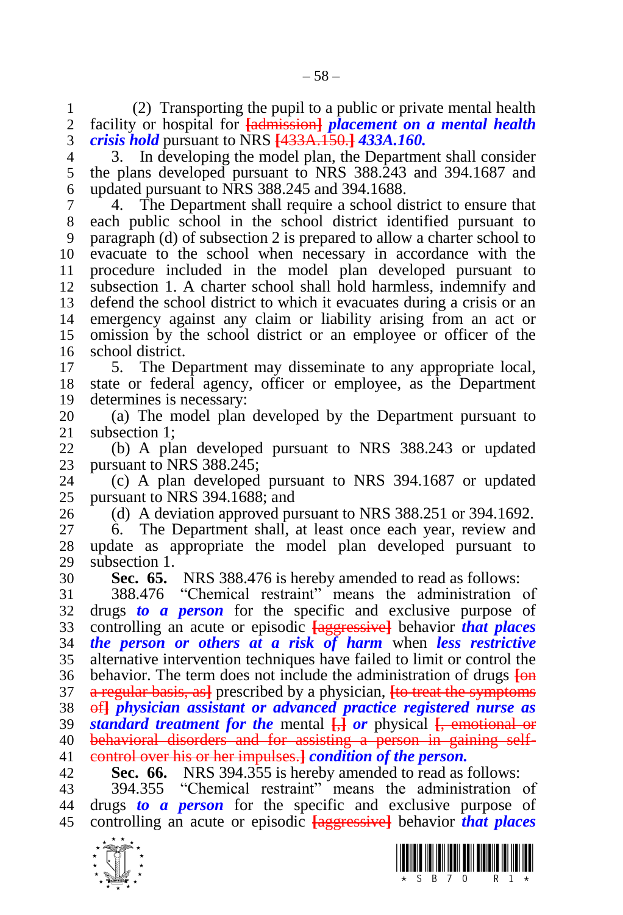1 (2) Transporting the pupil to a public or private mental health 2 facility or hospital for **fadmission** *placement* on a mental health facility or hospital for **[**admission**]** *placement on a mental health crisis hold* pursuant to NRS **[**433A.150.**]** *433A.160.*

 3. In developing the model plan, the Department shall consider the plans developed pursuant to NRS 388.243 and 394.1687 and updated pursuant to NRS 388.245 and 394.1688.

 4. The Department shall require a school district to ensure that each public school in the school district identified pursuant to paragraph (d) of subsection 2 is prepared to allow a charter school to evacuate to the school when necessary in accordance with the procedure included in the model plan developed pursuant to subsection 1. A charter school shall hold harmless, indemnify and defend the school district to which it evacuates during a crisis or an emergency against any claim or liability arising from an act or omission by the school district or an employee or officer of the school district.

 5. The Department may disseminate to any appropriate local, state or federal agency, officer or employee, as the Department determines is necessary:

 (a) The model plan developed by the Department pursuant to subsection 1:

 (b) A plan developed pursuant to NRS 388.243 or updated 23 pursuant to NRS 388.245;<br>24 (c) A plan developed

 $\alpha$  A plan developed pursuant to NRS 394.1687 or updated pursuant to NRS 394.1688; and

(d) A deviation approved pursuant to NRS 388.251 or 394.1692.

 6. The Department shall, at least once each year, review and update as appropriate the model plan developed pursuant to subsection 1.

**Sec. 65.** NRS 388.476 is hereby amended to read as follows:

 388.476 "Chemical restraint" means the administration of drugs *to a person* for the specific and exclusive purpose of controlling an acute or episodic **[**aggressive**]** behavior *that places the person or others at a risk of harm* when *less restrictive*  alternative intervention techniques have failed to limit or control the behavior. The term does not include the administration of drugs **[**on a regular basis, as**]** prescribed by a physician, **[**to treat the symptoms of**]** *physician assistant or advanced practice registered nurse as standard treatment for the* mental **[**,**]** *or* physical **[**, emotional or behavioral disorders and for assisting a person in gaining self-control over his or her impulses.**]** *condition of the person.*

**Sec. 66.** NRS 394.355 is hereby amended to read as follows:

 394.355 "Chemical restraint" means the administration of drugs *to a person* for the specific and exclusive purpose of controlling an acute or episodic **[**aggressive**]** behavior *that places* 



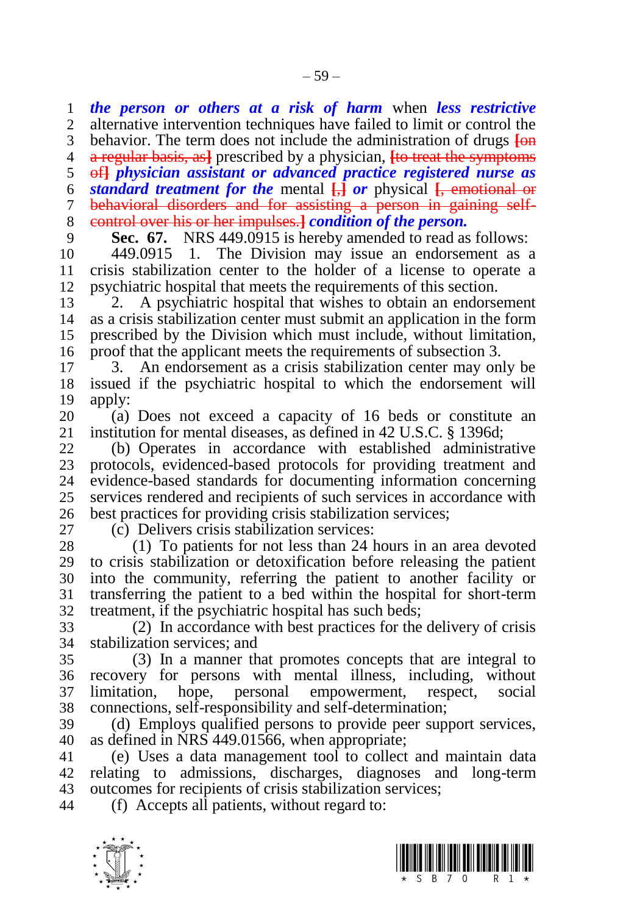*the person or others at a risk of harm* when *less restrictive*  alternative intervention techniques have failed to limit or control the

 behavior. The term does not include the administration of drugs **[**on a regular basis, as**]** prescribed by a physician, **[**to treat the symptoms

of**]** *physician assistant or advanced practice registered nurse as* 

*standard treatment for the* mental **[**,**]** *or* physical **[**, emotional or

behavioral disorders and for assisting a person in gaining self-

control over his or her impulses.**]** *condition of the person.*

**Sec. 67.** NRS 449.0915 is hereby amended to read as follows:

 449.0915 1. The Division may issue an endorsement as a crisis stabilization center to the holder of a license to operate a psychiatric hospital that meets the requirements of this section.

 2. A psychiatric hospital that wishes to obtain an endorsement as a crisis stabilization center must submit an application in the form prescribed by the Division which must include, without limitation, proof that the applicant meets the requirements of subsection 3.

 3. An endorsement as a crisis stabilization center may only be issued if the psychiatric hospital to which the endorsement will apply:

20 (a) Does not exceed a capacity of 16 beds or constitute an <br>21 institution for mental diseases, as defined in 42 U.S.C. § 1396d: institution for mental diseases, as defined in 42 U.S.C. § 1396d;

 (b) Operates in accordance with established administrative 23 protocols, evidenced-based protocols for providing treatment and<br>24 evidence-based standards for documenting information concerning evidence-based standards for documenting information concerning services rendered and recipients of such services in accordance with best practices for providing crisis stabilization services;

(c) Delivers crisis stabilization services:

 (1) To patients for not less than 24 hours in an area devoted to crisis stabilization or detoxification before releasing the patient into the community, referring the patient to another facility or transferring the patient to a bed within the hospital for short-term treatment, if the psychiatric hospital has such beds;

 (2) In accordance with best practices for the delivery of crisis stabilization services; and

 (3) In a manner that promotes concepts that are integral to recovery for persons with mental illness, including, without limitation, hope, personal empowerment, respect, social connections, self-responsibility and self-determination;

 (d) Employs qualified persons to provide peer support services, as defined in NRS 449.01566, when appropriate;

 (e) Uses a data management tool to collect and maintain data relating to admissions, discharges, diagnoses and long-term outcomes for recipients of crisis stabilization services;

(f) Accepts all patients, without regard to:

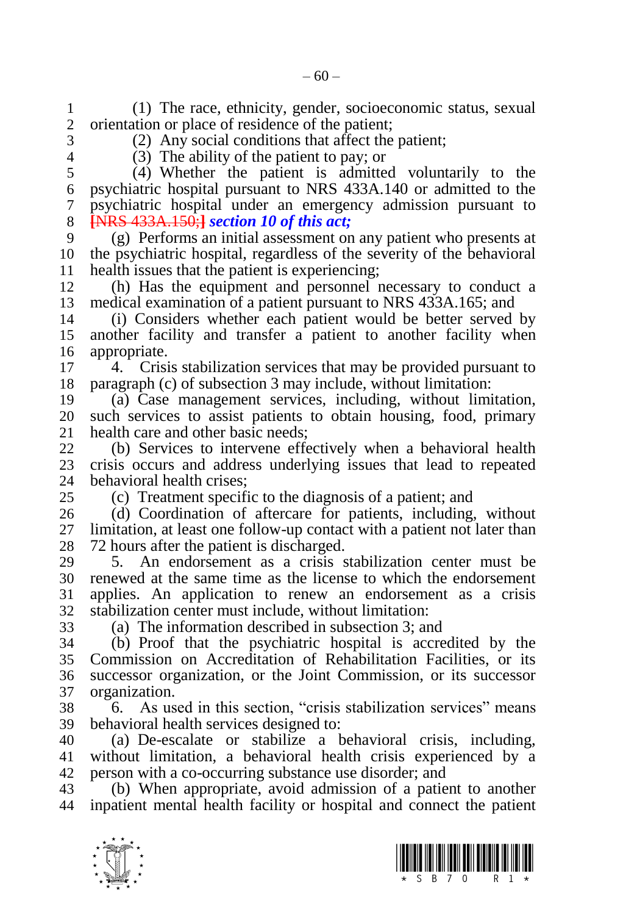psychiatric hospital pursuant to NRS 433A.140 or admitted to the psychiatric hospital under an emergency admission pursuant to **[**NRS 433A.150;**]** *section 10 of this act;* (g) Performs an initial assessment on any patient who presents at the psychiatric hospital, regardless of the severity of the behavioral 11 health issues that the patient is experiencing;<br>12 (b) Has the equipment and personnel r (h) Has the equipment and personnel necessary to conduct a medical examination of a patient pursuant to NRS 433A.165; and (i) Considers whether each patient would be better served by another facility and transfer a patient to another facility when appropriate. 4. Crisis stabilization services that may be provided pursuant to paragraph (c) of subsection 3 may include, without limitation: (a) Case management services, including, without limitation, 20 such services to assist patients to obtain housing, food, primary 21 health care and other basic needs: health care and other basic needs: (b) Services to intervene effectively when a behavioral health 23 crisis occurs and address underlying issues that lead to repeated 24 behavioral health crises: behavioral health crises: (c) Treatment specific to the diagnosis of a patient; and (d) Coordination of aftercare for patients, including, without limitation, at least one follow-up contact with a patient not later than 28 72 hours after the patient is discharged.<br>29 5. An endorsement as a crisis s 5. An endorsement as a crisis stabilization center must be renewed at the same time as the license to which the endorsement applies. An application to renew an endorsement as a crisis stabilization center must include, without limitation: (a) The information described in subsection 3; and (b) Proof that the psychiatric hospital is accredited by the Commission on Accreditation of Rehabilitation Facilities, or its successor organization, or the Joint Commission, or its successor organization. 6. As used in this section, "crisis stabilization services" means behavioral health services designed to: (a) De-escalate or stabilize a behavioral crisis, including, without limitation, a behavioral health crisis experienced by a person with a co-occurring substance use disorder; and (b) When appropriate, avoid admission of a patient to another inpatient mental health facility or hospital and connect the patient



 $-60-$ 

(1) The race, ethnicity, gender, socioeconomic status, sexual

(4) Whether the patient is admitted voluntarily to the

orientation or place of residence of the patient: (2) Any social conditions that affect the patient;

(3) The ability of the patient to pay; or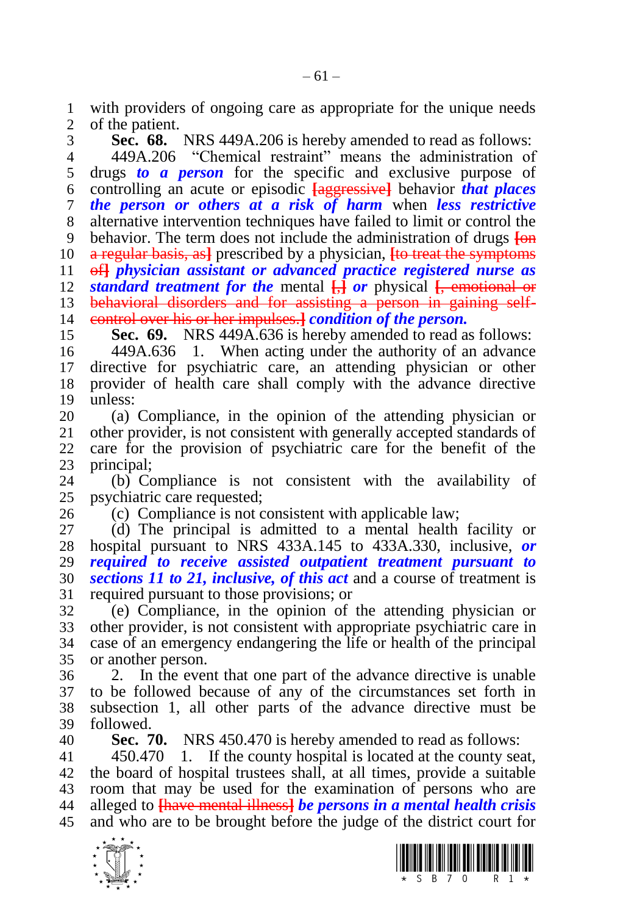1 with providers of ongoing care as appropriate for the unique needs<br>2 of the patient. of the patient.

 **Sec. 68.** NRS 449A.206 is hereby amended to read as follows: 449A.206 "Chemical restraint" means the administration of drugs *to a person* for the specific and exclusive purpose of controlling an acute or episodic **[**aggressive**]** behavior *that places the person or others at a risk of harm* when *less restrictive*  alternative intervention techniques have failed to limit or control the behavior. The term does not include the administration of drugs **[**on a regular basis, as**]** prescribed by a physician, **[**to treat the symptoms of**]** *physician assistant or advanced practice registered nurse as standard treatment for the* mental **[**,**]** *or* physical **[**, emotional or behavioral disorders and for assisting a person in gaining self-control over his or her impulses.**]** *condition of the person.*

**Sec. 69.** NRS 449A.636 is hereby amended to read as follows:

 449A.636 1. When acting under the authority of an advance directive for psychiatric care, an attending physician or other provider of health care shall comply with the advance directive unless:

20 (a) Compliance, in the opinion of the attending physician or 21 other provider, is not consistent with generally accepted standards of other provider, is not consistent with generally accepted standards of care for the provision of psychiatric care for the benefit of the 23 principal;<br>24 (b)  $C_f$ 

(b) Compliance is not consistent with the availability of psychiatric care requested;

(c) Compliance is not consistent with applicable law;

 (d) The principal is admitted to a mental health facility or hospital pursuant to NRS 433A.145 to 433A.330, inclusive, *or required to receive assisted outpatient treatment pursuant to sections 11 to 21, inclusive, of this act* and a course of treatment is required pursuant to those provisions; or

 (e) Compliance, in the opinion of the attending physician or other provider, is not consistent with appropriate psychiatric care in case of an emergency endangering the life or health of the principal or another person.

 2. In the event that one part of the advance directive is unable to be followed because of any of the circumstances set forth in subsection 1, all other parts of the advance directive must be followed.

**Sec. 70.** NRS 450.470 is hereby amended to read as follows:

 450.470 1. If the county hospital is located at the county seat, the board of hospital trustees shall, at all times, provide a suitable room that may be used for the examination of persons who are alleged to **[**have mental illness**]** *be persons in a mental health crisis*  and who are to be brought before the judge of the district court for



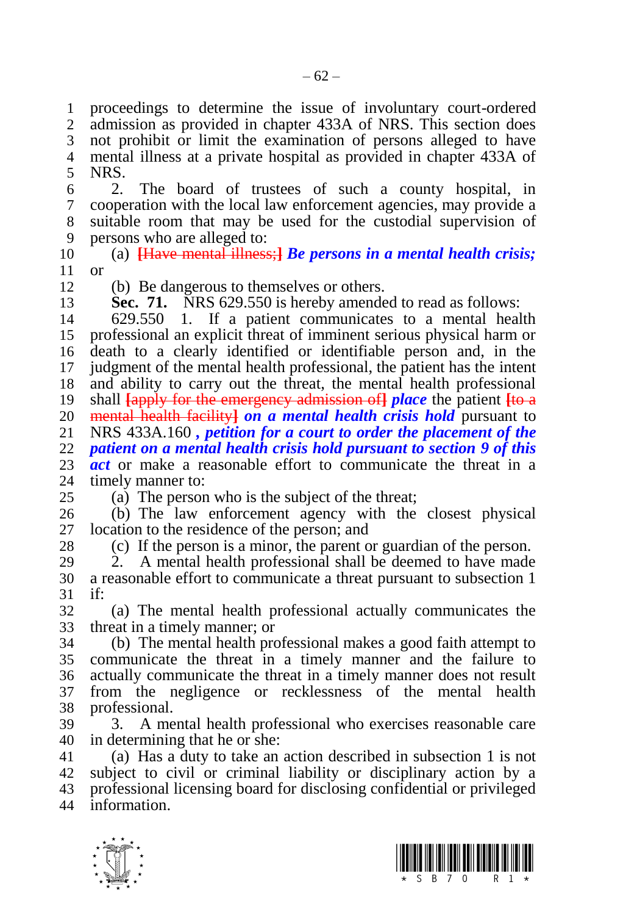proceedings to determine the issue of involuntary court-ordered admission as provided in chapter 433A of NRS. This section does not prohibit or limit the examination of persons alleged to have mental illness at a private hospital as provided in chapter 433A of

 NRS.<br>6 2. 2. The board of trustees of such a county hospital, in cooperation with the local law enforcement agencies, may provide a suitable room that may be used for the custodial supervision of persons who are alleged to:

 (a) **[**Have mental illness;**]** *Be persons in a mental health crisis;*  or

(b) Be dangerous to themselves or others.

**Sec. 71.** NRS 629.550 is hereby amended to read as follows:

 629.550 1. If a patient communicates to a mental health professional an explicit threat of imminent serious physical harm or death to a clearly identified or identifiable person and, in the judgment of the mental health professional, the patient has the intent and ability to carry out the threat, the mental health professional shall **[**apply for the emergency admission of**]** *place* the patient **[**to a 20 mental health facility<sup>1</sup> *on a mental health crisis hold* pursuant to 21 NRS 433A.160, *petition for a court to order the placement of the*  NRS 433A.160 *, petition for a court to order the placement of the patient on a mental health crisis hold pursuant to section 9 of this act* or make a reasonable effort to communicate the threat in a 14 timely manner to: timely manner to:

(a) The person who is the subject of the threat;

 (b) The law enforcement agency with the closest physical location to the residence of the person; and

(c) If the person is a minor, the parent or guardian of the person.

 2. A mental health professional shall be deemed to have made a reasonable effort to communicate a threat pursuant to subsection 1 if

 (a) The mental health professional actually communicates the threat in a timely manner; or

 (b) The mental health professional makes a good faith attempt to communicate the threat in a timely manner and the failure to actually communicate the threat in a timely manner does not result from the negligence or recklessness of the mental health professional.

 3. A mental health professional who exercises reasonable care in determining that he or she:

 (a) Has a duty to take an action described in subsection 1 is not subject to civil or criminal liability or disciplinary action by a professional licensing board for disclosing confidential or privileged information.



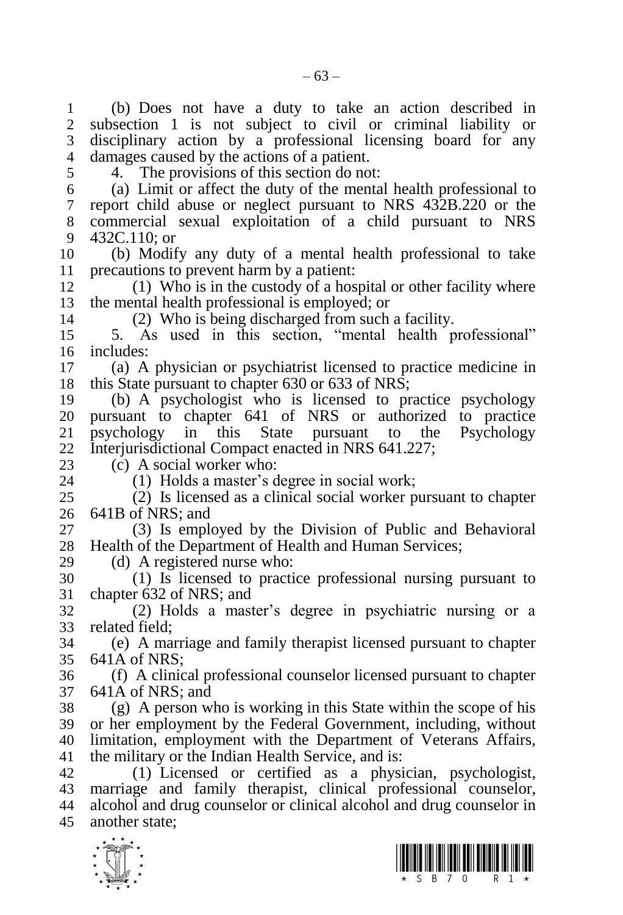$\frac{1}{\sqrt{2}}$ 11 precautions to prevent harm by a patient:<br>12 (1) Who is in the custody of a hos (2) Who is being discharged from such a facility. 23 (c) A social worker who:<br>24 (1) Holds a master's d  $(1)$  Holds a master's degree in social work; (d) A registered nurse who:

 (b) Does not have a duty to take an action described in subsection 1 is not subject to civil or criminal liability or disciplinary action by a professional licensing board for any damages caused by the actions of a patient.

- 
- 4. The provisions of this section do not:

 (a) Limit or affect the duty of the mental health professional to report child abuse or neglect pursuant to NRS 432B.220 or the commercial sexual exploitation of a child pursuant to NRS 432C.110; or

(b) Modify any duty of a mental health professional to take

 $(1)$  Who is in the custody of a hospital or other facility where the mental health professional is employed; or

 5. As used in this section, "mental health professional" includes:

 (a) A physician or psychiatrist licensed to practice medicine in this State pursuant to chapter 630 or 633 of NRS;

 (b) A psychologist who is licensed to practice psychology pursuant to chapter 641 of NRS or authorized to practice psychology in this State pursuant to the Psychology Interjurisdictional Compact enacted in NRS 641.227;

 (2) Is licensed as a clinical social worker pursuant to chapter 641B of NRS; and

 (3) Is employed by the Division of Public and Behavioral Health of the Department of Health and Human Services;

 (1) Is licensed to practice professional nursing pursuant to chapter 632 of NRS; and

 (2) Holds a master's degree in psychiatric nursing or a related field;

 (e) A marriage and family therapist licensed pursuant to chapter 641A of NRS;

 (f) A clinical professional counselor licensed pursuant to chapter 641A of NRS; and

 (g) A person who is working in this State within the scope of his or her employment by the Federal Government, including, without limitation, employment with the Department of Veterans Affairs, the military or the Indian Health Service, and is:

 (1) Licensed or certified as a physician, psychologist, marriage and family therapist, clinical professional counselor, alcohol and drug counselor or clinical alcohol and drug counselor in another state;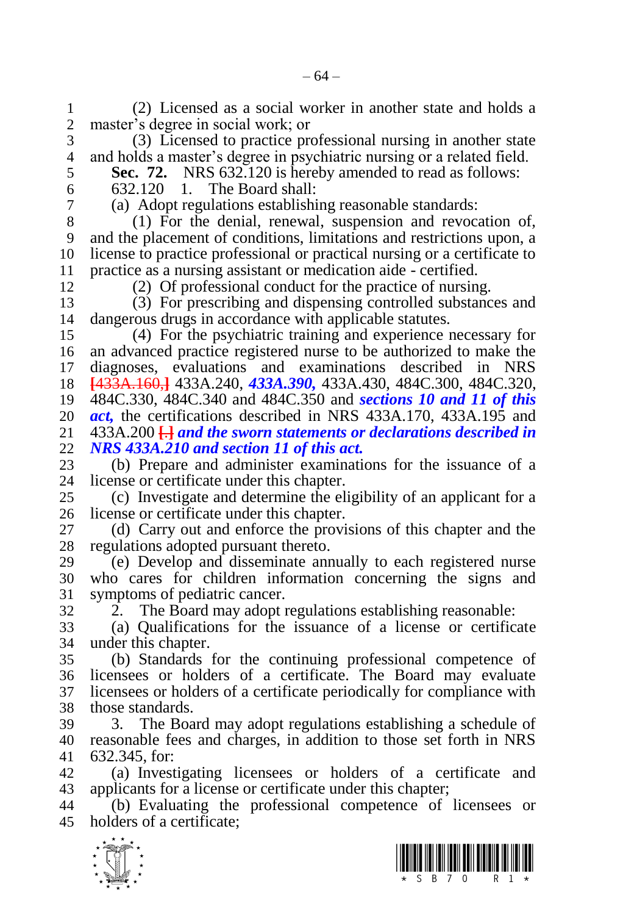(2) Licensed as a social worker in another state and holds a master's degree in social work; or

 (3) Licensed to practice professional nursing in another state and holds a master's degree in psychiatric nursing or a related field.

- **Sec. 72.** NRS 632.120 is hereby amended to read as follows:
- 

 632.120 1. The Board shall: (a) Adopt regulations establishing reasonable standards:

 (1) For the denial, renewal, suspension and revocation of, and the placement of conditions, limitations and restrictions upon, a license to practice professional or practical nursing or a certificate to 11 practice as a nursing assistant or medication aide - certified.<br>12 (2) Of professional conduct for the practice of nursin

(2) Of professional conduct for the practice of nursing.

 (3) For prescribing and dispensing controlled substances and dangerous drugs in accordance with applicable statutes.

 (4) For the psychiatric training and experience necessary for an advanced practice registered nurse to be authorized to make the diagnoses, evaluations and examinations described in NRS **[**433A.160,**]** 433A.240, *433A.390,* 433A.430, 484C.300, 484C.320, 484C.330, 484C.340 and 484C.350 and *sections 10 and 11 of this act*, the certifications described in NRS 433A.170, 433A.195 and 21 433A.200  $\overline{H}$  and the sworn statements or declarations described in 433A.200 **[**.**]** *and the sworn statements or declarations described in NRS 433A.210 and section 11 of this act.*

 (b) Prepare and administer examinations for the issuance of a license or certificate under this chapter.

 (c) Investigate and determine the eligibility of an applicant for a license or certificate under this chapter.

 (d) Carry out and enforce the provisions of this chapter and the regulations adopted pursuant thereto.

 (e) Develop and disseminate annually to each registered nurse who cares for children information concerning the signs and symptoms of pediatric cancer.

2. The Board may adopt regulations establishing reasonable:

 (a) Qualifications for the issuance of a license or certificate under this chapter.

 (b) Standards for the continuing professional competence of licensees or holders of a certificate. The Board may evaluate licensees or holders of a certificate periodically for compliance with those standards.

 3. The Board may adopt regulations establishing a schedule of reasonable fees and charges, in addition to those set forth in NRS 632.345, for:

 (a) Investigating licensees or holders of a certificate and applicants for a license or certificate under this chapter;

 (b) Evaluating the professional competence of licensees or holders of a certificate;



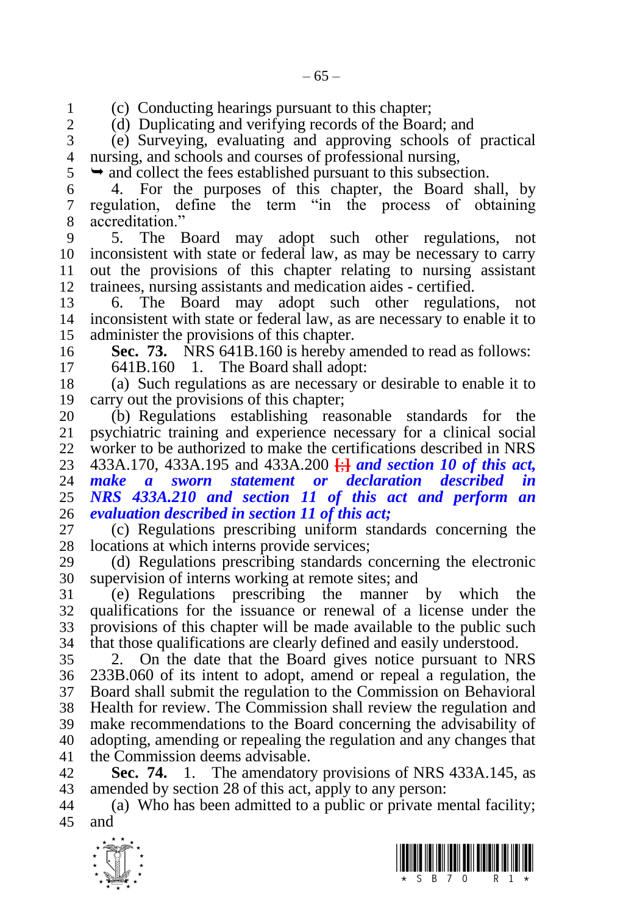1 (c) Conducting hearings pursuant to this chapter;<br>2 (d) Duplicating and verifying records of the Boar

(d) Duplicating and verifying records of the Board; and

 (e) Surveying, evaluating and approving schools of practical nursing, and schools and courses of professional nursing,

 $5 \rightarrow$  and collect the fees established pursuant to this subsection.

 4. For the purposes of this chapter, the Board shall, by regulation, define the term "in the process of obtaining accreditation."

 5. The Board may adopt such other regulations, not inconsistent with state or federal law, as may be necessary to carry out the provisions of this chapter relating to nursing assistant trainees, nursing assistants and medication aides - certified.

 6. The Board may adopt such other regulations, not inconsistent with state or federal law, as are necessary to enable it to administer the provisions of this chapter.

**Sec. 73.** NRS 641B.160 is hereby amended to read as follows:

641B.160 1. The Board shall adopt:

 (a) Such regulations as are necessary or desirable to enable it to carry out the provisions of this chapter;

 (b) Regulations establishing reasonable standards for the psychiatric training and experience necessary for a clinical social worker to be authorized to make the certifications described in NRS 433A.170, 433A.195 and 433A.200 **[**;**]** *and section 10 of this act, make a sworn statement or declaration described in NRS 433A.210 and section 11 of this act and perform an evaluation described in section 11 of this act;*

 (c) Regulations prescribing uniform standards concerning the locations at which interns provide services;

 (d) Regulations prescribing standards concerning the electronic supervision of interns working at remote sites; and

 (e) Regulations prescribing the manner by which the qualifications for the issuance or renewal of a license under the provisions of this chapter will be made available to the public such that those qualifications are clearly defined and easily understood.

 2. On the date that the Board gives notice pursuant to NRS 233B.060 of its intent to adopt, amend or repeal a regulation, the Board shall submit the regulation to the Commission on Behavioral Health for review. The Commission shall review the regulation and make recommendations to the Board concerning the advisability of adopting, amending or repealing the regulation and any changes that the Commission deems advisable.

 **Sec. 74.** 1. The amendatory provisions of NRS 433A.145, as amended by section 28 of this act, apply to any person:

 (a) Who has been admitted to a public or private mental facility; and



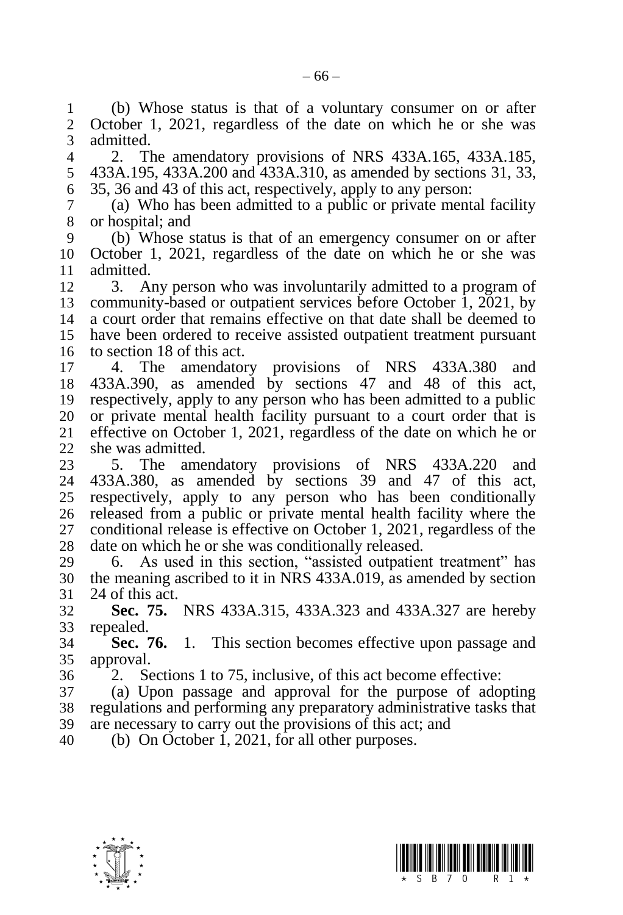(b) Whose status is that of a voluntary consumer on or after October 1, 2021, regardless of the date on which he or she was admitted.

 2. The amendatory provisions of NRS 433A.165, 433A.185, 433A.195, 433A.200 and 433A.310, as amended by sections 31, 33, 35, 36 and 43 of this act, respectively, apply to any person:

 (a) Who has been admitted to a public or private mental facility or hospital; and

 (b) Whose status is that of an emergency consumer on or after October 1, 2021, regardless of the date on which he or she was admitted.

 3. Any person who was involuntarily admitted to a program of community-based or outpatient services before October 1, 2021, by a court order that remains effective on that date shall be deemed to have been ordered to receive assisted outpatient treatment pursuant to section 18 of this act.

 4. The amendatory provisions of NRS 433A.380 and 433A.390, as amended by sections 47 and 48 of this act, respectively, apply to any person who has been admitted to a public 20 or private mental health facility pursuant to a court order that is 21 effective on October 1, 2021, regardless of the date on which he or effective on October 1, 2021, regardless of the date on which he or she was admitted.

 5. The amendatory provisions of NRS 433A.220 and 433A.380, as amended by sections 39 and 47 of this act, respectively, apply to any person who has been conditionally released from a public or private mental health facility where the conditional release is effective on October 1, 2021, regardless of the date on which he or she was conditionally released.

 6. As used in this section, "assisted outpatient treatment" has the meaning ascribed to it in NRS 433A.019, as amended by section 24 of this act.

 **Sec. 75.** NRS 433A.315, 433A.323 and 433A.327 are hereby repealed.

 **Sec. 76.** 1. This section becomes effective upon passage and approval.

2. Sections 1 to 75, inclusive, of this act become effective:

 (a) Upon passage and approval for the purpose of adopting regulations and performing any preparatory administrative tasks that are necessary to carry out the provisions of this act; and

(b) On October 1, 2021, for all other purposes.



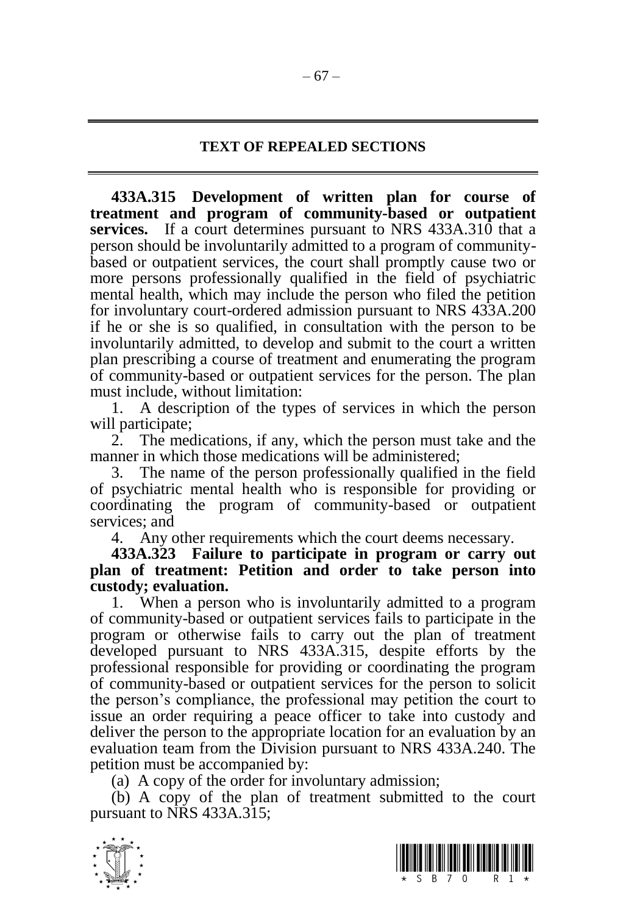## **TEXT OF REPEALED SECTIONS**

**433A.315 Development of written plan for course of treatment and program of community-based or outpatient services.** If a court determines pursuant to NRS 433A.310 that a person should be involuntarily admitted to a program of communitybased or outpatient services, the court shall promptly cause two or more persons professionally qualified in the field of psychiatric mental health, which may include the person who filed the petition for involuntary court-ordered admission pursuant to NRS 433A.200 if he or she is so qualified, in consultation with the person to be involuntarily admitted, to develop and submit to the court a written plan prescribing a course of treatment and enumerating the program of community-based or outpatient services for the person. The plan must include, without limitation:

1. A description of the types of services in which the person will participate;

2. The medications, if any, which the person must take and the manner in which those medications will be administered;

3. The name of the person professionally qualified in the field of psychiatric mental health who is responsible for providing or coordinating the program of community-based or outpatient services; and

4. Any other requirements which the court deems necessary.

**433A.323 Failure to participate in program or carry out plan of treatment: Petition and order to take person into custody; evaluation.**

1. When a person who is involuntarily admitted to a program of community-based or outpatient services fails to participate in the program or otherwise fails to carry out the plan of treatment developed pursuant to NRS 433A.315, despite efforts by the professional responsible for providing or coordinating the program of community-based or outpatient services for the person to solicit the person's compliance, the professional may petition the court to issue an order requiring a peace officer to take into custody and deliver the person to the appropriate location for an evaluation by an evaluation team from the Division pursuant to NRS 433A.240. The petition must be accompanied by:

(a) A copy of the order for involuntary admission;

(b) A copy of the plan of treatment submitted to the court pursuant to NRS 433A.315;



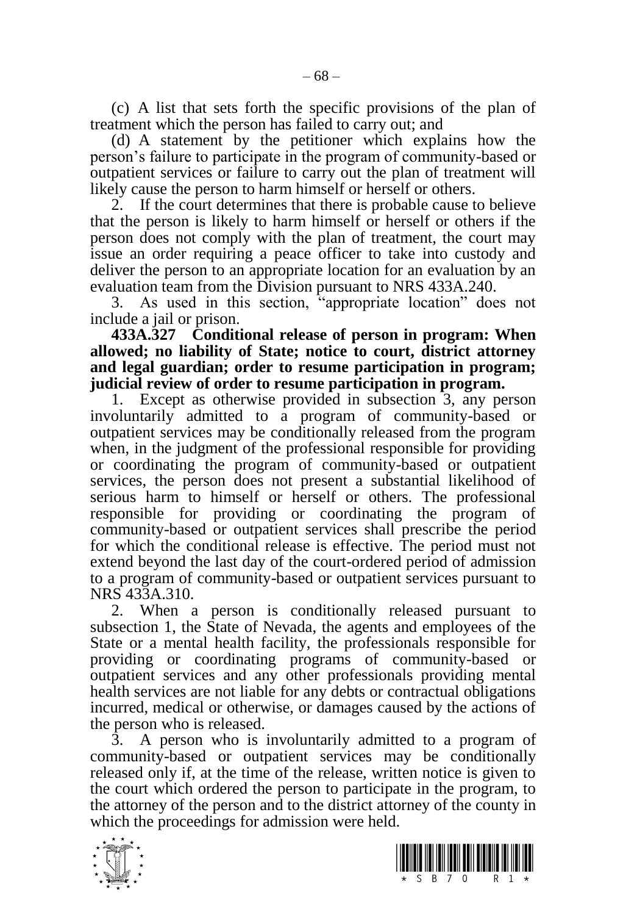(c) A list that sets forth the specific provisions of the plan of treatment which the person has failed to carry out; and

(d) A statement by the petitioner which explains how the person's failure to participate in the program of community-based or outpatient services or failure to carry out the plan of treatment will likely cause the person to harm himself or herself or others.

2. If the court determines that there is probable cause to believe that the person is likely to harm himself or herself or others if the person does not comply with the plan of treatment, the court may issue an order requiring a peace officer to take into custody and deliver the person to an appropriate location for an evaluation by an evaluation team from the Division pursuant to NRS 433A.240.

3. As used in this section, "appropriate location" does not include a jail or prison.

**433A.327 Conditional release of person in program: When allowed; no liability of State; notice to court, district attorney and legal guardian; order to resume participation in program; judicial review of order to resume participation in program.**

1. Except as otherwise provided in subsection 3, any person involuntarily admitted to a program of community-based or outpatient services may be conditionally released from the program when, in the judgment of the professional responsible for providing or coordinating the program of community-based or outpatient services, the person does not present a substantial likelihood of serious harm to himself or herself or others. The professional responsible for providing or coordinating the program of community-based or outpatient services shall prescribe the period for which the conditional release is effective. The period must not extend beyond the last day of the court-ordered period of admission to a program of community-based or outpatient services pursuant to NRS 433A.310.

2. When a person is conditionally released pursuant to subsection 1, the State of Nevada, the agents and employees of the State or a mental health facility, the professionals responsible for providing or coordinating programs of community-based or outpatient services and any other professionals providing mental health services are not liable for any debts or contractual obligations incurred, medical or otherwise, or damages caused by the actions of the person who is released.

3. A person who is involuntarily admitted to a program of community-based or outpatient services may be conditionally released only if, at the time of the release, written notice is given to the court which ordered the person to participate in the program, to the attorney of the person and to the district attorney of the county in which the proceedings for admission were held.